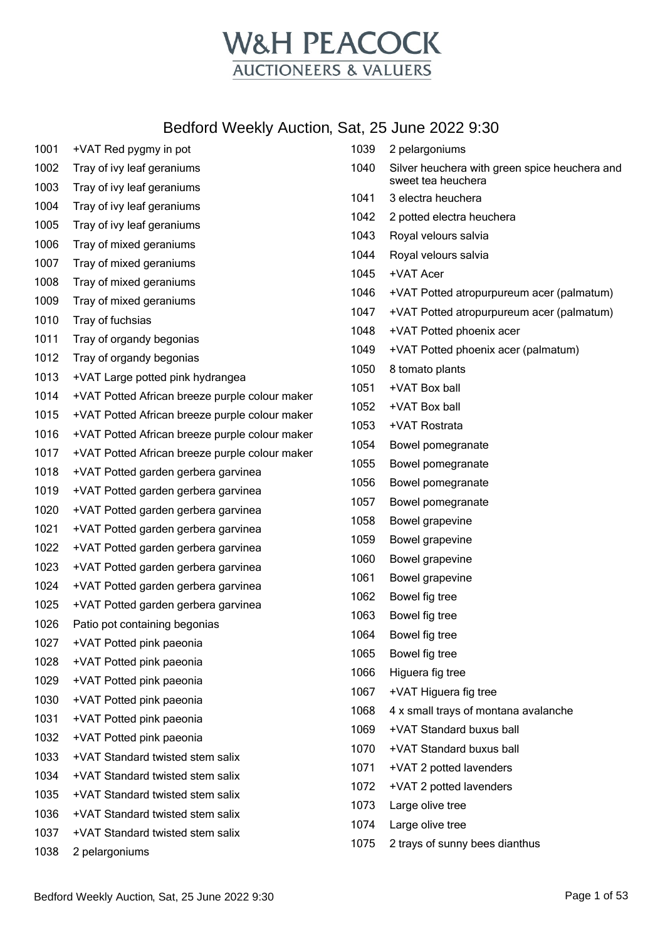

| 1001 | +VAT Red pygmy in pot                          | 1039 | 2 pelargoniums                                |
|------|------------------------------------------------|------|-----------------------------------------------|
| 1002 | Tray of ivy leaf geraniums                     | 1040 | Silver heuchera with green spice heuchera and |
| 1003 | Tray of ivy leaf geraniums                     |      | sweet tea heuchera                            |
| 1004 | Tray of ivy leaf geraniums                     | 1041 | 3 electra heuchera                            |
| 1005 | Tray of ivy leaf geraniums                     | 1042 | 2 potted electra heuchera                     |
| 1006 | Tray of mixed geraniums                        | 1043 | Royal velours salvia                          |
| 1007 | Tray of mixed geraniums                        | 1044 | Royal velours salvia                          |
| 1008 | Tray of mixed geraniums                        | 1045 | +VAT Acer                                     |
| 1009 | Tray of mixed geraniums                        | 1046 | +VAT Potted atropurpureum acer (palmatum)     |
| 1010 | Tray of fuchsias                               | 1047 | +VAT Potted atropurpureum acer (palmatum)     |
| 1011 | Tray of organdy begonias                       | 1048 | +VAT Potted phoenix acer                      |
| 1012 | Tray of organdy begonias                       | 1049 | +VAT Potted phoenix acer (palmatum)           |
| 1013 | +VAT Large potted pink hydrangea               | 1050 | 8 tomato plants                               |
| 1014 | +VAT Potted African breeze purple colour maker | 1051 | +VAT Box ball                                 |
| 1015 | +VAT Potted African breeze purple colour maker | 1052 | +VAT Box ball                                 |
| 1016 | +VAT Potted African breeze purple colour maker | 1053 | +VAT Rostrata                                 |
| 1017 | +VAT Potted African breeze purple colour maker | 1054 | Bowel pomegranate                             |
| 1018 | +VAT Potted garden gerbera garvinea            | 1055 | Bowel pomegranate                             |
| 1019 | +VAT Potted garden gerbera garvinea            | 1056 | Bowel pomegranate                             |
| 1020 | +VAT Potted garden gerbera garvinea            | 1057 | Bowel pomegranate                             |
| 1021 | +VAT Potted garden gerbera garvinea            | 1058 | Bowel grapevine                               |
| 1022 | +VAT Potted garden gerbera garvinea            | 1059 | Bowel grapevine                               |
| 1023 | +VAT Potted garden gerbera garvinea            | 1060 | Bowel grapevine                               |
| 1024 | +VAT Potted garden gerbera garvinea            | 1061 | Bowel grapevine                               |
| 1025 | +VAT Potted garden gerbera garvinea            | 1062 | Bowel fig tree                                |
| 1026 | Patio pot containing begonias                  | 1063 | Bowel fig tree                                |
| 1027 | +VAT Potted pink paeonia                       | 1064 | Bowel fig tree                                |
| 1028 | +VAT Potted pink paeonia                       | 1065 | Bowel fig tree                                |
| 1029 | +VAT Potted pink paeonia                       | 1066 | Higuera fig tree                              |
| 1030 | +VAT Potted pink paeonia                       | 1067 | +VAT Higuera fig tree                         |
| 1031 | +VAT Potted pink paeonia                       | 1068 | 4 x small trays of montana avalanche          |
| 1032 | +VAT Potted pink paeonia                       | 1069 | +VAT Standard buxus ball                      |
| 1033 | +VAT Standard twisted stem salix               | 1070 | +VAT Standard buxus ball                      |
| 1034 | +VAT Standard twisted stem salix               | 1071 | +VAT 2 potted lavenders                       |
| 1035 | +VAT Standard twisted stem salix               | 1072 | +VAT 2 potted lavenders                       |
| 1036 | +VAT Standard twisted stem salix               | 1073 | Large olive tree                              |
| 1037 | +VAT Standard twisted stem salix               | 1074 | Large olive tree                              |
| 1038 | 2 pelargoniums                                 | 1075 | 2 trays of sunny bees dianthus                |
|      |                                                |      |                                               |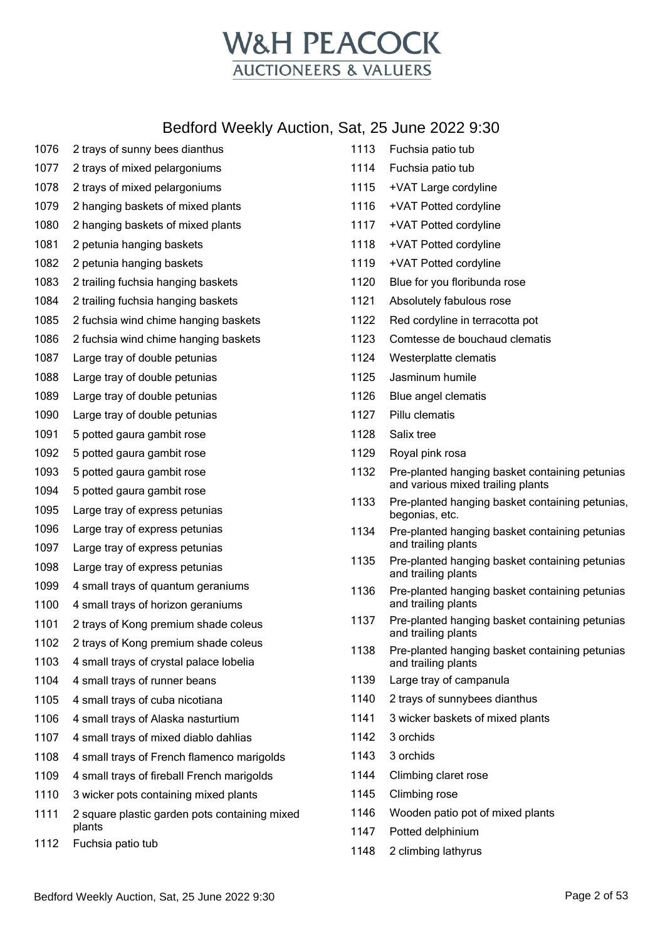

| 1076 | 2 trays of sunny bees dianthus                          |
|------|---------------------------------------------------------|
| 1077 | 2 trays of mixed pelargoniums                           |
| 1078 | 2 trays of mixed pelargoniums                           |
| 1079 | 2 hanging baskets of mixed plants                       |
| 1080 | 2 hanging baskets of mixed plants                       |
| 1081 | 2 petunia hanging baskets                               |
| 1082 | 2 petunia hanging baskets                               |
| 1083 | 2 trailing fuchsia hanging baskets                      |
| 1084 | 2 trailing fuchsia hanging baskets                      |
| 1085 | 2 fuchsia wind chime hanging baskets                    |
| 1086 | 2 fuchsia wind chime hanging baskets                    |
| 1087 | Large tray of double petunias                           |
| 1088 | Large tray of double petunias                           |
| 1089 | Large tray of double petunias                           |
| 1090 | Large tray of double petunias                           |
| 1091 | 5 potted gaura gambit rose                              |
| 1092 | 5 potted gaura gambit rose                              |
| 1093 | 5 potted gaura gambit rose                              |
| 1094 | 5 potted gaura gambit rose                              |
| 1095 | Large tray of express petunias                          |
| 1096 | Large tray of express petunias                          |
| 1097 | Large tray of express petunias                          |
| 1098 | Large tray of express petunias                          |
| 1099 | 4 small trays of quantum geraniums                      |
| 1100 | 4 small trays of horizon geraniums                      |
| 1101 | 2 trays of Kong premium shade coleus                    |
| 1102 | 2 trays of Kong premium shade coleus                    |
| 1103 | 4 small trays of crystal palace lobelia                 |
| 1104 | 4 small trays of runner beans                           |
| 1105 | 4 small trays of cuba nicotiana                         |
| 1106 | 4 small trays of Alaska nasturtium                      |
| 1107 | 4 small trays of mixed diablo dahlias                   |
| 1108 | 4 small trays of French flamenco marigolds              |
| 1109 | 4 small trays of fireball French marigolds              |
| 1110 | 3 wicker pots containing mixed plants                   |
| 1111 | 2 square plastic garden pots containing mixed<br>plants |
| 1112 | Fuchsia patio tub                                       |

Fuchsia patio tub

Fuchsia patio tub

- 1115 +VAT Large cordyline +VAT Potted cordyline
- +VAT Potted cordyline
- +VAT Potted cordyline
- +VAT Potted cordyline
- Blue for you floribunda rose
- Absolutely fabulous rose
- Red cordyline in terracotta pot
- Comtesse de bouchaud clematis
- Westerplatte clematis
- Jasminum humile
- Blue angel clematis
- Pillu clematis
- Salix tree
- Royal pink rosa
- Pre-planted hanging basket containing petunias and various mixed trailing plants
- Pre-planted hanging basket containing petunias, begonias, etc.
- Pre-planted hanging basket containing petunias and trailing plants
- Pre-planted hanging basket containing petunias and trailing plants
- Pre-planted hanging basket containing petunias and trailing plants
- Pre-planted hanging basket containing petunias and trailing plants
- Pre-planted hanging basket containing petunias and trailing plants
- Large tray of campanula
- 2 trays of sunnybees dianthus
- 3 wicker baskets of mixed plants
- 3 orchids
- 3 orchids
- Climbing claret rose
- Climbing rose
- Wooden patio pot of mixed plants
- Potted delphinium
- 2 climbing lathyrus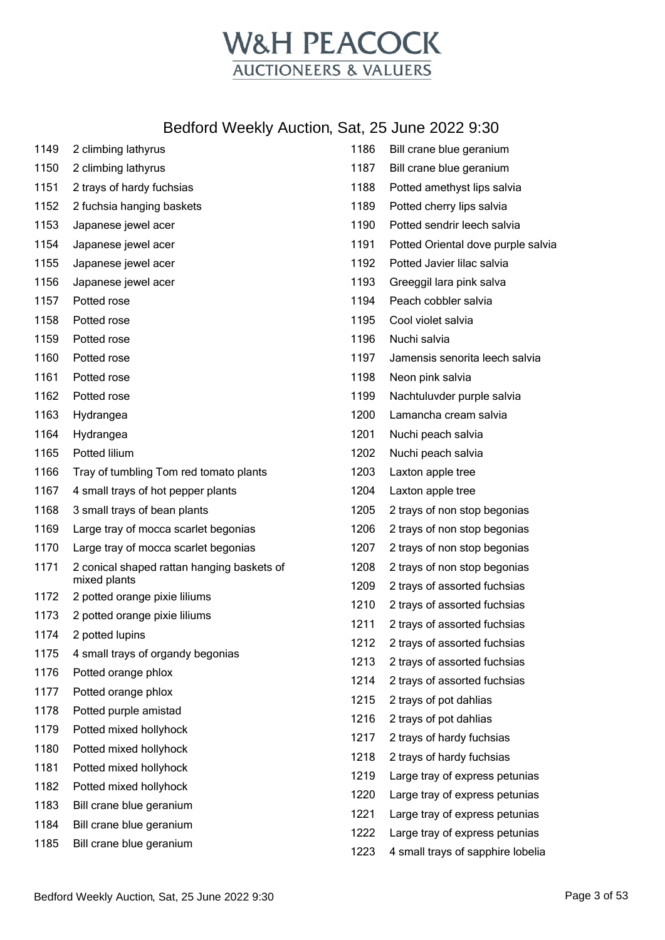

| 1149 | 2 climbing lathyrus                                        |
|------|------------------------------------------------------------|
| 1150 | 2 climbing lathyrus                                        |
| 1151 | 2 trays of hardy fuchsias                                  |
| 1152 | 2 fuchsia hanging baskets                                  |
| 1153 | Japanese jewel acer                                        |
| 1154 | Japanese jewel acer                                        |
| 1155 | Japanese jewel acer                                        |
| 1156 | Japanese jewel acer                                        |
| 1157 | Potted rose                                                |
| 1158 | Potted rose                                                |
| 1159 | Potted rose                                                |
| 1160 | Potted rose                                                |
| 1161 | Potted rose                                                |
| 1162 | Potted rose                                                |
| 1163 | Hydrangea                                                  |
| 1164 | Hydrangea                                                  |
| 1165 | Potted lilium                                              |
| 1166 | Tray of tumbling Tom red tomato plants                     |
| 1167 | 4 small trays of hot pepper plants                         |
| 1168 | 3 small trays of bean plants                               |
| 1169 | Large tray of mocca scarlet begonias                       |
| 1170 | Large tray of mocca scarlet begonias                       |
| 1171 | 2 conical shaped rattan hanging baskets of<br>mixed plants |
| 1172 | 2 potted orange pixie liliums                              |
| 1173 | 2 potted orange pixie liliums                              |
| 1174 | 2 potted lupins                                            |
| 1175 | 4 small trays of organdy begonias                          |
| 1176 | Potted orange phlox                                        |
| 1177 | Potted orange phlox                                        |
| 1178 | Potted purple amistad                                      |
| 1179 | Potted mixed hollyhock                                     |
| 1180 | Potted mixed hollyhock                                     |
| 1181 | Potted mixed hollyhock                                     |
| 1182 | Potted mixed hollyhock                                     |
| 1183 | Bill crane blue geranium                                   |
| 1184 | Bill crane blue geranium                                   |
| 1185 | Bill crane blue geranium                                   |

| 1186 | Bill crane blue geranium           |
|------|------------------------------------|
| 1187 | Bill crane blue geranium           |
| 1188 | Potted amethyst lips salvia        |
| 1189 | Potted cherry lips salvia          |
| 1190 | Potted sendrir leech salvia        |
| 1191 | Potted Oriental dove purple salvia |
| 1192 | Potted Javier lilac salvia         |
| 1193 | Greeggil lara pink salva           |
| 1194 | Peach cobbler salvia               |
| 1195 | Cool violet salvia                 |
| 1196 | Nuchi salvia                       |
| 1197 | Jamensis senorita leech salvia     |
| 1198 | Neon pink salvia                   |
| 1199 | Nachtuluvder purple salvia         |
| 1200 | Lamancha cream salvia              |
| 1201 | Nuchi peach salvia                 |
| 1202 | Nuchi peach salvia                 |
| 1203 | Laxton apple tree                  |
| 1204 | Laxton apple tree                  |
| 1205 | 2 trays of non stop begonias       |
| 1206 | 2 trays of non stop begonias       |
| 1207 | 2 trays of non stop begonias       |
| 1208 | 2 trays of non stop begonias       |
| 1209 | 2 trays of assorted fuchsias       |
| 1210 | 2 trays of assorted fuchsias       |
| 1211 | 2 trays of assorted fuchsias       |
| 1212 | 2 trays of assorted fuchsias       |
| 1213 | 2 trays of assorted fuchsias       |
| 1214 | 2 trays of assorted fuchsias       |
| 1215 | 2 trays of pot dahlias             |
| 1216 | 2 trays of pot dahlias             |
| 1217 | 2 trays of hardy fuchsias          |
| 1218 | 2 trays of hardy fuchsias          |
| 1219 | Large tray of express petunias     |
| 1220 | Large tray of express petunias     |
| 1221 | Large tray of express petunias     |
| 1222 | Large tray of express petunias     |
| 1223 | 4 small trays of sapphire lobelia  |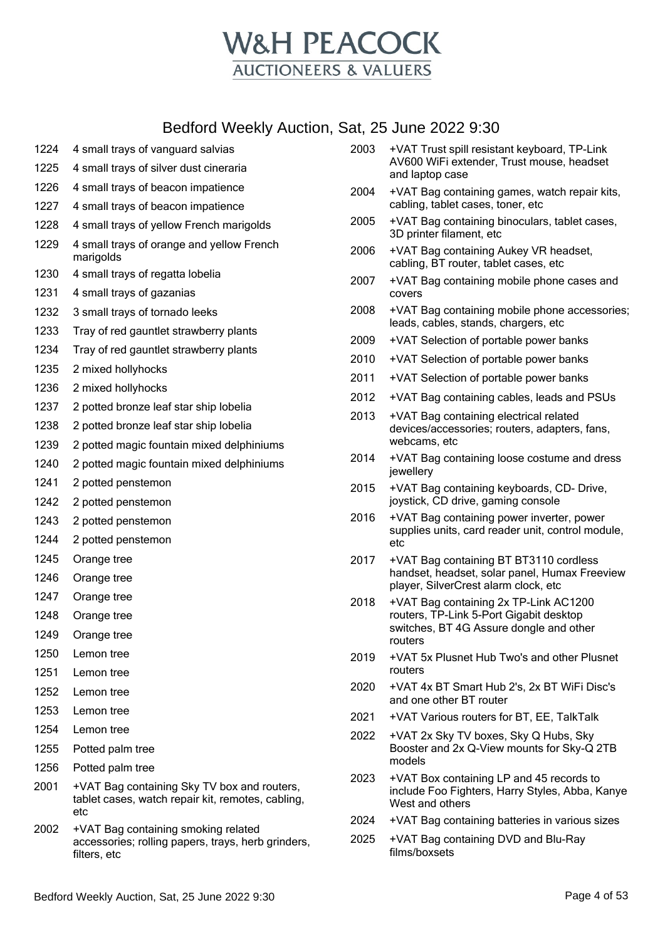

- 4 small trays of vanguard salvias 4 small trays of silver dust cineraria 4 small trays of beacon impatience 4 small trays of beacon impatience 4 small trays of yellow French marigolds 4 small trays of orange and yellow French marigolds 4 small trays of regatta lobelia 4 small trays of gazanias 3 small trays of tornado leeks Tray of red gauntlet strawberry plants Tray of red gauntlet strawberry plants 2 mixed hollyhocks 2 mixed hollyhocks 2 potted bronze leaf star ship lobelia 2 potted bronze leaf star ship lobelia 2 potted magic fountain mixed delphiniums 2 potted magic fountain mixed delphiniums 2 potted penstemon 2 potted penstemon 2 potted penstemon 2 potted penstemon Orange tree Orange tree Orange tree Orange tree Orange tree Lemon tree Lemon tree Lemon tree Lemon tree Lemon tree Potted palm tree Potted palm tree
	- +VAT Bag containing Sky TV box and routers, tablet cases, watch repair kit, remotes, cabling, etc
	- +VAT Bag containing smoking related accessories; rolling papers, trays, herb grinders, filters, etc

| 2003 | +VAT Trust spill resistant keyboard, TP-Link<br>AV600 WiFi extender, Trust mouse, headset<br>and laptop case |
|------|--------------------------------------------------------------------------------------------------------------|
| 2004 | +VAT Bag containing games, watch repair kits,<br>cabling, tablet cases, toner, etc                           |
| 2005 | +VAT Bag containing binoculars, tablet cases,<br>3D printer filament, etc                                    |
| 2006 | +VAT Bag containing Aukey VR headset,<br>cabling, BT router, tablet cases, etc                               |
| 2007 | +VAT Bag containing mobile phone cases and<br>covers                                                         |
| 2008 | +VAT Bag containing mobile phone accessories;<br>leads, cables, stands, chargers, etc                        |
| 2009 | +VAT Selection of portable power banks                                                                       |
| 2010 | +VAT Selection of portable power banks                                                                       |
| 2011 | +VAT Selection of portable power banks                                                                       |
| 2012 | +VAT Bag containing cables, leads and PSUs                                                                   |
| 2013 | +VAT Bag containing electrical related<br>devices/accessories; routers, adapters, fans,<br>webcams, etc      |
| 2014 | +VAT Bag containing loose costume and dress<br>jewellery                                                     |

- +VAT Bag containing keyboards, CD- Drive, joystick, CD drive, gaming console
- +VAT Bag containing power inverter, power supplies units, card reader unit, control module, etc
- +VAT Bag containing BT BT3110 cordless handset, headset, solar panel, Humax Freeview player, SilverCrest alarm clock, etc
- +VAT Bag containing 2x TP-Link AC1200 routers, TP-Link 5-Port Gigabit desktop switches, BT 4G Assure dongle and other routers
- +VAT 5x Plusnet Hub Two's and other Plusnet routers
- +VAT 4x BT Smart Hub 2's, 2x BT WiFi Disc's and one other BT router
- +VAT Various routers for BT, EE, TalkTalk
- +VAT 2x Sky TV boxes, Sky Q Hubs, Sky Booster and 2x Q-View mounts for Sky-Q 2TB models
- +VAT Box containing LP and 45 records to include Foo Fighters, Harry Styles, Abba, Kanye West and others
- +VAT Bag containing batteries in various sizes
- +VAT Bag containing DVD and Blu-Ray films/boxsets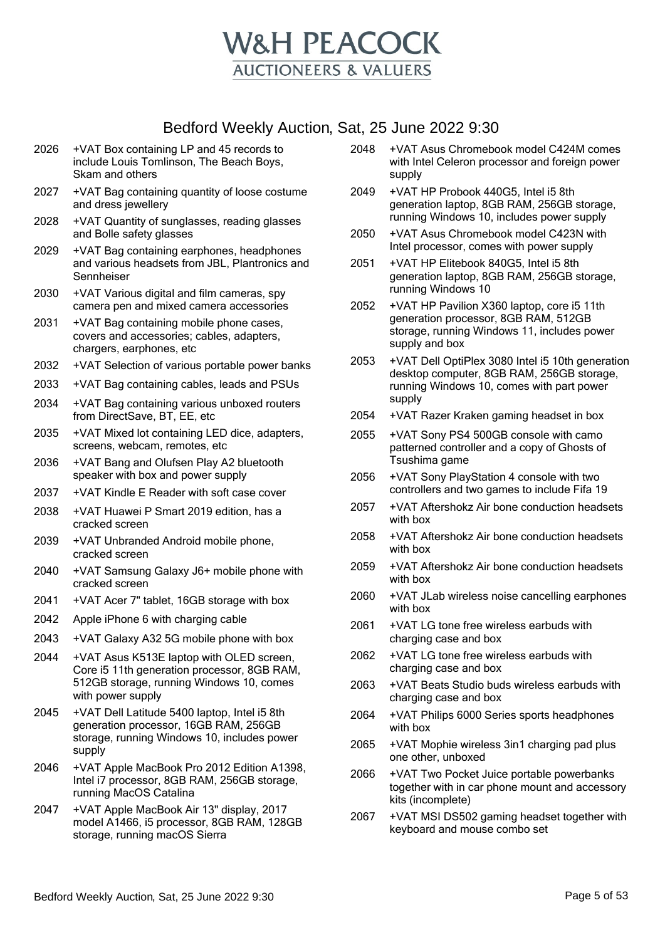

- 2026 +VAT Box containing LP and 45 records to include Louis Tomlinson, The Beach Boys, Skam and others
- 2027 +VAT Bag containing quantity of loose costume and dress jewellery
- 2028 +VAT Quantity of sunglasses, reading glasses and Bolle safety glasses
- 2029 +VAT Bag containing earphones, headphones and various headsets from JBL, Plantronics and Sennheiser
- 2030 +VAT Various digital and film cameras, spy camera pen and mixed camera accessories
- 2031 +VAT Bag containing mobile phone cases, covers and accessories; cables, adapters, chargers, earphones, etc
- 2032 +VAT Selection of various portable power banks
- 2033 +VAT Bag containing cables, leads and PSUs
- 2034 +VAT Bag containing various unboxed routers from DirectSave, BT, EE, etc
- 2035 +VAT Mixed lot containing LED dice, adapters, screens, webcam, remotes, etc
- 2036 +VAT Bang and Olufsen Play A2 bluetooth speaker with box and power supply
- 2037 +VAT Kindle E Reader with soft case cover
- 2038 +VAT Huawei P Smart 2019 edition, has a cracked screen
- 2039 +VAT Unbranded Android mobile phone, cracked screen
- 2040 +VAT Samsung Galaxy J6+ mobile phone with cracked screen
- 2041 +VAT Acer 7" tablet, 16GB storage with box
- 2042 Apple iPhone 6 with charging cable
- 2043 +VAT Galaxy A32 5G mobile phone with box
- 2044 +VAT Asus K513E laptop with OLED screen, Core i5 11th generation processor, 8GB RAM, 512GB storage, running Windows 10, comes with power supply
- 2045 +VAT Dell Latitude 5400 laptop, Intel i5 8th generation processor, 16GB RAM, 256GB storage, running Windows 10, includes power supply
- 2046 +VAT Apple MacBook Pro 2012 Edition A1398, Intel i7 processor, 8GB RAM, 256GB storage, running MacOS Catalina
- 2047 +VAT Apple MacBook Air 13" display, 2017 model A1466, i5 processor, 8GB RAM, 128GB storage, running macOS Sierra
- 2048 +VAT Asus Chromebook model C424M comes with Intel Celeron processor and foreign power supply
- 2049 +VAT HP Probook 440G5, Intel i5 8th generation laptop, 8GB RAM, 256GB storage, running Windows 10, includes power supply
- 2050 +VAT Asus Chromebook model C423N with Intel processor, comes with power supply
- 2051 +VAT HP Elitebook 840G5, Intel i5 8th generation laptop, 8GB RAM, 256GB storage, running Windows 10
- 2052 +VAT HP Pavilion X360 laptop, core i5 11th generation processor, 8GB RAM, 512GB storage, running Windows 11, includes power supply and box
- 2053 +VAT Dell OptiPlex 3080 Intel i5 10th generation desktop computer, 8GB RAM, 256GB storage, running Windows 10, comes with part power supply
- 2054 +VAT Razer Kraken gaming headset in box
- 2055 +VAT Sony PS4 500GB console with camo patterned controller and a copy of Ghosts of Tsushima game
- 2056 +VAT Sony PlayStation 4 console with two controllers and two games to include Fifa 19
- 2057 +VAT Aftershokz Air bone conduction headsets with box
- 2058 +VAT Aftershokz Air bone conduction headsets with box
- 2059 +VAT Aftershokz Air bone conduction headsets with box
- 2060 +VAT JLab wireless noise cancelling earphones with box
- 2061 +VAT LG tone free wireless earbuds with charging case and box
- 2062 +VAT LG tone free wireless earbuds with charging case and box
- 2063 +VAT Beats Studio buds wireless earbuds with charging case and box
- 2064 +VAT Philips 6000 Series sports headphones with box
- 2065 +VAT Mophie wireless 3in1 charging pad plus one other, unboxed
- 2066 +VAT Two Pocket Juice portable powerbanks together with in car phone mount and accessory kits (incomplete)
- 2067 +VAT MSI DS502 gaming headset together with keyboard and mouse combo set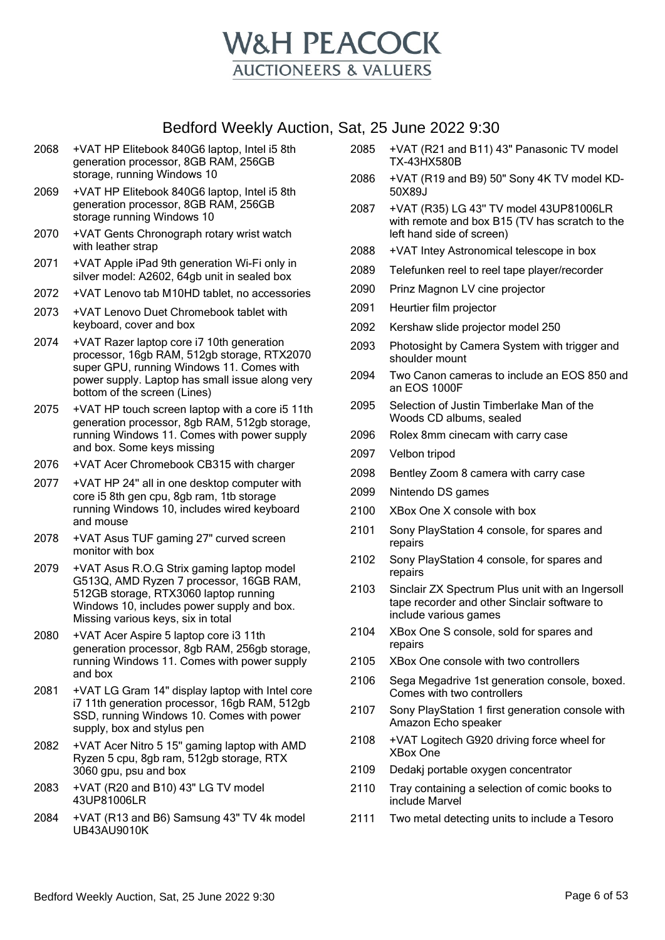

- 2068 +VAT HP Elitebook 840G6 laptop, Intel i5 8th generation processor, 8GB RAM, 256GB storage, running Windows 10
- 2069 +VAT HP Elitebook 840G6 laptop, Intel i5 8th generation processor, 8GB RAM, 256GB storage running Windows 10
- 2070 +VAT Gents Chronograph rotary wrist watch with leather strap
- 2071 +VAT Apple iPad 9th generation Wi-Fi only in silver model: A2602, 64gb unit in sealed box
- 2072 +VAT Lenovo tab M10HD tablet, no accessories
- 2073 +VAT Lenovo Duet Chromebook tablet with keyboard, cover and box
- 2074 +VAT Razer laptop core i7 10th generation processor, 16gb RAM, 512gb storage, RTX2070 super GPU, running Windows 11. Comes with power supply. Laptop has small issue along very bottom of the screen (Lines)
- 2075 +VAT HP touch screen laptop with a core i5 11th generation processor, 8gb RAM, 512gb storage, running Windows 11. Comes with power supply and box. Some keys missing
- 2076 +VAT Acer Chromebook CB315 with charger
- 2077 +VAT HP 24'' all in one desktop computer with core i5 8th gen cpu, 8gb ram, 1tb storage running Windows 10, includes wired keyboard and mouse
- 2078 +VAT Asus TUF gaming 27" curved screen monitor with box
- 2079 +VAT Asus R.O.G Strix gaming laptop model G513Q, AMD Ryzen 7 processor, 16GB RAM, 512GB storage, RTX3060 laptop running Windows 10, includes power supply and box. Missing various keys, six in total
- 2080 +VAT Acer Aspire 5 laptop core i3 11th generation processor, 8gb RAM, 256gb storage, running Windows 11. Comes with power supply and box
- 2081 +VAT LG Gram 14" display laptop with Intel core i7 11th generation processor, 16gb RAM, 512gb SSD, running Windows 10. Comes with power supply, box and stylus pen
- 2082 +VAT Acer Nitro 5 15'' gaming laptop with AMD Ryzen 5 cpu, 8gb ram, 512gb storage, RTX 3060 gpu, psu and box
- 2083 +VAT (R20 and B10) 43" LG TV model 43UP81006LR
- 2084 +VAT (R13 and B6) Samsung 43" TV 4k model UB43AU9010K
- 2085 +VAT (R21 and B11) 43" Panasonic TV model TX-43HX580B
- 2086 +VAT (R19 and B9) 50" Sony 4K TV model KD-50X89J
- 2087 +VAT (R35) LG 43'' TV model 43UP81006LR with remote and box B15 (TV has scratch to the left hand side of screen)
- 2088 +VAT Intey Astronomical telescope in box
- 2089 Telefunken reel to reel tape player/recorder
- 2090 Prinz Magnon LV cine projector
- 2091 Heurtier film projector
- 2092 Kershaw slide projector model 250
- 2093 Photosight by Camera System with trigger and shoulder mount
- 2094 Two Canon cameras to include an EOS 850 and an EOS 1000F
- 2095 Selection of Justin Timberlake Man of the Woods CD albums, sealed
- 2096 Rolex 8mm cinecam with carry case
- 2097 Velbon tripod
- 2098 Bentley Zoom 8 camera with carry case
- 2099 Nintendo DS games
- 2100 XBox One X console with box
- 2101 Sony PlayStation 4 console, for spares and repairs
- 2102 Sony PlayStation 4 console, for spares and repairs
- 2103 Sinclair ZX Spectrum Plus unit with an Ingersoll tape recorder and other Sinclair software to include various games
- 2104 XBox One S console, sold for spares and repairs
- 2105 XBox One console with two controllers
- 2106 Sega Megadrive 1st generation console, boxed. Comes with two controllers
- 2107 Sony PlayStation 1 first generation console with Amazon Echo speaker
- 2108 +VAT Logitech G920 driving force wheel for XBox One
- 2109 Dedakj portable oxygen concentrator
- 2110 Tray containing a selection of comic books to include Marvel
- 2111 Two metal detecting units to include a Tesoro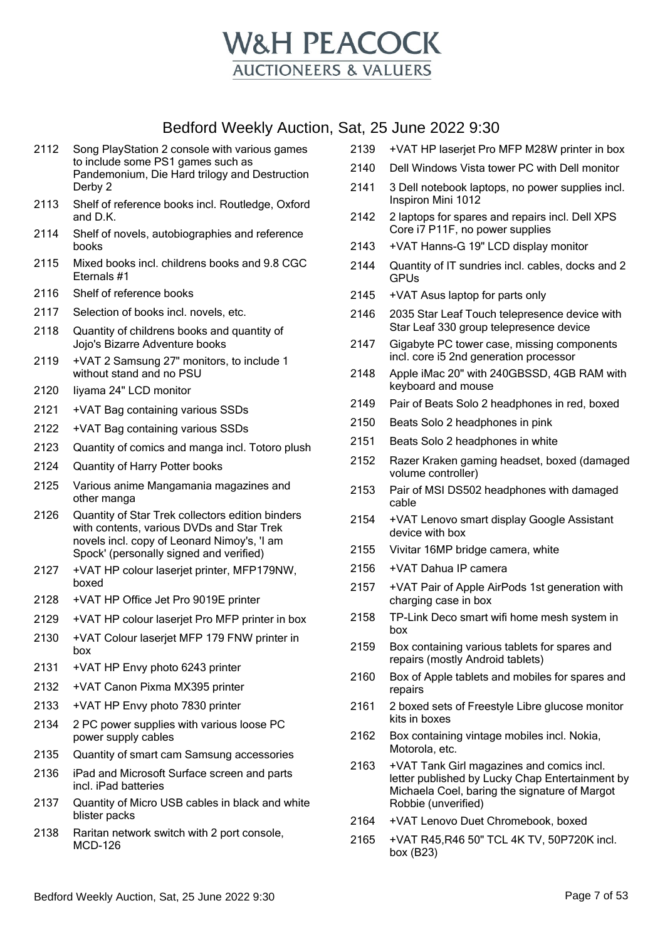

- 2112 Song PlayStation 2 console with various games to include some PS1 games such as Pandemonium, Die Hard trilogy and Destruction Derby 2
- 2113 Shelf of reference books incl. Routledge, Oxford and D.K.
- 2114 Shelf of novels, autobiographies and reference books
- 2115 Mixed books incl. childrens books and 9.8 CGC Eternals #1
- 2116 Shelf of reference books
- 2117 Selection of books incl. novels, etc.
- 2118 Quantity of childrens books and quantity of Jojo's Bizarre Adventure books
- 2119 +VAT 2 Samsung 27" monitors, to include 1 without stand and no PSU
- 2120 Iiyama 24" LCD monitor
- 2121 +VAT Bag containing various SSDs
- 2122 +VAT Bag containing various SSDs
- 2123 Quantity of comics and manga incl. Totoro plush
- 2124 Quantity of Harry Potter books
- 2125 Various anime Mangamania magazines and other manga
- 2126 Quantity of Star Trek collectors edition binders with contents, various DVDs and Star Trek novels incl. copy of Leonard Nimoy's, 'I am Spock' (personally signed and verified)
- 2127 +VAT HP colour laserjet printer, MFP179NW, boxed
- 2128 +VAT HP Office Jet Pro 9019E printer
- 2129 +VAT HP colour laserjet Pro MFP printer in box
- 2130 +VAT Colour laserjet MFP 179 FNW printer in box
- 2131 +VAT HP Envy photo 6243 printer
- 2132 +VAT Canon Pixma MX395 printer
- 2133 +VAT HP Envy photo 7830 printer
- 2134 2 PC power supplies with various loose PC power supply cables
- 2135 Quantity of smart cam Samsung accessories
- 2136 iPad and Microsoft Surface screen and parts incl. iPad batteries
- 2137 Quantity of Micro USB cables in black and white blister packs
- 2138 Raritan network switch with 2 port console, MCD-126
- 2139 +VAT HP laserjet Pro MFP M28W printer in box
- 2140 Dell Windows Vista tower PC with Dell monitor
- 2141 3 Dell notebook laptops, no power supplies incl. Inspiron Mini 1012
- 2142 2 laptops for spares and repairs incl. Dell XPS Core i7 P11F, no power supplies
- 2143 +VAT Hanns-G 19" LCD display monitor
- 2144 Quantity of IT sundries incl. cables, docks and 2 GPUs
- 2145 +VAT Asus laptop for parts only
- 2146 2035 Star Leaf Touch telepresence device with Star Leaf 330 group telepresence device
- 2147 Gigabyte PC tower case, missing components incl. core i5 2nd generation processor
- 2148 Apple iMac 20" with 240GBSSD, 4GB RAM with keyboard and mouse
- 2149 Pair of Beats Solo 2 headphones in red, boxed
- 2150 Beats Solo 2 headphones in pink
- 2151 Beats Solo 2 headphones in white
- 2152 Razer Kraken gaming headset, boxed (damaged volume controller)
- 2153 Pair of MSI DS502 headphones with damaged cable
- 2154 +VAT Lenovo smart display Google Assistant device with box
- 2155 Vivitar 16MP bridge camera, white
- 2156 +VAT Dahua IP camera
- 2157 +VAT Pair of Apple AirPods 1st generation with charging case in box
- 2158 TP-Link Deco smart wifi home mesh system in box
- 2159 Box containing various tablets for spares and repairs (mostly Android tablets)
- 2160 Box of Apple tablets and mobiles for spares and repairs
- 2161 2 boxed sets of Freestyle Libre glucose monitor kits in boxes
- 2162 Box containing vintage mobiles incl. Nokia, Motorola, etc.
- 2163 +VAT Tank Girl magazines and comics incl. letter published by Lucky Chap Entertainment by Michaela Coel, baring the signature of Margot Robbie (unverified)
- 2164 +VAT Lenovo Duet Chromebook, boxed
- 2165 +VAT R45,R46 50" TCL 4K TV, 50P720K incl. box (B23)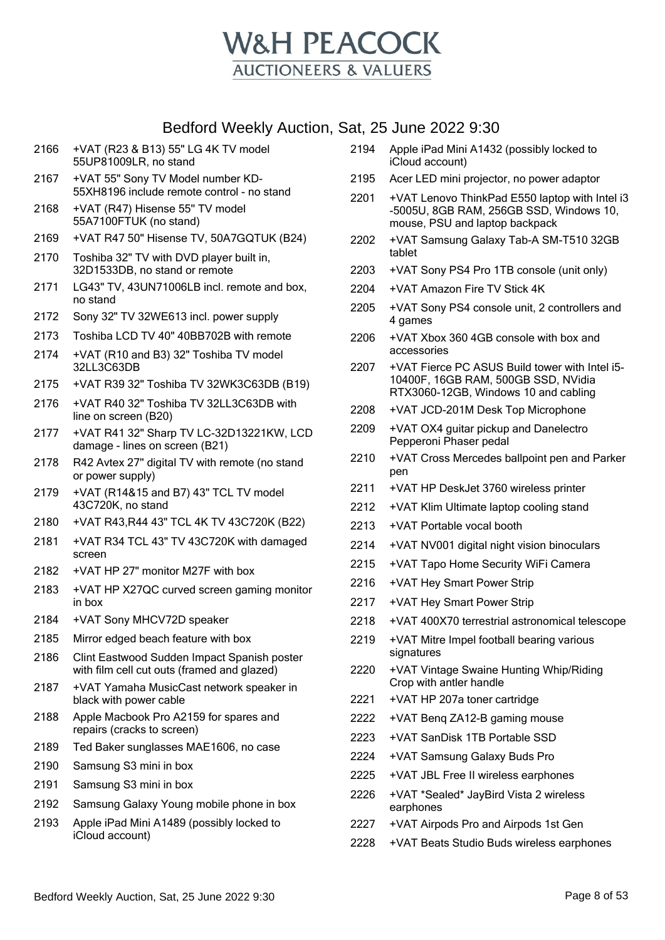

| 2167 | +VAT 55" Sony TV Model number KD-<br>55XH8196 include remote control - no stand            |
|------|--------------------------------------------------------------------------------------------|
| 2168 | +VAT (R47) Hisense 55" TV model<br>55A7100FTUK (no stand)                                  |
| 2169 | +VAT R47 50" Hisense TV, 50A7GQTUK (B24)                                                   |
| 2170 | Toshiba 32" TV with DVD player built in,<br>32D1533DB, no stand or remote                  |
| 2171 | LG43" TV, 43UN71006LB incl. remote and box,<br>no stand                                    |
| 2172 | Sony 32" TV 32WE613 incl. power supply                                                     |
| 2173 | Toshiba LCD TV 40" 40BB702B with remote                                                    |
| 2174 | +VAT (R10 and B3) 32" Toshiba TV model<br>32LL3C63DB                                       |
| 2175 | +VAT R39 32" Toshiba TV 32WK3C63DB (B19)                                                   |
| 2176 | +VAT R40 32" Toshiba TV 32LL3C63DB with<br>line on screen (B20)                            |
| 2177 | +VAT R41 32" Sharp TV LC-32D13221KW, LCD<br>damage - lines on screen (B21)                 |
| 2178 | R42 Avtex 27" digital TV with remote (no stand<br>or power supply)                         |
| 2179 | +VAT (R14&15 and B7) 43" TCL TV model<br>43C720K, no stand                                 |
| 2180 | +VAT R43, R44 43" TCL 4K TV 43C720K (B22)                                                  |
| 2181 | +VAT R34 TCL 43" TV 43C720K with damaged<br>screen                                         |
| 2182 | +VAT HP 27" monitor M27F with box                                                          |
| 2183 | +VAT HP X27QC curved screen gaming monitor<br>in box                                       |
| 2184 | +VAT Sony MHCV72D speaker                                                                  |
| 2185 | Mirror edged beach feature with box                                                        |
| 2186 | Clint Eastwood Sudden Impact Spanish poster<br>with film cell cut outs (framed and glazed) |
| 2187 | +VAT Yamaha MusicCast network speaker in<br>black with power cable                         |
| 2188 | Apple Macbook Pro A2159 for spares and<br>repairs (cracks to screen)                       |
| 2189 | Ted Baker sunglasses MAE1606, no case                                                      |
| 2190 | Samsung S3 mini in box                                                                     |
| 2191 | Samsung S3 mini in box                                                                     |
| 2192 | Samsung Galaxy Young mobile phone in box                                                   |
| 2193 | Apple iPad Mini A1489 (possibly locked to<br>iCloud account)                               |
|      |                                                                                            |

+VAT (R23 & B13) 55" LG 4K TV model

55UP81009LR, no stand

- Apple iPad Mini A1432 (possibly locked to iCloud account)
- Acer LED mini projector, no power adaptor
- +VAT Lenovo ThinkPad E550 laptop with Intel i3 -5005U, 8GB RAM, 256GB SSD, Windows 10, mouse, PSU and laptop backpack
- +VAT Samsung Galaxy Tab-A SM-T510 32GB tablet
- +VAT Sony PS4 Pro 1TB console (unit only)
- +VAT Amazon Fire TV Stick 4K
- +VAT Sony PS4 console unit, 2 controllers and 4 games
- +VAT Xbox 360 4GB console with box and accessories
- +VAT Fierce PC ASUS Build tower with Intel i5- 10400F, 16GB RAM, 500GB SSD, NVidia RTX3060-12GB, Windows 10 and cabling
- +VAT JCD-201M Desk Top Microphone
- +VAT OX4 guitar pickup and Danelectro Pepperoni Phaser pedal
- +VAT Cross Mercedes ballpoint pen and Parker pen
- +VAT HP DeskJet 3760 wireless printer
- +VAT Klim Ultimate laptop cooling stand
- +VAT Portable vocal booth
- +VAT NV001 digital night vision binoculars
- +VAT Tapo Home Security WiFi Camera
- +VAT Hey Smart Power Strip
- +VAT Hey Smart Power Strip
- +VAT 400X70 terrestrial astronomical telescope
- +VAT Mitre Impel football bearing various signatures
- +VAT Vintage Swaine Hunting Whip/Riding Crop with antler handle
- +VAT HP 207a toner cartridge
- +VAT Benq ZA12-B gaming mouse
- +VAT SanDisk 1TB Portable SSD
- +VAT Samsung Galaxy Buds Pro
- +VAT JBL Free II wireless earphones
- +VAT \*Sealed\* JayBird Vista 2 wireless earphones
- +VAT Airpods Pro and Airpods 1st Gen
- +VAT Beats Studio Buds wireless earphones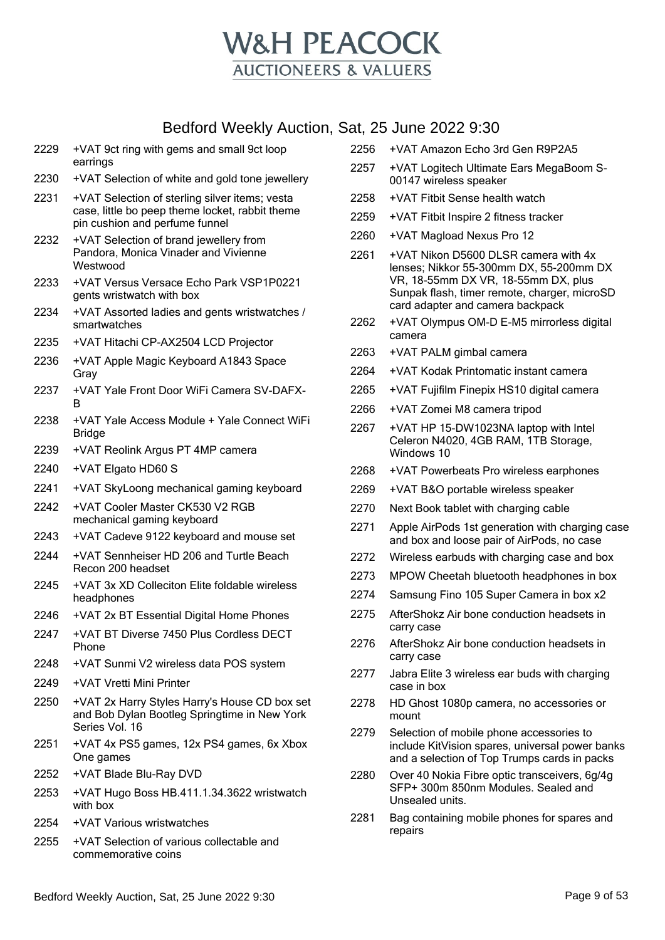

| 2229 | +VAT 9ct ring with gems and small 9ct loop<br>earrings                                                                              |
|------|-------------------------------------------------------------------------------------------------------------------------------------|
| 2230 | +VAT Selection of white and gold tone jewellery                                                                                     |
| 2231 | +VAT Selection of sterling silver items; vesta<br>case, little bo peep theme locket, rabbit theme<br>pin cushion and perfume funnel |
| 2232 | +VAT Selection of brand jewellery from<br>Pandora, Monica Vinader and Vivienne<br>Westwood                                          |
| 2233 | +VAT Versus Versace Echo Park VSP1P0221<br>gents wristwatch with box                                                                |
| 2234 | +VAT Assorted ladies and gents wristwatches /<br>smartwatches                                                                       |
| 2235 | +VAT Hitachi CP-AX2504 LCD Projector                                                                                                |
| 2236 | +VAT Apple Magic Keyboard A1843 Space<br>Gray                                                                                       |
| 2237 | +VAT Yale Front Door WiFi Camera SV-DAFX-<br>B                                                                                      |
| 2238 | +VAT Yale Access Module + Yale Connect WiFi<br><b>Bridge</b>                                                                        |
| 2239 | +VAT Reolink Argus PT 4MP camera                                                                                                    |
| 2240 | +VAT Elgato HD60 S                                                                                                                  |
| 2241 | +VAT SkyLoong mechanical gaming keyboard                                                                                            |
| 2242 | +VAT Cooler Master CK530 V2 RGB<br>mechanical gaming keyboard                                                                       |
| 2243 | +VAT Cadeve 9122 keyboard and mouse set                                                                                             |
| 2244 | +VAT Sennheiser HD 206 and Turtle Beach<br>Recon 200 headset                                                                        |
| 2245 | +VAT 3x XD Colleciton Elite foldable wireless<br>headphones                                                                         |
| 2246 | +VAT 2x BT Essential Digital Home Phones                                                                                            |
| 2247 | +VAT BT Diverse 7450 Plus Cordless DECT<br>Phone                                                                                    |
| 2248 | +VAT Sunmi V2 wireless data POS system                                                                                              |
| 2249 | +VAT Vretti Mini Printer                                                                                                            |
| 2250 | +VAT 2x Harry Styles Harry's House CD box set<br>and Bob Dylan Bootleg Springtime in New York<br>Series Vol. 16                     |
| 2251 | +VAT 4x PS5 games, 12x PS4 games, 6x Xbox<br>One games                                                                              |
| 2252 | +VAT Blade Blu-Ray DVD                                                                                                              |
| 2253 | +VAT Hugo Boss HB.411.1.34.3622 wristwatch<br>with box                                                                              |
| 2254 | +VAT Various wristwatches                                                                                                           |

2255 +VAT Selection of various collectable and commemorative coins

- 2256 +VAT Amazon Echo 3rd Gen R9P2A5
- 2257 +VAT Logitech Ultimate Ears MegaBoom S-00147 wireless speaker
- 2258 +VAT Fitbit Sense health watch
- 2259 +VAT Fitbit Inspire 2 fitness tracker
- 2260 +VAT Magload Nexus Pro 12
- 2261 +VAT Nikon D5600 DLSR camera with 4x lenses; Nikkor 55-300mm DX, 55-200mm DX VR, 18-55mm DX VR, 18-55mm DX, plus Sunpak flash, timer remote, charger, microSD card adapter and camera backpack
- 2262 +VAT Olympus OM-D E-M5 mirrorless digital camera
- 2263 +VAT PALM gimbal camera
- 2264 +VAT Kodak Printomatic instant camera
- 2265 +VAT Fujifilm Finepix HS10 digital camera
- 2266 +VAT Zomei M8 camera tripod
- 2267 +VAT HP 15-DW1023NA laptop with Intel Celeron N4020, 4GB RAM, 1TB Storage, Windows 10
- 2268 +VAT Powerbeats Pro wireless earphones
- 2269 +VAT B&O portable wireless speaker
- 2270 Next Book tablet with charging cable
- 2271 Apple AirPods 1st generation with charging case and box and loose pair of AirPods, no case
- 2272 Wireless earbuds with charging case and box
- 2273 MPOW Cheetah bluetooth headphones in box
- 2274 Samsung Fino 105 Super Camera in box x2
- 2275 AfterShokz Air bone conduction headsets in carry case
- 2276 AfterShokz Air bone conduction headsets in carry case
- 2277 Jabra Elite 3 wireless ear buds with charging case in box
- 2278 HD Ghost 1080p camera, no accessories or mount
- 2279 Selection of mobile phone accessories to include KitVision spares, universal power banks and a selection of Top Trumps cards in packs
- 2280 Over 40 Nokia Fibre optic transceivers, 6g/4g SFP+ 300m 850nm Modules. Sealed and Unsealed units.
- 2281 Bag containing mobile phones for spares and repairs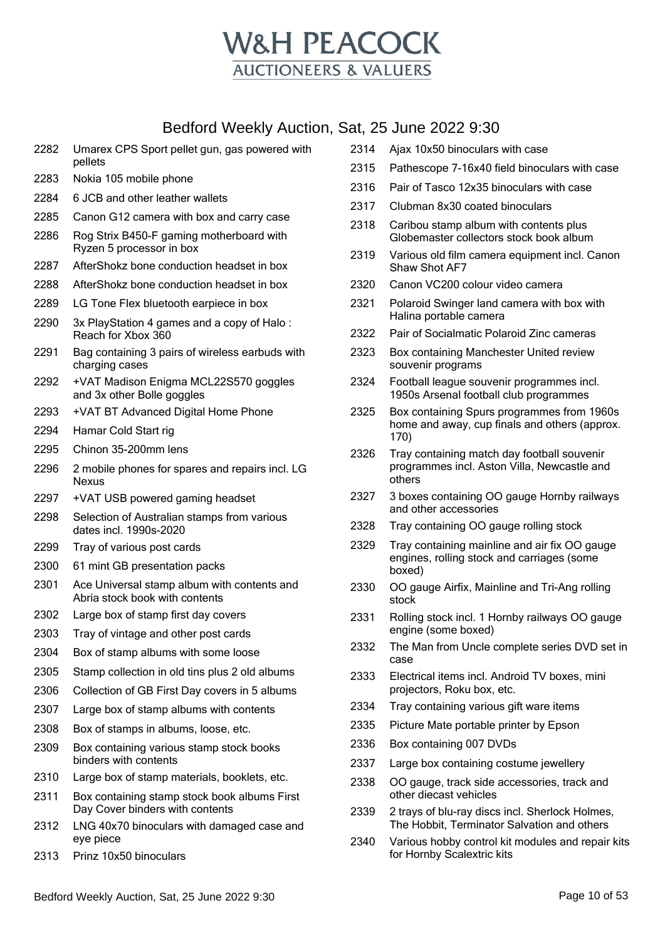

- Umarex CPS Sport pellet gun, gas powered with pellets
- Nokia 105 mobile phone
- 6 JCB and other leather wallets
- Canon G12 camera with box and carry case
- Rog Strix B450-F gaming motherboard with Ryzen 5 processor in box
- AfterShokz bone conduction headset in box
- AfterShokz bone conduction headset in box
- LG Tone Flex bluetooth earpiece in box
- 3x PlayStation 4 games and a copy of Halo : Reach for Xbox 360
- Bag containing 3 pairs of wireless earbuds with charging cases
- +VAT Madison Enigma MCL22S570 goggles and 3x other Bolle goggles
- +VAT BT Advanced Digital Home Phone
- Hamar Cold Start rig
- Chinon 35-200mm lens
- 2 mobile phones for spares and repairs incl. LG Nexus
- +VAT USB powered gaming headset
- Selection of Australian stamps from various dates incl. 1990s-2020
- Tray of various post cards
- 61 mint GB presentation packs
- Ace Universal stamp album with contents and Abria stock book with contents
- Large box of stamp first day covers
- Tray of vintage and other post cards
- Box of stamp albums with some loose
- Stamp collection in old tins plus 2 old albums
- Collection of GB First Day covers in 5 albums
- Large box of stamp albums with contents
- Box of stamps in albums, loose, etc.
- Box containing various stamp stock books binders with contents
- Large box of stamp materials, booklets, etc.
- Box containing stamp stock book albums First Day Cover binders with contents
- LNG 40x70 binoculars with damaged case and eye piece
- Prinz 10x50 binoculars
- Ajax 10x50 binoculars with case
- Pathescope 7-16x40 field binoculars with case
- Pair of Tasco 12x35 binoculars with case
- Clubman 8x30 coated binoculars
- Caribou stamp album with contents plus Globemaster collectors stock book album
- Various old film camera equipment incl. Canon Shaw Shot AF7
- Canon VC200 colour video camera
- Polaroid Swinger land camera with box with Halina portable camera
- Pair of Socialmatic Polaroid Zinc cameras
- Box containing Manchester United review souvenir programs
- Football league souvenir programmes incl. 1950s Arsenal football club programmes
- Box containing Spurs programmes from 1960s home and away, cup finals and others (approx. 170)
- Tray containing match day football souvenir programmes incl. Aston Villa, Newcastle and others
- 3 boxes containing OO gauge Hornby railways and other accessories
- Tray containing OO gauge rolling stock
- Tray containing mainline and air fix OO gauge engines, rolling stock and carriages (some boxed)
- OO gauge Airfix, Mainline and Tri-Ang rolling stock
- Rolling stock incl. 1 Hornby railways OO gauge engine (some boxed)
- The Man from Uncle complete series DVD set in case
- Electrical items incl. Android TV boxes, mini projectors, Roku box, etc.
- Tray containing various gift ware items
- Picture Mate portable printer by Epson
- Box containing 007 DVDs
- Large box containing costume jewellery
- OO gauge, track side accessories, track and other diecast vehicles
- 2 trays of blu-ray discs incl. Sherlock Holmes, The Hobbit, Terminator Salvation and others
- Various hobby control kit modules and repair kits for Hornby Scalextric kits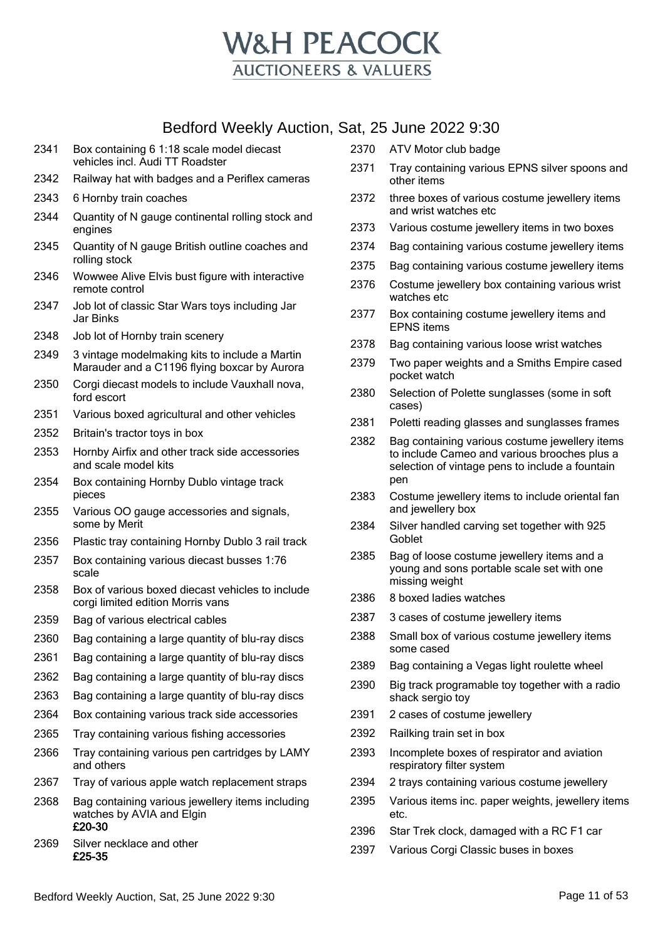

- Box containing 6 1:18 scale model diecast vehicles incl. Audi TT Roadster
- Railway hat with badges and a Periflex cameras
- 6 Hornby train coaches
- Quantity of N gauge continental rolling stock and engines
- Quantity of N gauge British outline coaches and rolling stock
- Wowwee Alive Elvis bust figure with interactive remote control
- Job lot of classic Star Wars toys including Jar Jar Binks
- Job lot of Hornby train scenery
- 3 vintage modelmaking kits to include a Martin Marauder and a C1196 flying boxcar by Aurora
- Corgi diecast models to include Vauxhall nova, ford escort
- Various boxed agricultural and other vehicles
- Britain's tractor toys in box
- Hornby Airfix and other track side accessories and scale model kits
- Box containing Hornby Dublo vintage track pieces
- Various OO gauge accessories and signals, some by Merit
- Plastic tray containing Hornby Dublo 3 rail track
- Box containing various diecast busses 1:76 scale
- Box of various boxed diecast vehicles to include corgi limited edition Morris vans
- Bag of various electrical cables
- Bag containing a large quantity of blu-ray discs
- Bag containing a large quantity of blu-ray discs
- Bag containing a large quantity of blu-ray discs
- Bag containing a large quantity of blu-ray discs
- Box containing various track side accessories
- Tray containing various fishing accessories
- Tray containing various pen cartridges by LAMY and others
- Tray of various apple watch replacement straps
- Bag containing various jewellery items including watches by AVIA and Elgin £20-30
- Silver necklace and other £25-35
- ATV Motor club badge
- Tray containing various EPNS silver spoons and other items
- three boxes of various costume jewellery items and wrist watches etc
- Various costume jewellery items in two boxes
- Bag containing various costume jewellery items
- Bag containing various costume jewellery items
- Costume jewellery box containing various wrist watches etc
- Box containing costume jewellery items and EPNS items
- Bag containing various loose wrist watches
- Two paper weights and a Smiths Empire cased pocket watch
- Selection of Polette sunglasses (some in soft cases)
- 2381 Poletti reading glasses and sunglasses frames
- Bag containing various costume jewellery items to include Cameo and various brooches plus a selection of vintage pens to include a fountain pen
- Costume jewellery items to include oriental fan and jewellery box
- Silver handled carving set together with 925 Goblet
- Bag of loose costume jewellery items and a young and sons portable scale set with one missing weight
- 8 boxed ladies watches
- 3 cases of costume jewellery items
- Small box of various costume jewellery items some cased
- Bag containing a Vegas light roulette wheel
- Big track programable toy together with a radio shack sergio toy
- 2 cases of costume jewellery
- Railking train set in box
- Incomplete boxes of respirator and aviation respiratory filter system
- 2 trays containing various costume jewellery
- Various items inc. paper weights, jewellery items etc.
- Star Trek clock, damaged with a RC F1 car
- Various Corgi Classic buses in boxes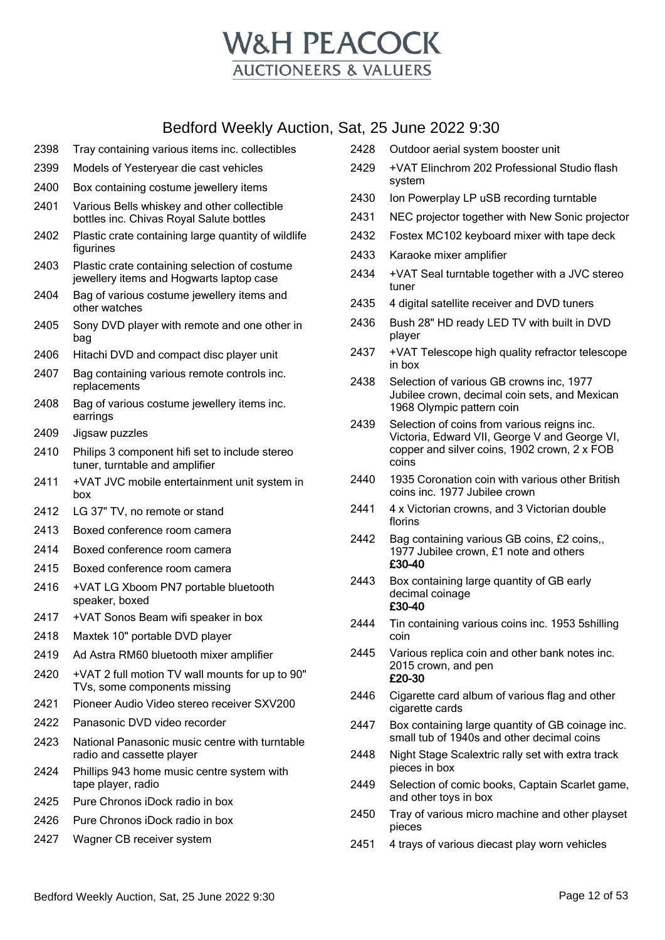

- 2398 Tray containing various items inc. collectibles
- 2399 Models of Yesteryear die cast vehicles
- 2400 Box containing costume jewellery items
- 2401 Various Bells whiskey and other collectible bottles inc. Chivas Royal Salute bottles
- 2402 Plastic crate containing large quantity of wildlife figurines
- 2403 Plastic crate containing selection of costume jewellery items and Hogwarts laptop case
- 2404 Bag of various costume jewellery items and other watches
- 2405 Sony DVD player with remote and one other in bag
- 2406 Hitachi DVD and compact disc player unit
- 2407 Bag containing various remote controls inc. replacements
- 2408 Bag of various costume jewellery items inc. earrings
- 2409 Jigsaw puzzles
- 2410 Philips 3 component hifi set to include stereo tuner, turntable and amplifier
- 2411 +VAT JVC mobile entertainment unit system in box
- 2412 LG 37" TV, no remote or stand
- 2413 Boxed conference room camera
- 2414 Boxed conference room camera
- 2415 Boxed conference room camera
- 2416 +VAT LG Xboom PN7 portable bluetooth speaker, boxed
- 2417 +VAT Sonos Beam wifi speaker in box
- 2418 Maxtek 10" portable DVD player
- 2419 Ad Astra RM60 bluetooth mixer amplifier
- 2420 +VAT 2 full motion TV wall mounts for up to 90" TVs, some components missing
- 2421 Pioneer Audio Video stereo receiver SXV200
- 2422 Panasonic DVD video recorder
- 2423 National Panasonic music centre with turntable radio and cassette player
- 2424 Phillips 943 home music centre system with tape player, radio
- 2425 Pure Chronos iDock radio in box
- 2426 Pure Chronos iDock radio in box
- 2427 Wagner CB receiver system
- 2428 Outdoor aerial system booster unit
- 2429 +VAT Elinchrom 202 Professional Studio flash system
- 2430 Ion Powerplay LP uSB recording turntable
- 2431 NEC projector together with New Sonic projector
- 2432 Fostex MC102 keyboard mixer with tape deck
- 2433 Karaoke mixer amplifier
- 2434 +VAT Seal turntable together with a JVC stereo tuner
- 2435 4 digital satellite receiver and DVD tuners
- 2436 Bush 28" HD ready LED TV with built in DVD player
- 2437 +VAT Telescope high quality refractor telescope in box
- 2438 Selection of various GB crowns inc, 1977 Jubilee crown, decimal coin sets, and Mexican 1968 Olympic pattern coin
- 2439 Selection of coins from various reigns inc. Victoria, Edward VII, George V and George VI, copper and silver coins, 1902 crown, 2 x FOB coins
- 2440 1935 Coronation coin with various other British coins inc. 1977 Jubilee crown
- 2441 4 x Victorian crowns, and 3 Victorian double florins
- 2442 Bag containing various GB coins, £2 coins,, 1977 Jubilee crown, £1 note and others £30-40
- 2443 Box containing large quantity of GB early decimal coinage £30-40
- 2444 Tin containing various coins inc. 1953 5shilling coin
- 2445 Various replica coin and other bank notes inc. 2015 crown, and pen £20-30
- 2446 Cigarette card album of various flag and other cigarette cards
- 2447 Box containing large quantity of GB coinage inc. small tub of 1940s and other decimal coins
- 2448 Night Stage Scalextric rally set with extra track pieces in box
- 2449 Selection of comic books, Captain Scarlet game, and other toys in box
- 2450 Tray of various micro machine and other playset pieces
- 2451 4 trays of various diecast play worn vehicles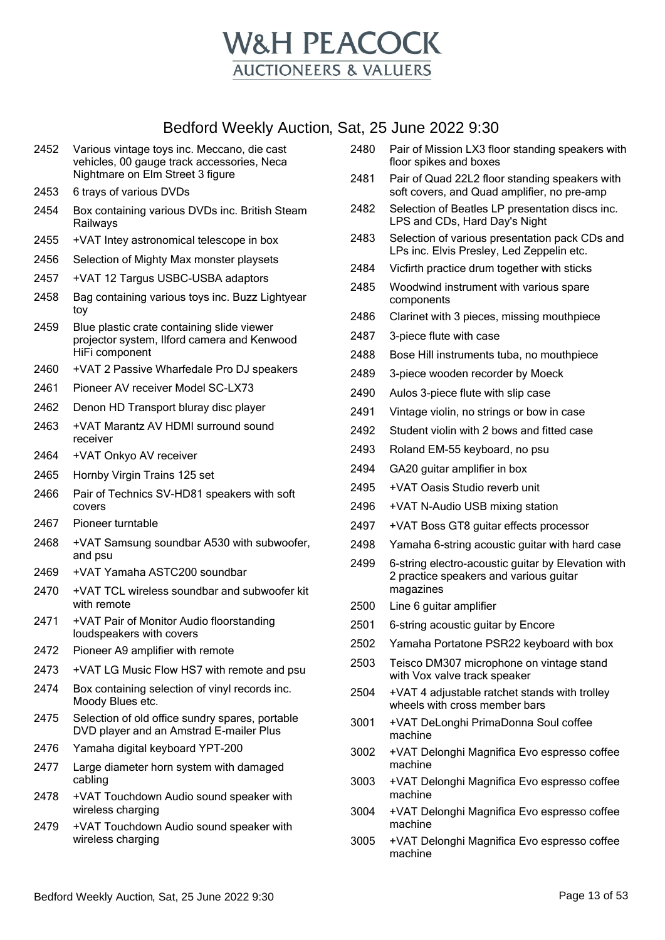

| 2455 | +VAT Intey astronomical telescope in box                                                                    |
|------|-------------------------------------------------------------------------------------------------------------|
| 2456 | Selection of Mighty Max monster playsets                                                                    |
| 2457 | +VAT 12 Targus USBC-USBA adaptors                                                                           |
| 2458 | Bag containing various toys inc. Buzz Lightyear<br>toy                                                      |
| 2459 | Blue plastic crate containing slide viewer<br>projector system, Ilford camera and Kenwood<br>HiFi component |
| 2460 | +VAT 2 Passive Wharfedale Pro DJ speakers                                                                   |
| 2461 | Pioneer AV receiver Model SC-LX73                                                                           |
| 2462 | Denon HD Transport bluray disc player                                                                       |
| 2463 | +VAT Marantz AV HDMI surround sound<br>receiver                                                             |
| 2464 | +VAT Onkyo AV receiver                                                                                      |
| 2465 | Hornby Virgin Trains 125 set                                                                                |
| 2466 | Pair of Technics SV-HD81 speakers with soft<br>covers                                                       |
| 2467 | Pioneer turntable                                                                                           |
| 2468 | +VAT Samsung soundbar A530 with subwoofer,<br>and psu                                                       |
| 2469 | +VAT Yamaha ASTC200 soundbar                                                                                |
| 2470 | +VAT TCL wireless soundbar and subwoofer kit<br>with remote                                                 |
| 2471 | +VAT Pair of Monitor Audio floorstanding<br>loudspeakers with covers                                        |
| 2472 | Pioneer A9 amplifier with remote                                                                            |
| 2473 | +VAT LG Music Flow HS7 with remote and psu                                                                  |
| 2474 | Box containing selection of vinyl records inc.<br>Moody Blues etc.                                          |
| 2475 | Selection of old office sundry spares, portable<br>DVD player and an Amstrad E-mailer Plus                  |
| 2476 | Yamaha digital keyboard YPT-200                                                                             |
| 2477 | Large diameter horn system with damaged<br>cabling                                                          |
| 2478 | +VAT Touchdown Audio sound speaker with<br>wireless charging                                                |
| 2479 | +VAT Touchdown Audio sound speaker with                                                                     |

Various vintage toys inc. Meccano, die cast

Nightmare on Elm Street 3 figure

6 trays of various DVDs

Railways

vehicles, 00 gauge track accessories, Neca

Box containing various DVDs inc. British Steam

| 2480 Pair of Mission LX3 floor standing speakers with |
|-------------------------------------------------------|
| floor spikes and boxes                                |

- Pair of Quad 22L2 floor standing speakers with soft covers, and Quad amplifier, no pre-amp
- Selection of Beatles LP presentation discs inc. LPS and CDs, Hard Day's Night
- Selection of various presentation pack CDs and LPs inc. Elvis Presley, Led Zeppelin etc.
- Vicfirth practice drum together with sticks
- Woodwind instrument with various spare components
- Clarinet with 3 pieces, missing mouthpiece
- 3-piece flute with case
- Bose Hill instruments tuba, no mouthpiece
- 3-piece wooden recorder by Moeck
- Aulos 3-piece flute with slip case
- Vintage violin, no strings or bow in case
- Student violin with 2 bows and fitted case
- Roland EM-55 keyboard, no psu
- GA20 guitar amplifier in box
- +VAT Oasis Studio reverb unit
- +VAT N-Audio USB mixing station
- +VAT Boss GT8 guitar effects processor
- Yamaha 6-string acoustic guitar with hard case
- 6-string electro-acoustic guitar by Elevation with 2 practice speakers and various guitar magazines
- Line 6 guitar amplifier
- 6-string acoustic guitar by Encore
- Yamaha Portatone PSR22 keyboard with box
- Teisco DM307 microphone on vintage stand with Vox valve track speaker
- +VAT 4 adjustable ratchet stands with trolley wheels with cross member bars
- +VAT DeLonghi PrimaDonna Soul coffee machine
- +VAT Delonghi Magnifica Evo espresso coffee machine
- +VAT Delonghi Magnifica Evo espresso coffee machine
- +VAT Delonghi Magnifica Evo espresso coffee machine
- +VAT Delonghi Magnifica Evo espresso coffee machine

wireless charging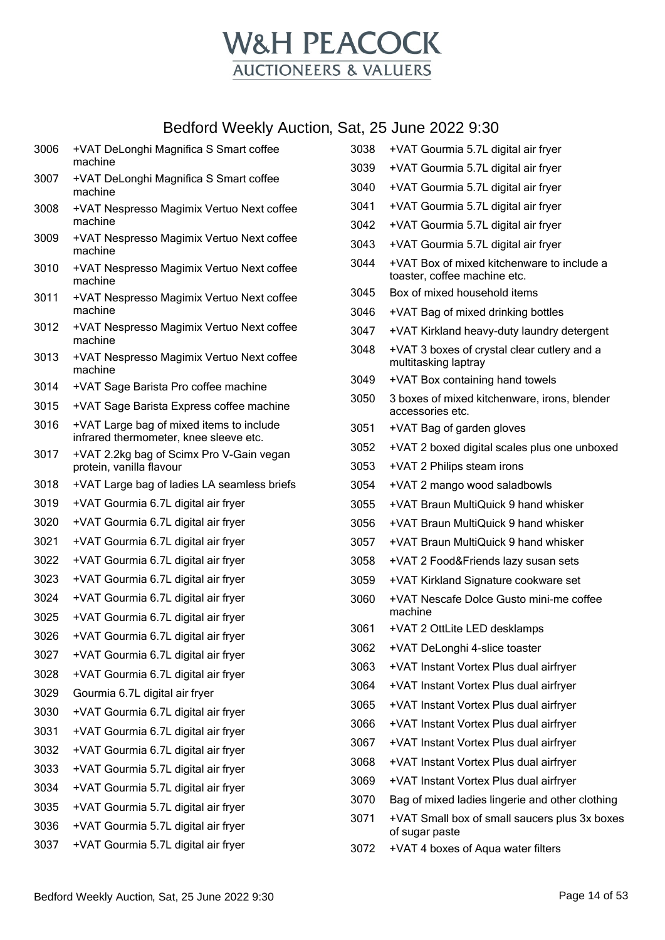

| 3006 | +VAT DeLonghi Magnifica S Smart coffee<br>machine                                  | 3038 | +VAT Gourmia 5.7L digital air fryer                                                       |
|------|------------------------------------------------------------------------------------|------|-------------------------------------------------------------------------------------------|
| 3007 | +VAT DeLonghi Magnifica S Smart coffee                                             | 3039 | +VAT Gourmia 5.7L digital air fryer                                                       |
|      | machine                                                                            | 3040 | +VAT Gourmia 5.7L digital air fryer                                                       |
| 3008 | +VAT Nespresso Magimix Vertuo Next coffee                                          | 3041 | +VAT Gourmia 5.7L digital air fryer                                                       |
| 3009 | machine                                                                            | 3042 | +VAT Gourmia 5.7L digital air fryer                                                       |
|      | +VAT Nespresso Magimix Vertuo Next coffee<br>machine                               | 3043 | +VAT Gourmia 5.7L digital air fryer                                                       |
| 3010 | +VAT Nespresso Magimix Vertuo Next coffee<br>machine                               | 3044 | +VAT Box of mixed kitchenware to include a<br>toaster, coffee machine etc.                |
| 3011 | +VAT Nespresso Magimix Vertuo Next coffee                                          | 3045 | Box of mixed household items                                                              |
|      | machine                                                                            | 3046 | +VAT Bag of mixed drinking bottles                                                        |
| 3012 | +VAT Nespresso Magimix Vertuo Next coffee<br>machine                               | 3047 | +VAT Kirkland heavy-duty laundry detergent                                                |
| 3013 | +VAT Nespresso Magimix Vertuo Next coffee<br>machine                               | 3048 | +VAT 3 boxes of crystal clear cutlery and a<br>multitasking laptray                       |
| 3014 | +VAT Sage Barista Pro coffee machine                                               | 3049 | +VAT Box containing hand towels                                                           |
| 3015 | +VAT Sage Barista Express coffee machine                                           | 3050 | 3 boxes of mixed kitchenware, irons, blender<br>accessories etc.                          |
| 3016 | +VAT Large bag of mixed items to include<br>infrared thermometer, knee sleeve etc. | 3051 | +VAT Bag of garden gloves                                                                 |
| 3017 | +VAT 2.2kg bag of Scimx Pro V-Gain vegan                                           | 3052 | +VAT 2 boxed digital scales plus one unboxed                                              |
|      | protein, vanilla flavour                                                           | 3053 | +VAT 2 Philips steam irons                                                                |
| 3018 | +VAT Large bag of ladies LA seamless briefs                                        | 3054 | +VAT 2 mango wood saladbowls                                                              |
| 3019 | +VAT Gourmia 6.7L digital air fryer                                                | 3055 | +VAT Braun MultiQuick 9 hand whisker                                                      |
| 3020 | +VAT Gourmia 6.7L digital air fryer                                                | 3056 | +VAT Braun MultiQuick 9 hand whisker                                                      |
| 3021 | +VAT Gourmia 6.7L digital air fryer                                                | 3057 | +VAT Braun MultiQuick 9 hand whisker                                                      |
| 3022 | +VAT Gourmia 6.7L digital air fryer                                                | 3058 | +VAT 2 Food&Friends lazy susan sets                                                       |
| 3023 | +VAT Gourmia 6.7L digital air fryer                                                | 3059 | +VAT Kirkland Signature cookware set                                                      |
| 3024 | +VAT Gourmia 6.7L digital air fryer                                                | 3060 | +VAT Nescafe Dolce Gusto mini-me coffee                                                   |
| 3025 | +VAT Gourmia 6.7L digital air fryer                                                | 3061 | machine<br>+VAT 2 OttLite LED desklamps                                                   |
| 3026 | +VAT Gourmia 6.7L digital air fryer                                                | 3062 | +VAT DeLonghi 4-slice toaster                                                             |
| 3027 | +VAT Gourmia 6.7L digital air fryer                                                | 3063 | +VAT Instant Vortex Plus dual airfryer                                                    |
| 3028 | +VAT Gourmia 6.7L digital air fryer                                                | 3064 | +VAT Instant Vortex Plus dual airfryer                                                    |
| 3029 | Gourmia 6.7L digital air fryer                                                     | 3065 | +VAT Instant Vortex Plus dual airfryer                                                    |
| 3030 | +VAT Gourmia 6.7L digital air fryer                                                | 3066 | +VAT Instant Vortex Plus dual airfryer                                                    |
| 3031 | +VAT Gourmia 6.7L digital air fryer                                                | 3067 | +VAT Instant Vortex Plus dual airfryer                                                    |
| 3032 | +VAT Gourmia 6.7L digital air fryer                                                | 3068 | +VAT Instant Vortex Plus dual airfryer                                                    |
| 3033 | +VAT Gourmia 5.7L digital air fryer                                                | 3069 |                                                                                           |
| 3034 | +VAT Gourmia 5.7L digital air fryer                                                | 3070 | +VAT Instant Vortex Plus dual airfryer<br>Bag of mixed ladies lingerie and other clothing |
| 3035 | +VAT Gourmia 5.7L digital air fryer                                                | 3071 |                                                                                           |
| 3036 | +VAT Gourmia 5.7L digital air fryer                                                |      | +VAT Small box of small saucers plus 3x boxes<br>of sugar paste                           |
| 3037 | +VAT Gourmia 5.7L digital air fryer                                                | 3072 | +VAT 4 boxes of Aqua water filters                                                        |
|      |                                                                                    |      |                                                                                           |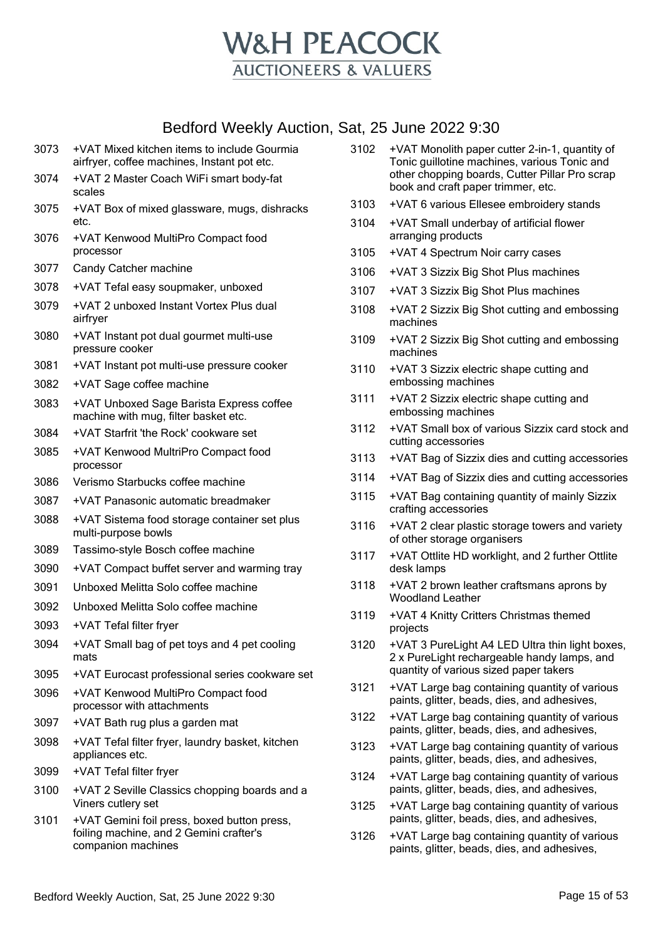

| 3073 | +VAT Mixed kitchen items to include Gourmia<br>airfryer, coffee machines, Instant pot etc.                   |
|------|--------------------------------------------------------------------------------------------------------------|
| 3074 | +VAT 2 Master Coach WiFi smart body-fat<br>scales                                                            |
| 3075 | +VAT Box of mixed glassware, mugs, dishracks<br>etc.                                                         |
| 3076 | +VAT Kenwood MultiPro Compact food<br>processor                                                              |
| 3077 | Candy Catcher machine                                                                                        |
| 3078 | +VAT Tefal easy soupmaker, unboxed                                                                           |
| 3079 | +VAT 2 unboxed Instant Vortex Plus dual<br>airfryer                                                          |
| 3080 | +VAT Instant pot dual gourmet multi-use<br>pressure cooker                                                   |
| 3081 | +VAT Instant pot multi-use pressure cooker                                                                   |
| 3082 | +VAT Sage coffee machine                                                                                     |
| 3083 | +VAT Unboxed Sage Barista Express coffee<br>machine with mug, filter basket etc.                             |
| 3084 | +VAT Starfrit 'the Rock' cookware set                                                                        |
| 3085 | +VAT Kenwood MultriPro Compact food<br>processor                                                             |
| 3086 | Verismo Starbucks coffee machine                                                                             |
| 3087 | +VAT Panasonic automatic breadmaker                                                                          |
| 3088 | +VAT Sistema food storage container set plus<br>multi-purpose bowls                                          |
| 3089 | Tassimo-style Bosch coffee machine                                                                           |
| 3090 | +VAT Compact buffet server and warming tray                                                                  |
| 3091 | Unboxed Melitta Solo coffee machine                                                                          |
| 3092 | Unboxed Melitta Solo coffee machine                                                                          |
| 3093 | +VAT Tefal filter fryer                                                                                      |
| 3094 | +VAT Small bag of pet toys and 4 pet cooling<br>mats                                                         |
| 3095 | +VAT Eurocast professional series cookware set                                                               |
| 3096 | +VAT Kenwood MultiPro Compact food<br>processor with attachments                                             |
| 3097 | +VAT Bath rug plus a garden mat                                                                              |
| 3098 | +VAT Tefal filter fryer, laundry basket, kitchen<br>appliances etc.                                          |
| 3099 | +VAT Tefal filter fryer                                                                                      |
| 3100 | +VAT 2 Seville Classics chopping boards and a<br>Viners cutlery set                                          |
| 3101 | +VAT Gemini foil press, boxed button press,<br>foiling machine, and 2 Gemini crafter's<br>companion machines |

| 3102 | +VAT Monolith paper cutter 2-in-1, quantity of |
|------|------------------------------------------------|
|      | Tonic guillotine machines, various Tonic and   |
|      | other chopping boards, Cutter Pillar Pro scrap |
|      | book and craft paper trimmer, etc.             |
|      |                                                |

- 3103 +VAT 6 various Ellesee embroidery stands
- 3104 +VAT Small underbay of artificial flower arranging products
- 3105 +VAT 4 Spectrum Noir carry cases
- 3106 +VAT 3 Sizzix Big Shot Plus machines
- 3107 +VAT 3 Sizzix Big Shot Plus machines
- 3108 +VAT 2 Sizzix Big Shot cutting and embossing machines
- 3109 +VAT 2 Sizzix Big Shot cutting and embossing machines
- 3110 +VAT 3 Sizzix electric shape cutting and embossing machines
- 3111 +VAT 2 Sizzix electric shape cutting and embossing machines
- 3112 +VAT Small box of various Sizzix card stock and cutting accessories
- 3113 +VAT Bag of Sizzix dies and cutting accessories
- 3114 +VAT Bag of Sizzix dies and cutting accessories
- 3115 +VAT Bag containing quantity of mainly Sizzix crafting accessories
- 3116 +VAT 2 clear plastic storage towers and variety of other storage organisers
- 3117 +VAT Ottlite HD worklight, and 2 further Ottlite desk lamps
- 3118 +VAT 2 brown leather craftsmans aprons by Woodland Leather
- 3119 +VAT 4 Knitty Critters Christmas themed projects
- 3120 +VAT 3 PureLight A4 LED Ultra thin light boxes, 2 x PureLight rechargeable handy lamps, and quantity of various sized paper takers
- 3121 +VAT Large bag containing quantity of various paints, glitter, beads, dies, and adhesives,
- 3122 +VAT Large bag containing quantity of various paints, glitter, beads, dies, and adhesives,
- 3123 +VAT Large bag containing quantity of various paints, glitter, beads, dies, and adhesives,
- 3124 +VAT Large bag containing quantity of various paints, glitter, beads, dies, and adhesives,
- 3125 +VAT Large bag containing quantity of various paints, glitter, beads, dies, and adhesives,
- 3126 +VAT Large bag containing quantity of various paints, glitter, beads, dies, and adhesives,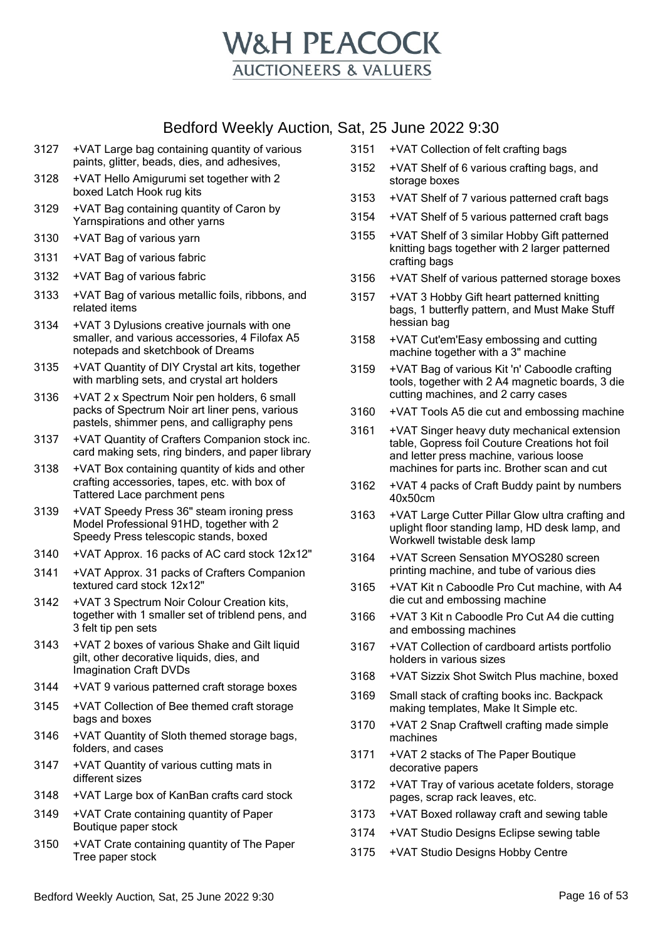

- 3127 +VAT Large bag containing quantity of various paints, glitter, beads, dies, and adhesives,
- 3128 +VAT Hello Amigurumi set together with 2 boxed Latch Hook rug kits
- 3129 +VAT Bag containing quantity of Caron by Yarnspirations and other yarns
- 3130 +VAT Bag of various yarn
- 3131 +VAT Bag of various fabric
- 3132 +VAT Bag of various fabric
- 3133 +VAT Bag of various metallic foils, ribbons, and related items
- 3134 +VAT 3 Dylusions creative journals with one smaller, and various accessories, 4 Filofax A5 notepads and sketchbook of Dreams
- 3135 +VAT Quantity of DIY Crystal art kits, together with marbling sets, and crystal art holders
- 3136 +VAT 2 x Spectrum Noir pen holders, 6 small packs of Spectrum Noir art liner pens, various pastels, shimmer pens, and calligraphy pens
- 3137 +VAT Quantity of Crafters Companion stock inc. card making sets, ring binders, and paper library
- 3138 +VAT Box containing quantity of kids and other crafting accessories, tapes, etc. with box of Tattered Lace parchment pens
- 3139 +VAT Speedy Press 36" steam ironing press Model Professional 91HD, together with 2 Speedy Press telescopic stands, boxed
- 3140 +VAT Approx. 16 packs of AC card stock 12x12"
- 3141 +VAT Approx. 31 packs of Crafters Companion textured card stock 12x12"
- 3142 +VAT 3 Spectrum Noir Colour Creation kits, together with 1 smaller set of triblend pens, and 3 felt tip pen sets
- 3143 +VAT 2 boxes of various Shake and Gilt liquid gilt, other decorative liquids, dies, and Imagination Craft DVDs
- 3144 +VAT 9 various patterned craft storage boxes
- 3145 +VAT Collection of Bee themed craft storage bags and boxes
- 3146 +VAT Quantity of Sloth themed storage bags, folders, and cases
- 3147 +VAT Quantity of various cutting mats in different sizes
- 3148 +VAT Large box of KanBan crafts card stock
- 3149 +VAT Crate containing quantity of Paper Boutique paper stock
- 3150 +VAT Crate containing quantity of The Paper Tree paper stock
- 3151 +VAT Collection of felt crafting bags
- 3152 +VAT Shelf of 6 various crafting bags, and storage boxes
- 3153 +VAT Shelf of 7 various patterned craft bags
- 3154 +VAT Shelf of 5 various patterned craft bags
- 3155 +VAT Shelf of 3 similar Hobby Gift patterned knitting bags together with 2 larger patterned crafting bags
- 3156 +VAT Shelf of various patterned storage boxes
- 3157 +VAT 3 Hobby Gift heart patterned knitting bags, 1 butterfly pattern, and Must Make Stuff hessian bag
- 3158 +VAT Cut'em'Easy embossing and cutting machine together with a 3" machine
- 3159 +VAT Bag of various Kit 'n' Caboodle crafting tools, together with 2 A4 magnetic boards, 3 die cutting machines, and 2 carry cases
- 3160 +VAT Tools A5 die cut and embossing machine
- 3161 +VAT Singer heavy duty mechanical extension table, Gopress foil Couture Creations hot foil and letter press machine, various loose machines for parts inc. Brother scan and cut
- 3162 +VAT 4 packs of Craft Buddy paint by numbers 40x50cm
- 3163 +VAT Large Cutter Pillar Glow ultra crafting and uplight floor standing lamp, HD desk lamp, and Workwell twistable desk lamp
- 3164 +VAT Screen Sensation MYOS280 screen printing machine, and tube of various dies
- 3165 +VAT Kit n Caboodle Pro Cut machine, with A4 die cut and embossing machine
- 3166 +VAT 3 Kit n Caboodle Pro Cut A4 die cutting and embossing machines
- 3167 +VAT Collection of cardboard artists portfolio holders in various sizes
- 3168 +VAT Sizzix Shot Switch Plus machine, boxed
- 3169 Small stack of crafting books inc. Backpack making templates, Make It Simple etc.
- 3170 +VAT 2 Snap Craftwell crafting made simple machines
- 3171 +VAT 2 stacks of The Paper Boutique decorative papers
- 3172 +VAT Tray of various acetate folders, storage pages, scrap rack leaves, etc.
- 3173 +VAT Boxed rollaway craft and sewing table
- 3174 +VAT Studio Designs Eclipse sewing table
- 3175 +VAT Studio Designs Hobby Centre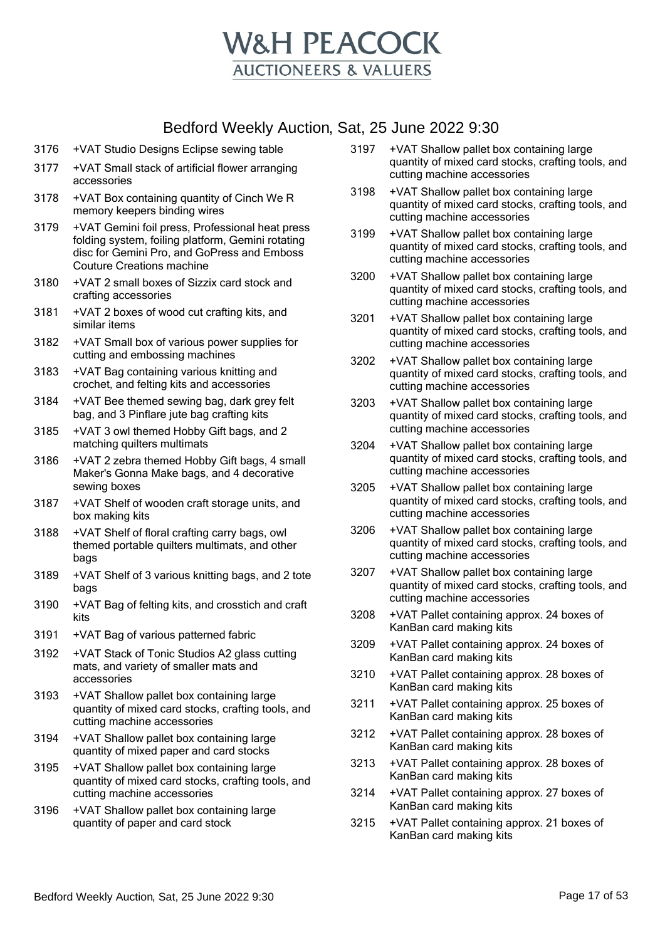

- 3176 +VAT Studio Designs Eclipse sewing table
- 3177 +VAT Small stack of artificial flower arranging accessories
- 3178 +VAT Box containing quantity of Cinch We R memory keepers binding wires
- 3179 +VAT Gemini foil press, Professional heat press folding system, foiling platform, Gemini rotating disc for Gemini Pro, and GoPress and Emboss Couture Creations machine
- 3180 +VAT 2 small boxes of Sizzix card stock and crafting accessories
- 3181 +VAT 2 boxes of wood cut crafting kits, and similar items
- 3182 +VAT Small box of various power supplies for cutting and embossing machines
- 3183 +VAT Bag containing various knitting and crochet, and felting kits and accessories
- 3184 +VAT Bee themed sewing bag, dark grey felt bag, and 3 Pinflare jute bag crafting kits
- 3185 +VAT 3 owl themed Hobby Gift bags, and 2 matching quilters multimats
- 3186 +VAT 2 zebra themed Hobby Gift bags, 4 small Maker's Gonna Make bags, and 4 decorative sewing boxes
- 3187 +VAT Shelf of wooden craft storage units, and box making kits
- 3188 +VAT Shelf of floral crafting carry bags, owl themed portable quilters multimats, and other bags
- 3189 +VAT Shelf of 3 various knitting bags, and 2 tote bags
- 3190 +VAT Bag of felting kits, and crosstich and craft kits
- 3191 +VAT Bag of various patterned fabric
- 3192 +VAT Stack of Tonic Studios A2 glass cutting mats, and variety of smaller mats and accessories
- 3193 +VAT Shallow pallet box containing large quantity of mixed card stocks, crafting tools, and cutting machine accessories
- 3194 +VAT Shallow pallet box containing large quantity of mixed paper and card stocks
- 3195 +VAT Shallow pallet box containing large quantity of mixed card stocks, crafting tools, and cutting machine accessories
- 3196 +VAT Shallow pallet box containing large quantity of paper and card stock
- 3197 +VAT Shallow pallet box containing large quantity of mixed card stocks, crafting tools, and cutting machine accessories
- 3198 +VAT Shallow pallet box containing large quantity of mixed card stocks, crafting tools, and cutting machine accessories
- 3199 +VAT Shallow pallet box containing large quantity of mixed card stocks, crafting tools, and cutting machine accessories
- 3200 +VAT Shallow pallet box containing large quantity of mixed card stocks, crafting tools, and cutting machine accessories
- 3201 +VAT Shallow pallet box containing large quantity of mixed card stocks, crafting tools, and cutting machine accessories
- 3202 +VAT Shallow pallet box containing large quantity of mixed card stocks, crafting tools, and cutting machine accessories
- 3203 +VAT Shallow pallet box containing large quantity of mixed card stocks, crafting tools, and cutting machine accessories
- 3204 +VAT Shallow pallet box containing large quantity of mixed card stocks, crafting tools, and cutting machine accessories
- 3205 +VAT Shallow pallet box containing large quantity of mixed card stocks, crafting tools, and cutting machine accessories
- 3206 +VAT Shallow pallet box containing large quantity of mixed card stocks, crafting tools, and cutting machine accessories
- 3207 +VAT Shallow pallet box containing large quantity of mixed card stocks, crafting tools, and cutting machine accessories
- 3208 +VAT Pallet containing approx. 24 boxes of KanBan card making kits
- 3209 +VAT Pallet containing approx. 24 boxes of KanBan card making kits
- 3210 +VAT Pallet containing approx. 28 boxes of KanBan card making kits
- 3211 +VAT Pallet containing approx. 25 boxes of KanBan card making kits
- 3212 +VAT Pallet containing approx. 28 boxes of KanBan card making kits
- 3213 +VAT Pallet containing approx. 28 boxes of KanBan card making kits
- 3214 +VAT Pallet containing approx. 27 boxes of KanBan card making kits
- 3215 +VAT Pallet containing approx. 21 boxes of KanBan card making kits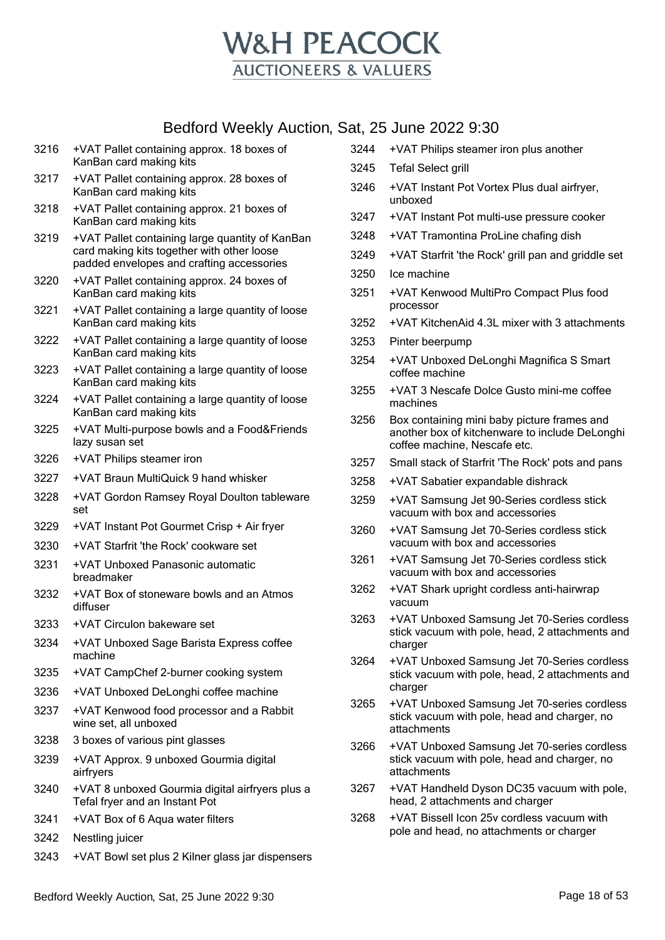

- 3216 +VAT Pallet containing approx. 18 boxes of KanBan card making kits
- 3217 +VAT Pallet containing approx. 28 boxes of KanBan card making kits
- 3218 +VAT Pallet containing approx. 21 boxes of KanBan card making kits
- 3219 +VAT Pallet containing large quantity of KanBan card making kits together with other loose padded envelopes and crafting accessories
- 3220 +VAT Pallet containing approx. 24 boxes of KanBan card making kits
- 3221 +VAT Pallet containing a large quantity of loose KanBan card making kits
- 3222 +VAT Pallet containing a large quantity of loose KanBan card making kits
- 3223 +VAT Pallet containing a large quantity of loose KanBan card making kits
- 3224 +VAT Pallet containing a large quantity of loose KanBan card making kits
- 3225 +VAT Multi-purpose bowls and a Food&Friends lazy susan set
- 3226 +VAT Philips steamer iron
- 3227 +VAT Braun MultiQuick 9 hand whisker
- 3228 +VAT Gordon Ramsey Royal Doulton tableware set
- 3229 +VAT Instant Pot Gourmet Crisp + Air fryer
- 3230 +VAT Starfrit 'the Rock' cookware set
- 3231 +VAT Unboxed Panasonic automatic breadmaker
- 3232 +VAT Box of stoneware bowls and an Atmos diffuser
- 3233 +VAT Circulon bakeware set
- 3234 +VAT Unboxed Sage Barista Express coffee machine
- 3235 +VAT CampChef 2-burner cooking system
- 3236 +VAT Unboxed DeLonghi coffee machine
- 3237 +VAT Kenwood food processor and a Rabbit wine set, all unboxed
- 3238 3 boxes of various pint glasses
- 3239 +VAT Approx. 9 unboxed Gourmia digital airfryers
- 3240 +VAT 8 unboxed Gourmia digital airfryers plus a Tefal fryer and an Instant Pot
- 3241 +VAT Box of 6 Aqua water filters
- 3242 Nestling juicer
- 3243 +VAT Bowl set plus 2 Kilner glass jar dispensers
- 3245 Tefal Select grill 3246 +VAT Instant Pot Vortex Plus dual airfryer, unboxed 3247 +VAT Instant Pot multi-use pressure cooker 3248 +VAT Tramontina ProLine chafing dish 3249 +VAT Starfrit 'the Rock' grill pan and griddle set 3250 Ice machine 3251 +VAT Kenwood MultiPro Compact Plus food processor 3252 +VAT KitchenAid 4.3L mixer with 3 attachments 3253 Pinter beerpump 3254 +VAT Unboxed DeLonghi Magnifica S Smart coffee machine 3255 +VAT 3 Nescafe Dolce Gusto mini-me coffee machines 3256 Box containing mini baby picture frames and another box of kitchenware to include DeLonghi coffee machine, Nescafe etc. 3257 Small stack of Starfrit 'The Rock' pots and pans 3258 +VAT Sabatier expandable dishrack 3259 +VAT Samsung Jet 90-Series cordless stick vacuum with box and accessories 3260 +VAT Samsung Jet 70-Series cordless stick vacuum with box and accessories 3261 +VAT Samsung Jet 70-Series cordless stick vacuum with box and accessories 3262 +VAT Shark upright cordless anti-hairwrap vacuum 3263 +VAT Unboxed Samsung Jet 70-Series cordless stick vacuum with pole, head, 2 attachments and charger 3264 +VAT Unboxed Samsung Jet 70-Series cordless stick vacuum with pole, head, 2 attachments and charger 3265 +VAT Unboxed Samsung Jet 70-series cordless stick vacuum with pole, head and charger, no attachments 3266 +VAT Unboxed Samsung Jet 70-series cordless stick vacuum with pole, head and charger, no attachments

3244 +VAT Philips steamer iron plus another

- 3267 +VAT Handheld Dyson DC35 vacuum with pole, head, 2 attachments and charger
- 3268 +VAT Bissell Icon 25v cordless vacuum with pole and head, no attachments or charger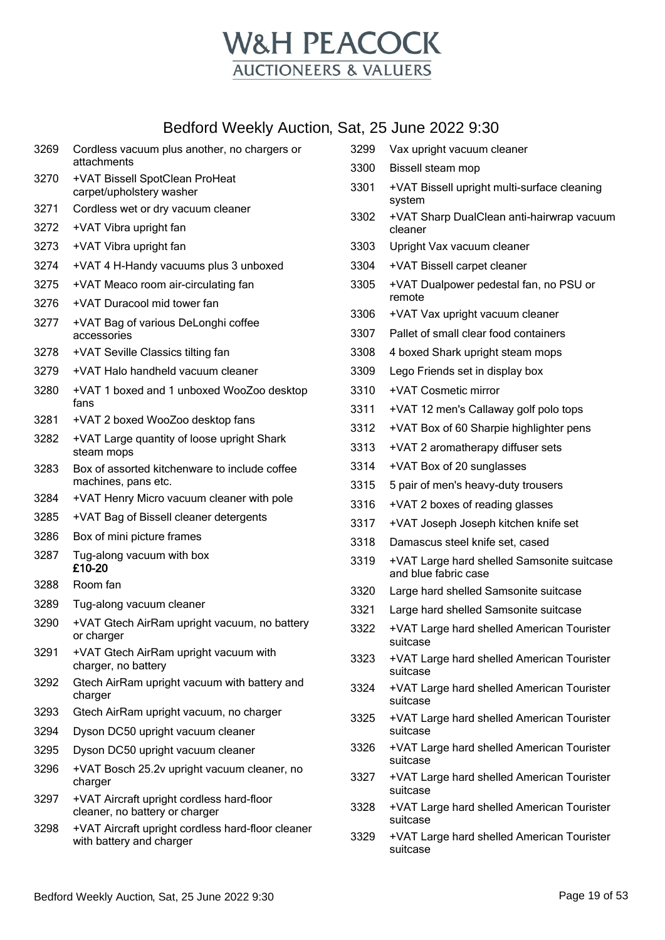

|      | 00.010 TTOONTY / 100.101.1, OCH, LO 00.110 LULL 0.00                          |              |                                                                          |
|------|-------------------------------------------------------------------------------|--------------|--------------------------------------------------------------------------|
| 3269 | Cordless vacuum plus another, no chargers or<br>attachments                   | 3299         | Vax upright vacuum cleaner                                               |
| 3270 | +VAT Bissell SpotClean ProHeat                                                | 3300         | Bissell steam mop                                                        |
|      | carpet/upholstery washer                                                      | 3301         | +VAT Bissell upright multi-surface cleaning<br>system                    |
| 3271 | Cordless wet or dry vacuum cleaner                                            | 3302         | +VAT Sharp DualClean anti-hairwrap vacuum                                |
| 3272 | +VAT Vibra upright fan                                                        |              | cleaner                                                                  |
| 3273 | +VAT Vibra upright fan                                                        | 3303         | Upright Vax vacuum cleaner                                               |
| 3274 | +VAT 4 H-Handy vacuums plus 3 unboxed                                         | 3304         | +VAT Bissell carpet cleaner                                              |
| 3275 | +VAT Meaco room air-circulating fan                                           | 3305         | +VAT Dualpower pedestal fan, no PSU or                                   |
| 3276 | +VAT Duracool mid tower fan                                                   |              | remote                                                                   |
| 3277 | +VAT Bag of various DeLonghi coffee                                           | 3306<br>3307 | +VAT Vax upright vacuum cleaner<br>Pallet of small clear food containers |
|      | accessories                                                                   |              |                                                                          |
| 3278 | +VAT Seville Classics tilting fan                                             | 3308         | 4 boxed Shark upright steam mops                                         |
| 3279 | +VAT Halo handheld vacuum cleaner                                             | 3309         | Lego Friends set in display box                                          |
| 3280 | +VAT 1 boxed and 1 unboxed WooZoo desktop<br>fans                             | 3310         | +VAT Cosmetic mirror                                                     |
| 3281 | +VAT 2 boxed WooZoo desktop fans                                              | 3311         | +VAT 12 men's Callaway golf polo tops                                    |
| 3282 | +VAT Large quantity of loose upright Shark                                    | 3312         | +VAT Box of 60 Sharpie highlighter pens                                  |
|      | steam mops                                                                    | 3313         | +VAT 2 aromatherapy diffuser sets                                        |
| 3283 | Box of assorted kitchenware to include coffee                                 | 3314         | +VAT Box of 20 sunglasses                                                |
|      | machines, pans etc.                                                           | 3315         | 5 pair of men's heavy-duty trousers                                      |
| 3284 | +VAT Henry Micro vacuum cleaner with pole                                     | 3316         | +VAT 2 boxes of reading glasses                                          |
| 3285 | +VAT Bag of Bissell cleaner detergents                                        | 3317         | +VAT Joseph Joseph kitchen knife set                                     |
| 3286 | Box of mini picture frames                                                    | 3318         | Damascus steel knife set, cased                                          |
| 3287 | Tug-along vacuum with box<br>£10-20                                           | 3319         | +VAT Large hard shelled Samsonite suitcase<br>and blue fabric case       |
| 3288 | Room fan                                                                      | 3320         | Large hard shelled Samsonite suitcase                                    |
| 3289 | Tug-along vacuum cleaner                                                      | 3321         | Large hard shelled Samsonite suitcase                                    |
| 3290 | +VAT Gtech AirRam upright vacuum, no battery<br>or charger                    | 3322         | +VAT Large hard shelled American Tourister<br>suitcase                   |
| 3291 | +VAT Gtech AirRam upright vacuum with<br>charger, no battery                  | 3323         | +VAT Large hard shelled American Tourister<br>suitcase                   |
| 3292 | Gtech AirRam upright vacuum with battery and<br>charger                       | 3324         | +VAT Large hard shelled American Tourister<br>suitcase                   |
| 3293 | Gtech AirRam upright vacuum, no charger                                       | 3325         | +VAT Large hard shelled American Tourister                               |
| 3294 | Dyson DC50 upright vacuum cleaner                                             |              | suitcase                                                                 |
| 3295 | Dyson DC50 upright vacuum cleaner                                             | 3326         | +VAT Large hard shelled American Tourister                               |
| 3296 | +VAT Bosch 25.2v upright vacuum cleaner, no                                   | 3327         | suitcase<br>+VAT Large hard shelled American Tourister                   |
|      | charger                                                                       |              | suitcase                                                                 |
| 3297 | +VAT Aircraft upright cordless hard-floor<br>cleaner, no battery or charger   | 3328         | +VAT Large hard shelled American Tourister<br>suitcase                   |
| 3298 | +VAT Aircraft upright cordless hard-floor cleaner<br>with battery and charger | 3329         | +VAT Large hard shelled American Tourister<br>suitcase                   |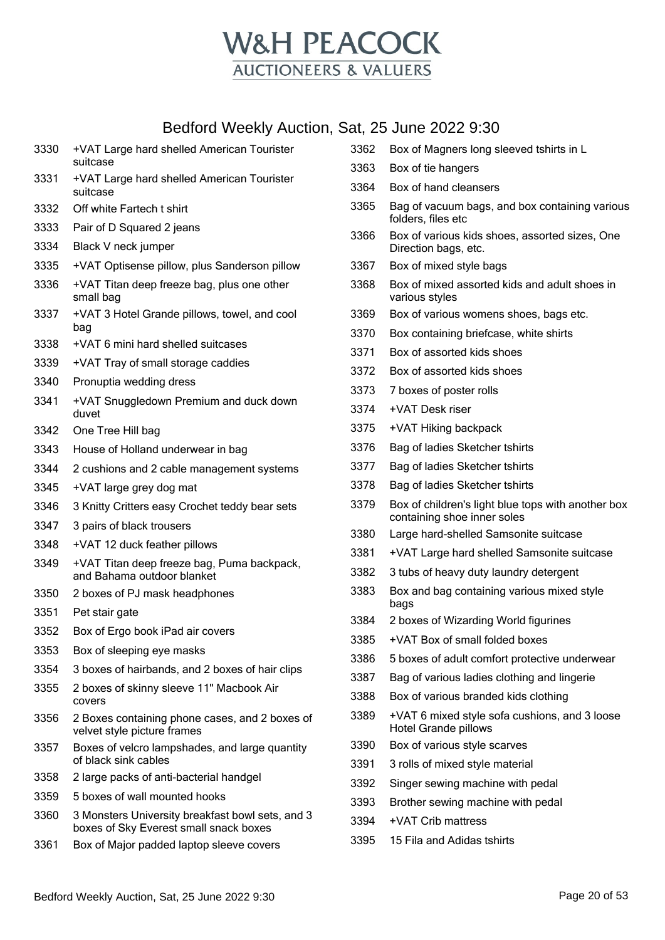

| 3330 | +VAT Large hard shelled American Tourister<br>suitcase                                     |
|------|--------------------------------------------------------------------------------------------|
| 3331 | +VAT Large hard shelled American Tourister<br>suitcase                                     |
| 3332 | Off white Fartech t shirt                                                                  |
| 3333 | Pair of D Squared 2 jeans                                                                  |
| 3334 | Black V neck jumper                                                                        |
| 3335 | +VAT Optisense pillow, plus Sanderson pillow                                               |
| 3336 | +VAT Titan deep freeze bag, plus one other<br>small bag                                    |
| 3337 | +VAT 3 Hotel Grande pillows, towel, and cool<br>bag                                        |
| 3338 | +VAT 6 mini hard shelled suitcases                                                         |
| 3339 | +VAT Tray of small storage caddies                                                         |
| 3340 | Pronuptia wedding dress                                                                    |
| 3341 | +VAT Snuggledown Premium and duck down<br>duvet                                            |
| 3342 | One Tree Hill bag                                                                          |
| 3343 | House of Holland underwear in bag                                                          |
| 3344 | 2 cushions and 2 cable management systems                                                  |
| 3345 | +VAT large grey dog mat                                                                    |
| 3346 | 3 Knitty Critters easy Crochet teddy bear sets                                             |
| 3347 | 3 pairs of black trousers                                                                  |
| 3348 | +VAT 12 duck feather pillows                                                               |
| 3349 | +VAT Titan deep freeze bag, Puma backpack,<br>and Bahama outdoor blanket                   |
| 3350 | 2 boxes of PJ mask headphones                                                              |
| 3351 | Pet stair gate                                                                             |
| 3352 | Box of Ergo book iPad air covers                                                           |
| 3353 | Box of sleeping eye masks                                                                  |
| 3354 | 3 boxes of hairbands, and 2 boxes of hair clips                                            |
| 3355 | 2 boxes of skinny sleeve 11" Macbook Air<br>covers                                         |
| 3356 | 2 Boxes containing phone cases, and 2 boxes of<br>velvet style picture frames              |
| 3357 | Boxes of velcro lampshades, and large quantity<br>of black sink cables                     |
| 3358 | 2 large packs of anti-bacterial handgel                                                    |
| 3359 | 5 boxes of wall mounted hooks                                                              |
| 3360 | 3 Monsters University breakfast bowl sets, and 3<br>boxes of Sky Everest small snack boxes |
| 3361 | Box of Major padded laptop sleeve covers                                                   |

|      | at, 25 June 2022 9:30                                                             |
|------|-----------------------------------------------------------------------------------|
| 3362 | Box of Magners long sleeved tshirts in L                                          |
| 3363 | Box of tie hangers                                                                |
| 3364 | Box of hand cleansers                                                             |
| 3365 | Bag of vacuum bags, and box containing various<br>folders, files etc              |
| 3366 | Box of various kids shoes, assorted sizes, One<br>Direction bags, etc.            |
| 3367 | Box of mixed style bags                                                           |
| 3368 | Box of mixed assorted kids and adult shoes in<br>various styles                   |
| 3369 | Box of various womens shoes, bags etc.                                            |
| 3370 | Box containing briefcase, white shirts                                            |
| 3371 | Box of assorted kids shoes                                                        |
| 3372 | Box of assorted kids shoes                                                        |
| 3373 | 7 boxes of poster rolls                                                           |
| 3374 | +VAT Desk riser                                                                   |
| 3375 | +VAT Hiking backpack                                                              |
| 3376 | Bag of ladies Sketcher tshirts                                                    |
| 3377 | Bag of ladies Sketcher tshirts                                                    |
| 3378 | Bag of ladies Sketcher tshirts                                                    |
| 3379 | Box of children's light blue tops with another box<br>containing shoe inner soles |
| 3380 | Large hard-shelled Samsonite suitcase                                             |
| 3381 | +VAT Large hard shelled Samsonite suitcase                                        |
| 3382 | 3 tubs of heavy duty laundry detergent                                            |
| 3383 | Box and bag containing various mixed style<br>bags                                |
| 3384 | 2 boxes of Wizarding World figurines                                              |
| 3385 | +VAT Box of small folded boxes                                                    |
| 3386 | 5 boxes of adult comfort protective underwear                                     |
| 3387 | Bag of various ladies clothing and lingerie                                       |
| 3388 | Box of various branded kids clothing                                              |
| 3389 | +VAT 6 mixed style sofa cushions, and 3 loose<br><b>Hotel Grande pillows</b>      |
| 3390 | Box of various style scarves                                                      |
| 3391 | 3 rolls of mixed style material                                                   |
| 3392 | Singer sewing machine with pedal                                                  |
| 3393 | Brother sewing machine with pedal                                                 |
| 3394 | +VAT Crib mattress                                                                |
| 3395 | 15 Fila and Adidas tshirts                                                        |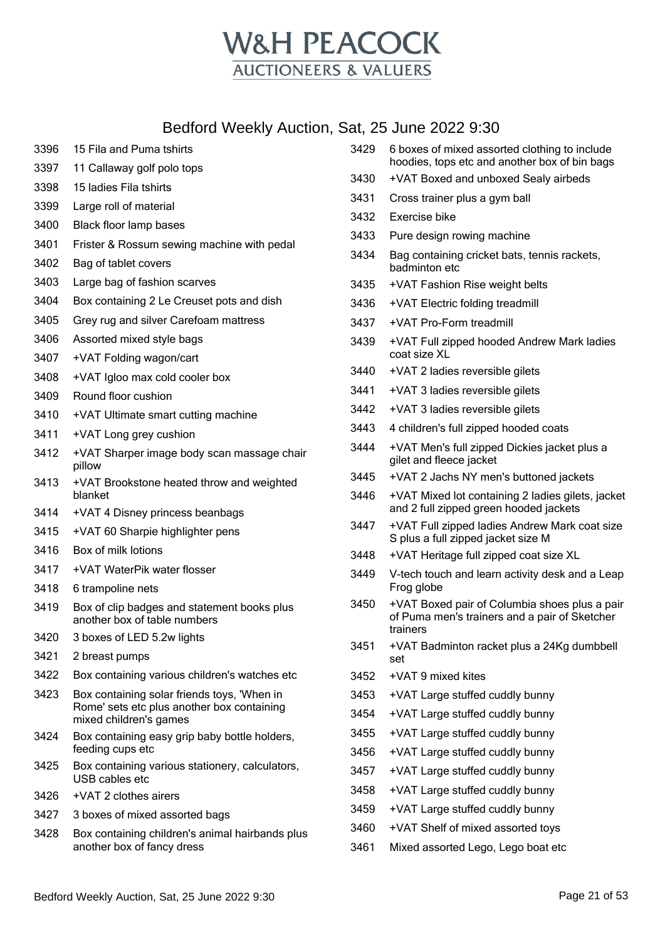

| 3396 | 15 Fila and Puma tshirts                                                    | 3429                                                      | 6 boxes of mixed assorted clothing to include                                           |
|------|-----------------------------------------------------------------------------|-----------------------------------------------------------|-----------------------------------------------------------------------------------------|
| 3397 | 11 Callaway golf polo tops                                                  | 3430                                                      | hoodies, tops etc and another box of bin bags<br>+VAT Boxed and unboxed Sealy airbeds   |
| 3398 | 15 ladies Fila tshirts                                                      | 3431                                                      |                                                                                         |
| 3399 | Large roll of material                                                      | 3432                                                      | Cross trainer plus a gym ball<br>Exercise bike                                          |
| 3400 | Black floor lamp bases                                                      | 3433                                                      | Pure design rowing machine                                                              |
| 3401 | Frister & Rossum sewing machine with pedal                                  |                                                           |                                                                                         |
| 3402 | Bag of tablet covers                                                        | 3434                                                      | Bag containing cricket bats, tennis rackets,<br>badminton etc                           |
| 3403 | Large bag of fashion scarves                                                | 3435                                                      | +VAT Fashion Rise weight belts                                                          |
| 3404 | Box containing 2 Le Creuset pots and dish                                   | 3436                                                      | +VAT Electric folding treadmill                                                         |
| 3405 | Grey rug and silver Carefoam mattress                                       | 3437                                                      | +VAT Pro-Form treadmill                                                                 |
| 3406 | Assorted mixed style bags                                                   | 3439                                                      | +VAT Full zipped hooded Andrew Mark ladies                                              |
| 3407 | +VAT Folding wagon/cart                                                     |                                                           | coat size XL                                                                            |
| 3408 | +VAT Igloo max cold cooler box                                              | 3440                                                      | +VAT 2 ladies reversible gilets                                                         |
| 3409 | Round floor cushion                                                         | 3441                                                      | +VAT 3 ladies reversible gilets                                                         |
| 3410 | +VAT Ultimate smart cutting machine                                         | 3442                                                      | +VAT 3 ladies reversible gilets                                                         |
| 3411 | +VAT Long grey cushion                                                      | 3443                                                      | 4 children's full zipped hooded coats                                                   |
| 3412 | +VAT Sharper image body scan massage chair<br>pillow                        | 3444                                                      | +VAT Men's full zipped Dickies jacket plus a<br>gilet and fleece jacket                 |
| 3413 | +VAT Brookstone heated throw and weighted                                   | 3445                                                      | +VAT 2 Jachs NY men's buttoned jackets                                                  |
|      | blanket                                                                     | 3446<br>+VAT Mixed lot containing 2 ladies gilets, jacket |                                                                                         |
| 3414 | +VAT 4 Disney princess beanbags                                             | 3447                                                      | and 2 full zipped green hooded jackets<br>+VAT Full zipped ladies Andrew Mark coat size |
| 3415 | +VAT 60 Sharpie highlighter pens                                            |                                                           | S plus a full zipped jacket size M                                                      |
| 3416 | Box of milk lotions                                                         | 3448                                                      | +VAT Heritage full zipped coat size XL                                                  |
| 3417 | +VAT WaterPik water flosser                                                 | 3449                                                      | V-tech touch and learn activity desk and a Leap                                         |
| 3418 | 6 trampoline nets                                                           | 3450                                                      | Frog globe<br>+VAT Boxed pair of Columbia shoes plus a pair                             |
| 3419 | Box of clip badges and statement books plus<br>another box of table numbers |                                                           | of Puma men's trainers and a pair of Sketcher<br>trainers                               |
| 3420 | 3 boxes of LED 5.2w lights                                                  | 3451                                                      | +VAT Badminton racket plus a 24Kg dumbbell                                              |
| 3421 | 2 breast pumps                                                              |                                                           | set                                                                                     |
| 3422 | Box containing various children's watches etc                               | 3452                                                      | +VAT 9 mixed kites                                                                      |
| 3423 | Box containing solar friends toys, 'When in                                 | 3453                                                      | +VAT Large stuffed cuddly bunny                                                         |
|      | Rome' sets etc plus another box containing<br>mixed children's games        | 3454                                                      | +VAT Large stuffed cuddly bunny                                                         |
| 3424 | Box containing easy grip baby bottle holders,                               | 3455                                                      | +VAT Large stuffed cuddly bunny                                                         |
|      | feeding cups etc                                                            | 3456                                                      | +VAT Large stuffed cuddly bunny                                                         |
| 3425 | Box containing various stationery, calculators,<br>USB cables etc           | 3457                                                      | +VAT Large stuffed cuddly bunny                                                         |
| 3426 | +VAT 2 clothes airers                                                       | 3458                                                      | +VAT Large stuffed cuddly bunny                                                         |
| 3427 | 3 boxes of mixed assorted bags                                              | 3459                                                      | +VAT Large stuffed cuddly bunny                                                         |
| 3428 | Box containing children's animal hairbands plus                             | 3460                                                      | +VAT Shelf of mixed assorted toys                                                       |
|      | another box of fancy dress                                                  | 3461                                                      | Mixed assorted Lego, Lego boat etc                                                      |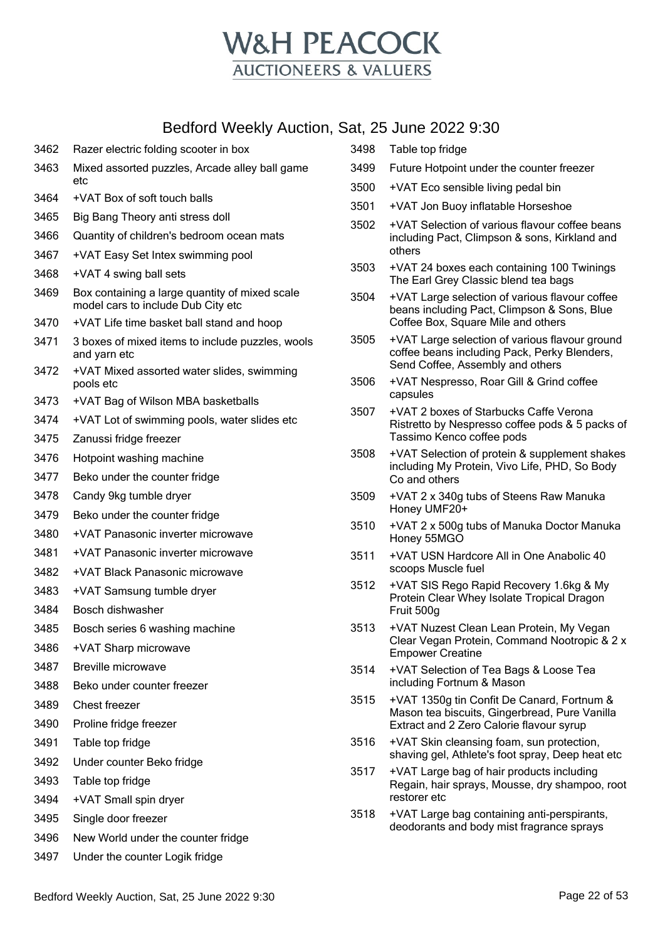

| 3462 | Razer electric folding scooter in box                                                |
|------|--------------------------------------------------------------------------------------|
| 3463 | Mixed assorted puzzles, Arcade alley ball game<br>etc                                |
| 3464 | +VAT Box of soft touch balls                                                         |
| 3465 | Big Bang Theory anti stress doll                                                     |
| 3466 | Quantity of children's bedroom ocean mats                                            |
| 3467 | +VAT Easy Set Intex swimming pool                                                    |
| 3468 | +VAT 4 swing ball sets                                                               |
| 3469 | Box containing a large quantity of mixed scale<br>model cars to include Dub City etc |
| 3470 | +VAT Life time basket ball stand and hoop                                            |
| 3471 | 3 boxes of mixed items to include puzzles, wools<br>and yarn etc                     |
| 3472 | +VAT Mixed assorted water slides, swimming<br>pools etc                              |
| 3473 | +VAT Bag of Wilson MBA basketballs                                                   |
| 3474 | +VAT Lot of swimming pools, water slides etc                                         |
| 3475 | Zanussi fridge freezer                                                               |
| 3476 | Hotpoint washing machine                                                             |
| 3477 | Beko under the counter fridge                                                        |
| 3478 | Candy 9kg tumble dryer                                                               |
| 3479 | Beko under the counter fridge                                                        |
| 3480 | +VAT Panasonic inverter microwave                                                    |
| 3481 | +VAT Panasonic inverter microwave                                                    |
| 3482 | +VAT Black Panasonic microwave                                                       |
| 3483 | +VAT Samsung tumble dryer                                                            |
| 3484 | Bosch dishwasher                                                                     |
| 3485 | Bosch series 6 washing machine                                                       |
| 3486 | +VAT Sharp microwave                                                                 |
| 3487 | <b>Breville microwave</b>                                                            |
| 3488 | Beko under counter freezer                                                           |
| 3489 | Chest freezer                                                                        |
| 3490 | Proline fridge freezer                                                               |
| 3491 | Table top fridge                                                                     |
| 3492 | Under counter Beko fridge                                                            |
| 3493 | Table top fridge                                                                     |
| 3494 | +VAT Small spin dryer                                                                |
| 3495 | Single door freezer                                                                  |
| 3496 | New World under the counter fridge                                                   |
| 3497 | Under the counter Logik fridge                                                       |

|      | Sat, 25 June 2022 9:30                                                                                                                  |
|------|-----------------------------------------------------------------------------------------------------------------------------------------|
| 3498 | Table top fridge                                                                                                                        |
| 3499 | Future Hotpoint under the counter freezer                                                                                               |
| 3500 | +VAT Eco sensible living pedal bin                                                                                                      |
| 3501 | +VAT Jon Buoy inflatable Horseshoe                                                                                                      |
| 3502 | +VAT Selection of various flavour coffee beans<br>including Pact, Climpson & sons, Kirkland and<br>others                               |
| 3503 | +VAT 24 boxes each containing 100 Twinings<br>The Earl Grey Classic blend tea bags                                                      |
| 3504 | +VAT Large selection of various flavour coffee<br>beans including Pact, Climpson & Sons, Blue<br>Coffee Box, Square Mile and others     |
| 3505 | +VAT Large selection of various flavour ground<br>coffee beans including Pack, Perky Blenders,<br>Send Coffee, Assembly and others      |
| 3506 | +VAT Nespresso, Roar Gill & Grind coffee<br>capsules                                                                                    |
| 3507 | +VAT 2 boxes of Starbucks Caffe Verona<br>Ristretto by Nespresso coffee pods & 5 packs of<br>Tassimo Kenco coffee pods                  |
| 3508 | +VAT Selection of protein & supplement shakes<br>including My Protein, Vivo Life, PHD, So Body<br>Co and others                         |
| 3509 | +VAT 2 x 340g tubs of Steens Raw Manuka<br>Honey UMF20+                                                                                 |
| 3510 | +VAT 2 x 500g tubs of Manuka Doctor Manuka<br>Honey 55MGO                                                                               |
| 3511 | +VAT USN Hardcore All in One Anabolic 40<br>scoops Muscle fuel                                                                          |
| 3512 | +VAT SIS Rego Rapid Recovery 1.6kg & My<br>Protein Clear Whey Isolate Tropical Dragon<br>Fruit 500g                                     |
| 3513 | +VAT Nuzest Clean Lean Protein, My Vegan<br>Clear Vegan Protein, Command Nootropic & 2 x<br><b>Empower Creatine</b>                     |
| 3514 | +VAT Selection of Tea Bags & Loose Tea<br>including Fortnum & Mason                                                                     |
| 3515 | +VAT 1350g tin Confit De Canard, Fortnum &<br>Mason tea biscuits, Gingerbread, Pure Vanilla<br>Extract and 2 Zero Calorie flavour syrup |
| 3516 | +VAT Skin cleansing foam, sun protection,<br>shaving gel, Athlete's foot spray, Deep heat etc                                           |
| 3517 | +VAT Large bag of hair products including<br>Regain, hair sprays, Mousse, dry shampoo, root<br>restorer etc                             |

 +VAT Large bag containing anti-perspirants, deodorants and body mist fragrance sprays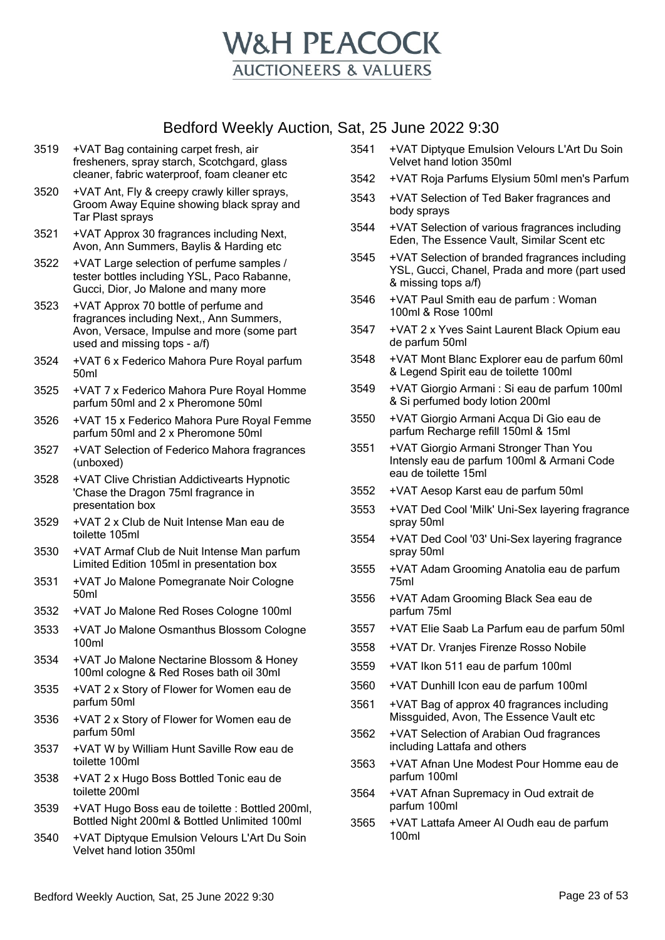

- 3519 +VAT Bag containing carpet fresh, air fresheners, spray starch, Scotchgard, glass cleaner, fabric waterproof, foam cleaner etc
- 3520 +VAT Ant, Fly & creepy crawly killer sprays, Groom Away Equine showing black spray and Tar Plast sprays
- 3521 +VAT Approx 30 fragrances including Next, Avon, Ann Summers, Baylis & Harding etc
- 3522 +VAT Large selection of perfume samples / tester bottles including YSL, Paco Rabanne, Gucci, Dior, Jo Malone and many more
- 3523 +VAT Approx 70 bottle of perfume and fragrances including Next,, Ann Summers, Avon, Versace, Impulse and more (some part used and missing tops - a/f)
- 3524 +VAT 6 x Federico Mahora Pure Royal parfum 50ml
- 3525 +VAT 7 x Federico Mahora Pure Royal Homme parfum 50ml and 2 x Pheromone 50ml
- 3526 +VAT 15 x Federico Mahora Pure Royal Femme parfum 50ml and 2 x Pheromone 50ml
- 3527 +VAT Selection of Federico Mahora fragrances (unboxed)
- 3528 +VAT Clive Christian Addictivearts Hypnotic 'Chase the Dragon 75ml fragrance in presentation box
- 3529 +VAT 2 x Club de Nuit Intense Man eau de toilette 105ml
- 3530 +VAT Armaf Club de Nuit Intense Man parfum Limited Edition 105ml in presentation box
- 3531 +VAT Jo Malone Pomegranate Noir Cologne 50ml
- 3532 +VAT Jo Malone Red Roses Cologne 100ml
- 3533 +VAT Jo Malone Osmanthus Blossom Cologne 100ml
- 3534 +VAT Jo Malone Nectarine Blossom & Honey 100ml cologne & Red Roses bath oil 30ml
- 3535 +VAT 2 x Story of Flower for Women eau de parfum 50ml
- 3536 +VAT 2 x Story of Flower for Women eau de parfum 50ml
- 3537 +VAT W by William Hunt Saville Row eau de toilette 100ml
- 3538 +VAT 2 x Hugo Boss Bottled Tonic eau de toilette 200ml
- 3539 +VAT Hugo Boss eau de toilette : Bottled 200ml, Bottled Night 200ml & Bottled Unlimited 100ml
- 3540 +VAT Diptyque Emulsion Velours L'Art Du Soin Velvet hand lotion 350ml
- 3541 +VAT Diptyque Emulsion Velours L'Art Du Soin Velvet hand lotion 350ml
- 3542 +VAT Roja Parfums Elysium 50ml men's Parfum
- 3543 +VAT Selection of Ted Baker fragrances and body sprays
- 3544 +VAT Selection of various fragrances including Eden, The Essence Vault, Similar Scent etc
- 3545 +VAT Selection of branded fragrances including YSL, Gucci, Chanel, Prada and more (part used & missing tops a/f)
- 3546 +VAT Paul Smith eau de parfum : Woman 100ml & Rose 100ml
- 3547 +VAT 2 x Yves Saint Laurent Black Opium eau de parfum 50ml
- 3548 +VAT Mont Blanc Explorer eau de parfum 60ml & Legend Spirit eau de toilette 100ml
- 3549 +VAT Giorgio Armani : Si eau de parfum 100ml & Si perfumed body lotion 200ml
- 3550 +VAT Giorgio Armani Acqua Di Gio eau de parfum Recharge refill 150ml & 15ml
- 3551 +VAT Giorgio Armani Stronger Than You Intensly eau de parfum 100ml & Armani Code eau de toilette 15ml
- 3552 +VAT Aesop Karst eau de parfum 50ml
- 3553 +VAT Ded Cool 'Milk' Uni-Sex layering fragrance spray 50ml
- 3554 +VAT Ded Cool '03' Uni-Sex layering fragrance spray 50ml
- 3555 +VAT Adam Grooming Anatolia eau de parfum 75ml
- 3556 +VAT Adam Grooming Black Sea eau de parfum 75ml
- 3557 +VAT Elie Saab La Parfum eau de parfum 50ml
- 3558 +VAT Dr. Vranjes Firenze Rosso Nobile
- 3559 +VAT Ikon 511 eau de parfum 100ml
- 3560 +VAT Dunhill Icon eau de parfum 100ml
- 3561 +VAT Bag of approx 40 fragrances including Missguided, Avon, The Essence Vault etc
- 3562 +VAT Selection of Arabian Oud fragrances including Lattafa and others
- 3563 +VAT Afnan Une Modest Pour Homme eau de parfum 100ml
- 3564 +VAT Afnan Supremacy in Oud extrait de parfum 100ml
- 3565 +VAT Lattafa Ameer Al Oudh eau de parfum 100ml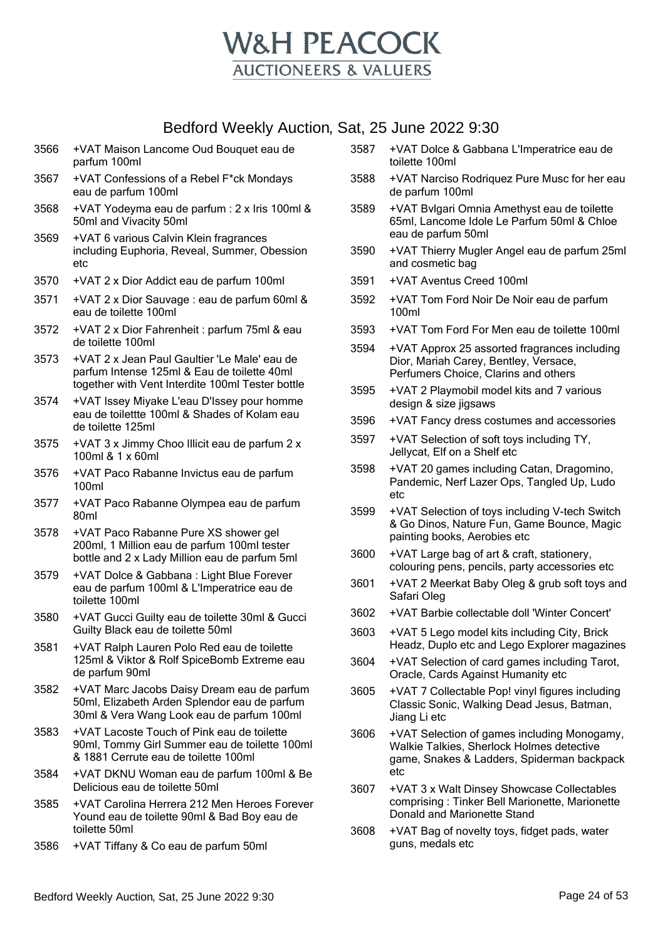

- 3566 +VAT Maison Lancome Oud Bouquet eau de parfum 100ml
- 3567 +VAT Confessions of a Rebel F\*ck Mondays eau de parfum 100ml
- 3568 +VAT Yodeyma eau de parfum : 2 x Iris 100ml & 50ml and Vivacity 50ml
- 3569 +VAT 6 various Calvin Klein fragrances including Euphoria, Reveal, Summer, Obession etc
- 3570 +VAT 2 x Dior Addict eau de parfum 100ml
- 3571 +VAT 2 x Dior Sauvage : eau de parfum 60ml & eau de toilette 100ml
- 3572 +VAT 2 x Dior Fahrenheit : parfum 75ml & eau de toilette 100ml
- 3573 +VAT 2 x Jean Paul Gaultier 'Le Male' eau de parfum Intense 125ml & Eau de toilette 40ml together with Vent Interdite 100ml Tester bottle
- 3574 +VAT Issey Miyake L'eau D'Issey pour homme eau de toilettte 100ml & Shades of Kolam eau de toilette 125ml
- 3575 +VAT 3 x Jimmy Choo Illicit eau de parfum 2 x 100ml & 1 x 60ml
- 3576 +VAT Paco Rabanne Invictus eau de parfum 100ml
- 3577 +VAT Paco Rabanne Olympea eau de parfum 80ml
- 3578 +VAT Paco Rabanne Pure XS shower gel 200ml, 1 Million eau de parfum 100ml tester bottle and 2 x Lady Million eau de parfum 5ml
- 3579 +VAT Dolce & Gabbana : Light Blue Forever eau de parfum 100ml & L'Imperatrice eau de toilette 100ml
- 3580 +VAT Gucci Guilty eau de toilette 30ml & Gucci Guilty Black eau de toilette 50ml
- 3581 +VAT Ralph Lauren Polo Red eau de toilette 125ml & Viktor & Rolf SpiceBomb Extreme eau de parfum 90ml
- 3582 +VAT Marc Jacobs Daisy Dream eau de parfum 50ml, Elizabeth Arden Splendor eau de parfum 30ml & Vera Wang Look eau de parfum 100ml
- 3583 +VAT Lacoste Touch of Pink eau de toilette 90ml, Tommy Girl Summer eau de toilette 100ml & 1881 Cerrute eau de toilette 100ml
- 3584 +VAT DKNU Woman eau de parfum 100ml & Be Delicious eau de toilette 50ml
- 3585 +VAT Carolina Herrera 212 Men Heroes Forever Yound eau de toilette 90ml & Bad Boy eau de toilette 50ml
- 3586 +VAT Tiffany & Co eau de parfum 50ml
- 3587 +VAT Dolce & Gabbana L'Imperatrice eau de toilette 100ml
- 3588 +VAT Narciso Rodriquez Pure Musc for her eau de parfum 100ml
- 3589 +VAT Bvlgari Omnia Amethyst eau de toilette 65ml, Lancome Idole Le Parfum 50ml & Chloe eau de parfum 50ml
- 3590 +VAT Thierry Mugler Angel eau de parfum 25ml and cosmetic bag
- 3591 +VAT Aventus Creed 100ml
- 3592 +VAT Tom Ford Noir De Noir eau de parfum 100ml
- 3593 +VAT Tom Ford For Men eau de toilette 100ml
- 3594 +VAT Approx 25 assorted fragrances including Dior, Mariah Carey, Bentley, Versace, Perfumers Choice, Clarins and others
- 3595 +VAT 2 Playmobil model kits and 7 various design & size jigsaws
- 3596 +VAT Fancy dress costumes and accessories
- 3597 +VAT Selection of soft toys including TY, Jellycat, Elf on a Shelf etc
- 3598 +VAT 20 games including Catan, Dragomino, Pandemic, Nerf Lazer Ops, Tangled Up, Ludo etc
- 3599 +VAT Selection of toys including V-tech Switch & Go Dinos, Nature Fun, Game Bounce, Magic painting books, Aerobies etc
- 3600 +VAT Large bag of art & craft, stationery, colouring pens, pencils, party accessories etc
- 3601 +VAT 2 Meerkat Baby Oleg & grub soft toys and Safari Oleg
- 3602 +VAT Barbie collectable doll 'Winter Concert'
- 3603 +VAT 5 Lego model kits including City, Brick Headz, Duplo etc and Lego Explorer magazines
- 3604 +VAT Selection of card games including Tarot, Oracle, Cards Against Humanity etc
- 3605 +VAT 7 Collectable Pop! vinyl figures including Classic Sonic, Walking Dead Jesus, Batman, Jiang Li etc
- 3606 +VAT Selection of games including Monogamy, Walkie Talkies, Sherlock Holmes detective game, Snakes & Ladders, Spiderman backpack etc
- 3607 +VAT 3 x Walt Dinsey Showcase Collectables comprising : Tinker Bell Marionette, Marionette Donald and Marionette Stand
- 3608 +VAT Bag of novelty toys, fidget pads, water guns, medals etc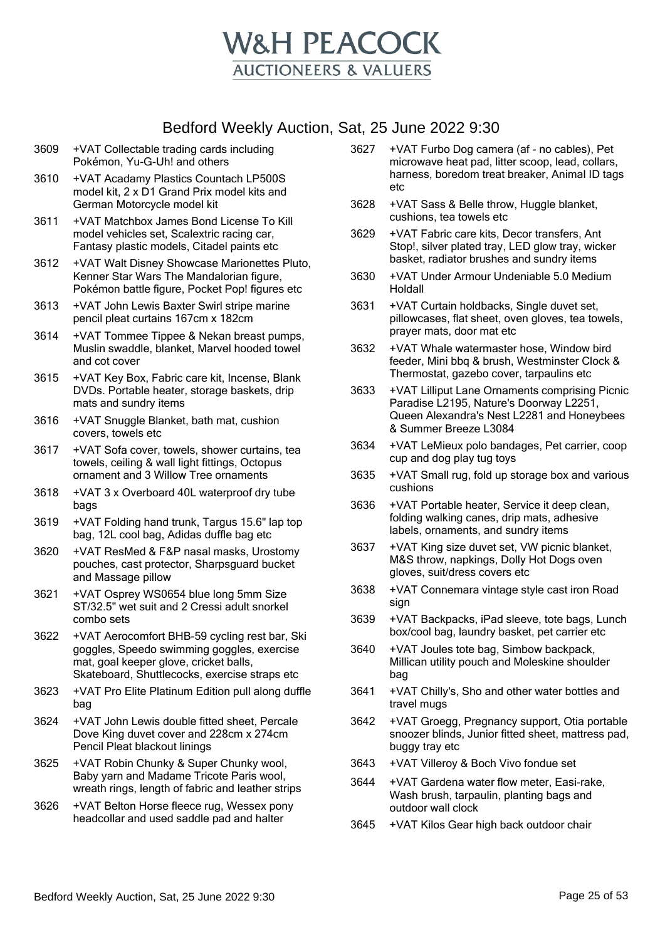

- 3609 +VAT Collectable trading cards including Pokémon, Yu-G-Uh! and others
- 3610 +VAT Acadamy Plastics Countach LP500S model kit, 2 x D1 Grand Prix model kits and German Motorcycle model kit
- 3611 +VAT Matchbox James Bond License To Kill model vehicles set, Scalextric racing car, Fantasy plastic models, Citadel paints etc
- 3612 +VAT Walt Disney Showcase Marionettes Pluto, Kenner Star Wars The Mandalorian figure, Pokémon battle figure, Pocket Pop! figures etc
- 3613 +VAT John Lewis Baxter Swirl stripe marine pencil pleat curtains 167cm x 182cm
- 3614 +VAT Tommee Tippee & Nekan breast pumps, Muslin swaddle, blanket, Marvel hooded towel and cot cover
- 3615 +VAT Key Box, Fabric care kit, Incense, Blank DVDs. Portable heater, storage baskets, drip mats and sundry items
- 3616 +VAT Snuggle Blanket, bath mat, cushion covers, towels etc
- 3617 +VAT Sofa cover, towels, shower curtains, tea towels, ceiling & wall light fittings, Octopus ornament and 3 Willow Tree ornaments
- 3618 +VAT 3 x Overboard 40L waterproof dry tube bags
- 3619 +VAT Folding hand trunk, Targus 15.6" lap top bag, 12L cool bag, Adidas duffle bag etc
- 3620 +VAT ResMed & F&P nasal masks, Urostomy pouches, cast protector, Sharpsguard bucket and Massage pillow
- 3621 +VAT Osprey WS0654 blue long 5mm Size ST/32.5" wet suit and 2 Cressi adult snorkel combo sets
- 3622 +VAT Aerocomfort BHB-59 cycling rest bar, Ski goggles, Speedo swimming goggles, exercise mat, goal keeper glove, cricket balls, Skateboard, Shuttlecocks, exercise straps etc
- 3623 +VAT Pro Elite Platinum Edition pull along duffle bag
- 3624 +VAT John Lewis double fitted sheet, Percale Dove King duvet cover and 228cm x 274cm Pencil Pleat blackout linings
- 3625 +VAT Robin Chunky & Super Chunky wool, Baby yarn and Madame Tricote Paris wool, wreath rings, length of fabric and leather strips
- 3626 +VAT Belton Horse fleece rug, Wessex pony headcollar and used saddle pad and halter
- 3627 +VAT Furbo Dog camera (af no cables), Pet microwave heat pad, litter scoop, lead, collars, harness, boredom treat breaker, Animal ID tags etc
- 3628 +VAT Sass & Belle throw, Huggle blanket, cushions, tea towels etc
- 3629 +VAT Fabric care kits, Decor transfers, Ant Stop!, silver plated tray, LED glow tray, wicker basket, radiator brushes and sundry items
- 3630 +VAT Under Armour Undeniable 5.0 Medium Holdall
- 3631 +VAT Curtain holdbacks, Single duvet set, pillowcases, flat sheet, oven gloves, tea towels, prayer mats, door mat etc
- 3632 +VAT Whale watermaster hose, Window bird feeder, Mini bbq & brush, Westminster Clock & Thermostat, gazebo cover, tarpaulins etc
- 3633 +VAT Lilliput Lane Ornaments comprising Picnic Paradise L2195, Nature's Doorway L2251, Queen Alexandra's Nest L2281 and Honeybees & Summer Breeze L3084
- 3634 +VAT LeMieux polo bandages, Pet carrier, coop cup and dog play tug toys
- 3635 +VAT Small rug, fold up storage box and various cushions
- 3636 +VAT Portable heater, Service it deep clean, folding walking canes, drip mats, adhesive labels, ornaments, and sundry items
- 3637 +VAT King size duvet set, VW picnic blanket, M&S throw, napkings, Dolly Hot Dogs oven gloves, suit/dress covers etc
- 3638 +VAT Connemara vintage style cast iron Road sign
- 3639 +VAT Backpacks, iPad sleeve, tote bags, Lunch box/cool bag, laundry basket, pet carrier etc
- 3640 +VAT Joules tote bag, Simbow backpack, Millican utility pouch and Moleskine shoulder bag
- 3641 +VAT Chilly's, Sho and other water bottles and travel mugs
- 3642 +VAT Groegg, Pregnancy support, Otia portable snoozer blinds, Junior fitted sheet, mattress pad, buggy tray etc
- 3643 +VAT Villeroy & Boch Vivo fondue set
- 3644 +VAT Gardena water flow meter, Easi-rake, Wash brush, tarpaulin, planting bags and outdoor wall clock
- 3645 +VAT Kilos Gear high back outdoor chair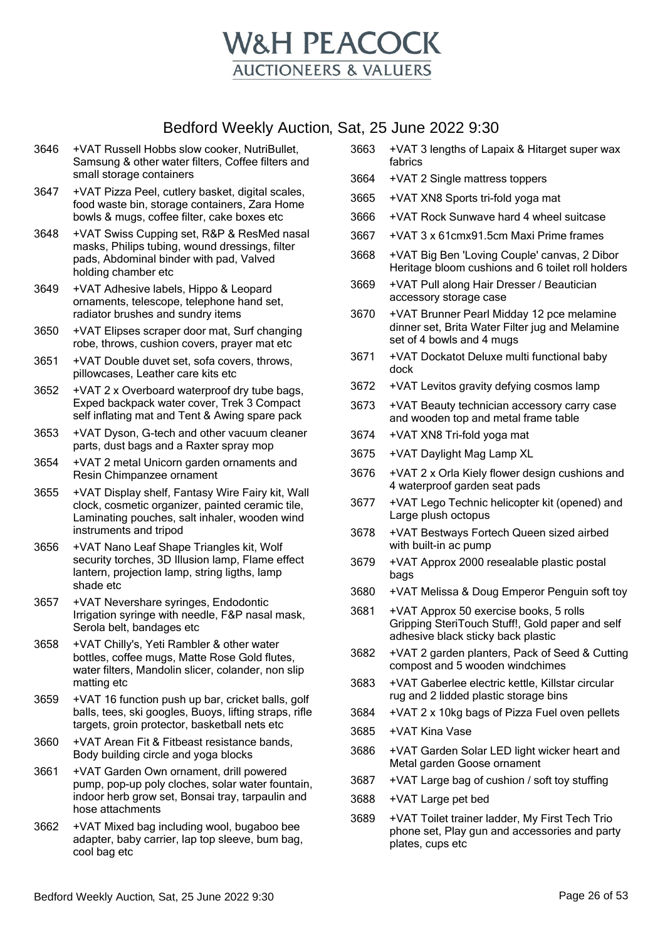

- 3646 +VAT Russell Hobbs slow cooker, NutriBullet, Samsung & other water filters, Coffee filters and small storage containers
- 3647 +VAT Pizza Peel, cutlery basket, digital scales, food waste bin, storage containers, Zara Home bowls & mugs, coffee filter, cake boxes etc
- 3648 +VAT Swiss Cupping set, R&P & ResMed nasal masks, Philips tubing, wound dressings, filter pads, Abdominal binder with pad, Valved holding chamber etc
- 3649 +VAT Adhesive labels, Hippo & Leopard ornaments, telescope, telephone hand set, radiator brushes and sundry items
- 3650 +VAT Elipses scraper door mat, Surf changing robe, throws, cushion covers, prayer mat etc
- 3651 +VAT Double duvet set, sofa covers, throws, pillowcases, Leather care kits etc
- 3652 +VAT 2 x Overboard waterproof dry tube bags, Exped backpack water cover, Trek 3 Compact self inflating mat and Tent & Awing spare pack
- 3653 +VAT Dyson, G-tech and other vacuum cleaner parts, dust bags and a Raxter spray mop
- 3654 +VAT 2 metal Unicorn garden ornaments and Resin Chimpanzee ornament
- 3655 +VAT Display shelf, Fantasy Wire Fairy kit, Wall clock, cosmetic organizer, painted ceramic tile, Laminating pouches, salt inhaler, wooden wind instruments and tripod
- 3656 +VAT Nano Leaf Shape Triangles kit, Wolf security torches, 3D Illusion lamp, Flame effect lantern, projection lamp, string ligths, lamp shade etc
- 3657 +VAT Nevershare syringes, Endodontic Irrigation syringe with needle, F&P nasal mask, Serola belt, bandages etc
- 3658 +VAT Chilly's, Yeti Rambler & other water bottles, coffee mugs, Matte Rose Gold flutes, water filters, Mandolin slicer, colander, non slip matting etc
- 3659 +VAT 16 function push up bar, cricket balls, golf balls, tees, ski googles, Buoys, lifting straps, rifle targets, groin protector, basketball nets etc
- 3660 +VAT Arean Fit & Fitbeast resistance bands, Body building circle and yoga blocks
- 3661 +VAT Garden Own ornament, drill powered pump, pop-up poly cloches, solar water fountain, indoor herb grow set, Bonsai tray, tarpaulin and hose attachments
- 3662 +VAT Mixed bag including wool, bugaboo bee adapter, baby carrier, lap top sleeve, bum bag, cool bag etc
- 3663 +VAT 3 lengths of Lapaix & Hitarget super wax fabrics
- 3664 +VAT 2 Single mattress toppers
- 3665 +VAT XN8 Sports tri-fold yoga mat
- 3666 +VAT Rock Sunwave hard 4 wheel suitcase
- 3667 +VAT 3 x 61cmx91.5cm Maxi Prime frames
- 3668 +VAT Big Ben 'Loving Couple' canvas, 2 Dibor Heritage bloom cushions and 6 toilet roll holders
- 3669 +VAT Pull along Hair Dresser / Beautician accessory storage case
- 3670 +VAT Brunner Pearl Midday 12 pce melamine dinner set, Brita Water Filter jug and Melamine set of 4 bowls and 4 mugs
- 3671 +VAT Dockatot Deluxe multi functional baby dock
- 3672 +VAT Levitos gravity defying cosmos lamp
- 3673 +VAT Beauty technician accessory carry case and wooden top and metal frame table
- 3674 +VAT XN8 Tri-fold yoga mat
- 3675 +VAT Daylight Mag Lamp XL
- 3676 +VAT 2 x Orla Kiely flower design cushions and 4 waterproof garden seat pads
- 3677 +VAT Lego Technic helicopter kit (opened) and Large plush octopus
- 3678 +VAT Bestways Fortech Queen sized airbed with built-in ac pump
- 3679 +VAT Approx 2000 resealable plastic postal bags
- 3680 +VAT Melissa & Doug Emperor Penguin soft toy
- 3681 +VAT Approx 50 exercise books, 5 rolls Gripping SteriTouch Stuff!, Gold paper and self adhesive black sticky back plastic
- 3682 +VAT 2 garden planters, Pack of Seed & Cutting compost and 5 wooden windchimes
- 3683 +VAT Gaberlee electric kettle, Killstar circular rug and 2 lidded plastic storage bins
- 3684 +VAT 2 x 10kg bags of Pizza Fuel oven pellets
- 3685 +VAT Kina Vase
- 3686 +VAT Garden Solar LED light wicker heart and Metal garden Goose ornament
- 3687 +VAT Large bag of cushion / soft toy stuffing
- 3688 +VAT Large pet bed
- 3689 +VAT Toilet trainer ladder, My First Tech Trio phone set, Play gun and accessories and party plates, cups etc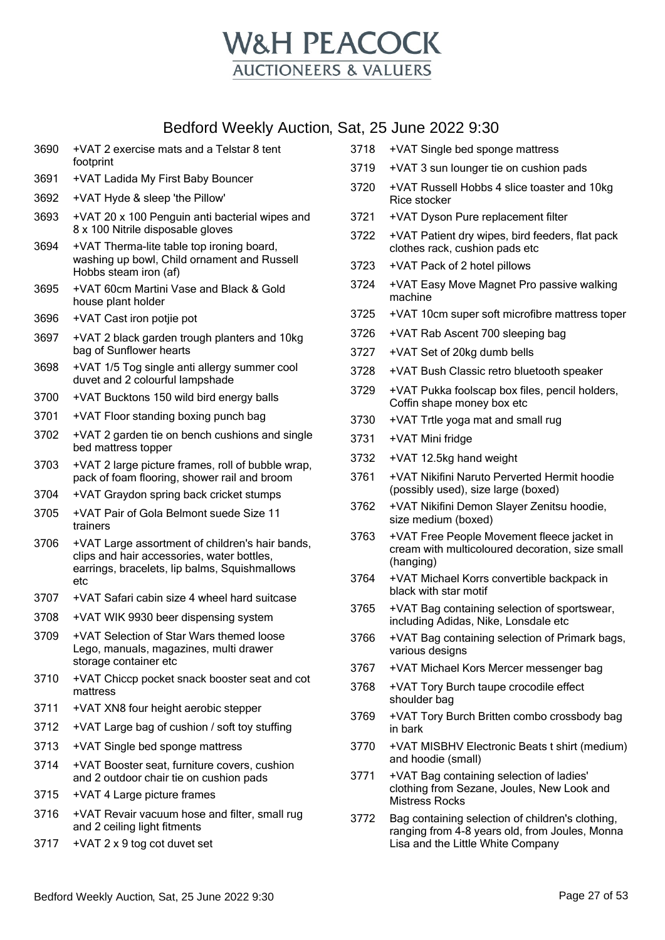

| Dealord Weenly Auguoli, Odl, 20 Julie 2022 9:00 |                                                                                                                                                |      |                                                                                                            |  |
|-------------------------------------------------|------------------------------------------------------------------------------------------------------------------------------------------------|------|------------------------------------------------------------------------------------------------------------|--|
| 3690                                            | +VAT 2 exercise mats and a Telstar 8 tent                                                                                                      | 3718 | +VAT Single bed sponge mattress                                                                            |  |
| 3691                                            | footprint<br>+VAT Ladida My First Baby Bouncer                                                                                                 | 3719 | +VAT 3 sun lounger tie on cushion pads                                                                     |  |
| 3692                                            | +VAT Hyde & sleep 'the Pillow'                                                                                                                 | 3720 | +VAT Russell Hobbs 4 slice toaster and 10kg<br>Rice stocker                                                |  |
| 3693                                            | +VAT 20 x 100 Penguin anti bacterial wipes and                                                                                                 | 3721 | +VAT Dyson Pure replacement filter                                                                         |  |
|                                                 | 8 x 100 Nitrile disposable gloves                                                                                                              | 3722 | +VAT Patient dry wipes, bird feeders, flat pack                                                            |  |
| 3694                                            | +VAT Therma-lite table top ironing board,                                                                                                      |      | clothes rack, cushion pads etc                                                                             |  |
|                                                 | washing up bowl, Child ornament and Russell<br>Hobbs steam iron (af)                                                                           | 3723 | +VAT Pack of 2 hotel pillows                                                                               |  |
| 3695                                            | +VAT 60cm Martini Vase and Black & Gold<br>house plant holder                                                                                  | 3724 | +VAT Easy Move Magnet Pro passive walking<br>machine                                                       |  |
| 3696                                            | +VAT Cast iron potjie pot                                                                                                                      | 3725 | +VAT 10cm super soft microfibre mattress toper                                                             |  |
| 3697                                            | +VAT 2 black garden trough planters and 10kg                                                                                                   | 3726 | +VAT Rab Ascent 700 sleeping bag                                                                           |  |
|                                                 | bag of Sunflower hearts                                                                                                                        | 3727 | +VAT Set of 20kg dumb bells                                                                                |  |
| 3698                                            | +VAT 1/5 Tog single anti allergy summer cool<br>duvet and 2 colourful lampshade                                                                | 3728 | +VAT Bush Classic retro bluetooth speaker                                                                  |  |
| 3700                                            | +VAT Bucktons 150 wild bird energy balls                                                                                                       | 3729 | +VAT Pukka foolscap box files, pencil holders,<br>Coffin shape money box etc                               |  |
| 3701                                            | +VAT Floor standing boxing punch bag                                                                                                           | 3730 | +VAT Trtle yoga mat and small rug                                                                          |  |
| 3702                                            | +VAT 2 garden tie on bench cushions and single<br>bed mattress topper                                                                          | 3731 | +VAT Mini fridge                                                                                           |  |
| 3703                                            | +VAT 2 large picture frames, roll of bubble wrap,                                                                                              | 3732 | +VAT 12.5kg hand weight                                                                                    |  |
| 3704                                            | pack of foam flooring, shower rail and broom                                                                                                   | 3761 | +VAT Nikifini Naruto Perverted Hermit hoodie<br>(possibly used), size large (boxed)                        |  |
| 3705                                            | +VAT Graydon spring back cricket stumps<br>+VAT Pair of Gola Belmont suede Size 11                                                             | 3762 | +VAT Nikifini Demon Slayer Zenitsu hoodie,                                                                 |  |
|                                                 | trainers                                                                                                                                       |      | size medium (boxed)                                                                                        |  |
| 3706                                            | +VAT Large assortment of children's hair bands,<br>clips and hair accessories, water bottles,<br>earrings, bracelets, lip balms, Squishmallows | 3763 | +VAT Free People Movement fleece jacket in<br>cream with multicoloured decoration, size small<br>(hanging) |  |
|                                                 | etc                                                                                                                                            | 3764 | +VAT Michael Korrs convertible backpack in<br>black with star motif                                        |  |
| 3707                                            | +VAT Safari cabin size 4 wheel hard suitcase                                                                                                   | 3765 | +VAT Bag containing selection of sportswear,                                                               |  |
| 3708                                            | +VAT WIK 9930 beer dispensing system                                                                                                           |      | including Adidas, Nike, Lonsdale etc                                                                       |  |
| 3709                                            | +VAT Selection of Star Wars themed loose<br>Lego, manuals, magazines, multi drawer<br>storage container etc                                    | 3766 | +VAT Bag containing selection of Primark bags,<br>various designs                                          |  |
| 3710                                            | +VAT Chiccp pocket snack booster seat and cot                                                                                                  | 3767 | +VAT Michael Kors Mercer messenger bag                                                                     |  |
|                                                 | mattress                                                                                                                                       | 3768 | +VAT Tory Burch taupe crocodile effect<br>shoulder bag                                                     |  |
| 3711                                            | +VAT XN8 four height aerobic stepper                                                                                                           | 3769 | +VAT Tory Burch Britten combo crossbody bag                                                                |  |
| 3712                                            | +VAT Large bag of cushion / soft toy stuffing                                                                                                  |      | in bark                                                                                                    |  |
| 3713                                            | +VAT Single bed sponge mattress                                                                                                                | 3770 | +VAT MISBHV Electronic Beats t shirt (medium)<br>and hoodie (small)                                        |  |
| 3714                                            | +VAT Booster seat, furniture covers, cushion<br>and 2 outdoor chair tie on cushion pads                                                        | 3771 | +VAT Bag containing selection of ladies'                                                                   |  |
| 3715                                            | +VAT 4 Large picture frames                                                                                                                    |      | clothing from Sezane, Joules, New Look and<br><b>Mistress Rocks</b>                                        |  |
| 3716                                            | +VAT Revair vacuum hose and filter, small rug<br>and 2 ceiling light fitments                                                                  | 3772 | Bag containing selection of children's clothing,                                                           |  |
| 3717                                            | +VAT 2 x 9 tog cot duvet set                                                                                                                   |      | ranging from 4-8 years old, from Joules, Monna<br>Lisa and the Little White Company                        |  |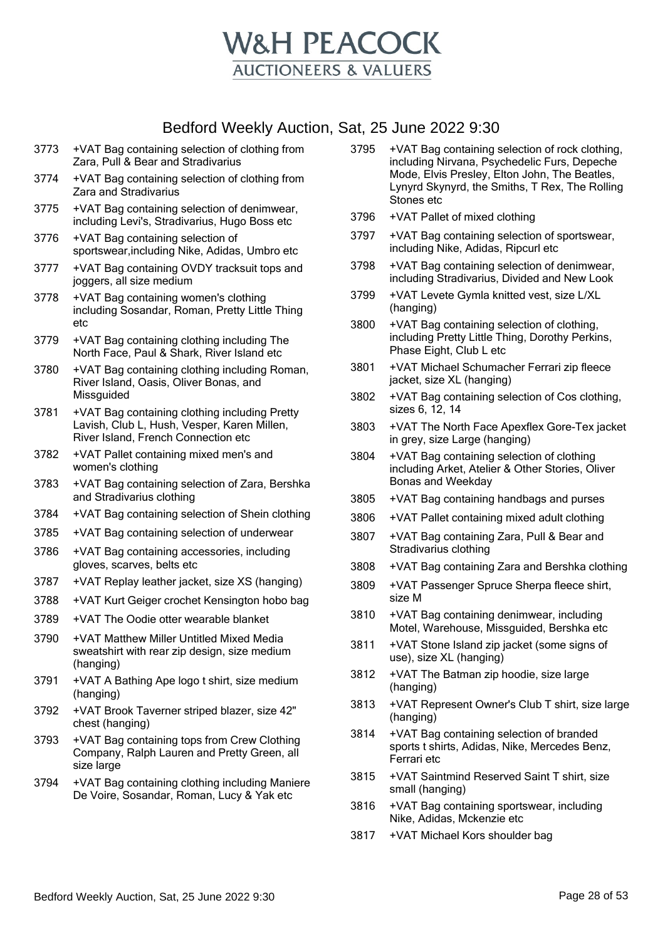

- 3773 +VAT Bag containing selection of clothing from Zara, Pull & Bear and Stradivarius
- 3774 +VAT Bag containing selection of clothing from Zara and Stradivarius
- 3775 +VAT Bag containing selection of denimwear, including Levi's, Stradivarius, Hugo Boss etc
- 3776 +VAT Bag containing selection of sportswear,including Nike, Adidas, Umbro etc
- 3777 +VAT Bag containing OVDY tracksuit tops and joggers, all size medium
- 3778 +VAT Bag containing women's clothing including Sosandar, Roman, Pretty Little Thing etc
- 3779 +VAT Bag containing clothing including The North Face, Paul & Shark, River Island etc
- 3780 +VAT Bag containing clothing including Roman, River Island, Oasis, Oliver Bonas, and Missguided
- 3781 +VAT Bag containing clothing including Pretty Lavish, Club L, Hush, Vesper, Karen Millen, River Island, French Connection etc
- 3782 +VAT Pallet containing mixed men's and women's clothing
- 3783 +VAT Bag containing selection of Zara, Bershka and Stradivarius clothing
- 3784 +VAT Bag containing selection of Shein clothing
- 3785 +VAT Bag containing selection of underwear
- 3786 +VAT Bag containing accessories, including gloves, scarves, belts etc
- 3787 +VAT Replay leather jacket, size XS (hanging)
- 3788 +VAT Kurt Geiger crochet Kensington hobo bag
- 3789 +VAT The Oodie otter wearable blanket
- 3790 +VAT Matthew Miller Untitled Mixed Media sweatshirt with rear zip design, size medium (hanging)
- 3791 +VAT A Bathing Ape logo t shirt, size medium (hanging)
- 3792 +VAT Brook Taverner striped blazer, size 42" chest (hanging)
- 3793 +VAT Bag containing tops from Crew Clothing Company, Ralph Lauren and Pretty Green, all size large
- 3794 +VAT Bag containing clothing including Maniere De Voire, Sosandar, Roman, Lucy & Yak etc
- 3795 +VAT Bag containing selection of rock clothing, including Nirvana, Psychedelic Furs, Depeche Mode, Elvis Presley, Elton John, The Beatles, Lynyrd Skynyrd, the Smiths, T Rex, The Rolling Stones etc
- 3796 +VAT Pallet of mixed clothing
- 3797 +VAT Bag containing selection of sportswear, including Nike, Adidas, Ripcurl etc
- 3798 +VAT Bag containing selection of denimwear, including Stradivarius, Divided and New Look
- 3799 +VAT Levete Gymla knitted vest, size L/XL (hanging)
- 3800 +VAT Bag containing selection of clothing, including Pretty Little Thing, Dorothy Perkins, Phase Eight, Club L etc
- 3801 +VAT Michael Schumacher Ferrari zip fleece jacket, size XL (hanging)
- 3802 +VAT Bag containing selection of Cos clothing, sizes 6, 12, 14
- 3803 +VAT The North Face Apexflex Gore-Tex jacket in grey, size Large (hanging)
- 3804 +VAT Bag containing selection of clothing including Arket, Atelier & Other Stories, Oliver Bonas and Weekday
- 3805 +VAT Bag containing handbags and purses
- 3806 +VAT Pallet containing mixed adult clothing
- 3807 +VAT Bag containing Zara, Pull & Bear and Stradivarius clothing
- 3808 +VAT Bag containing Zara and Bershka clothing
- 3809 +VAT Passenger Spruce Sherpa fleece shirt, size M
- 3810 +VAT Bag containing denimwear, including Motel, Warehouse, Missguided, Bershka etc
- 3811 +VAT Stone Island zip jacket (some signs of use), size XL (hanging)
- 3812 +VAT The Batman zip hoodie, size large (hanging)
- 3813 +VAT Represent Owner's Club T shirt, size large (hanging)
- 3814 +VAT Bag containing selection of branded sports t shirts, Adidas, Nike, Mercedes Benz, Ferrari etc
- 3815 +VAT Saintmind Reserved Saint T shirt, size small (hanging)
- 3816 +VAT Bag containing sportswear, including Nike, Adidas, Mckenzie etc
- 3817 +VAT Michael Kors shoulder bag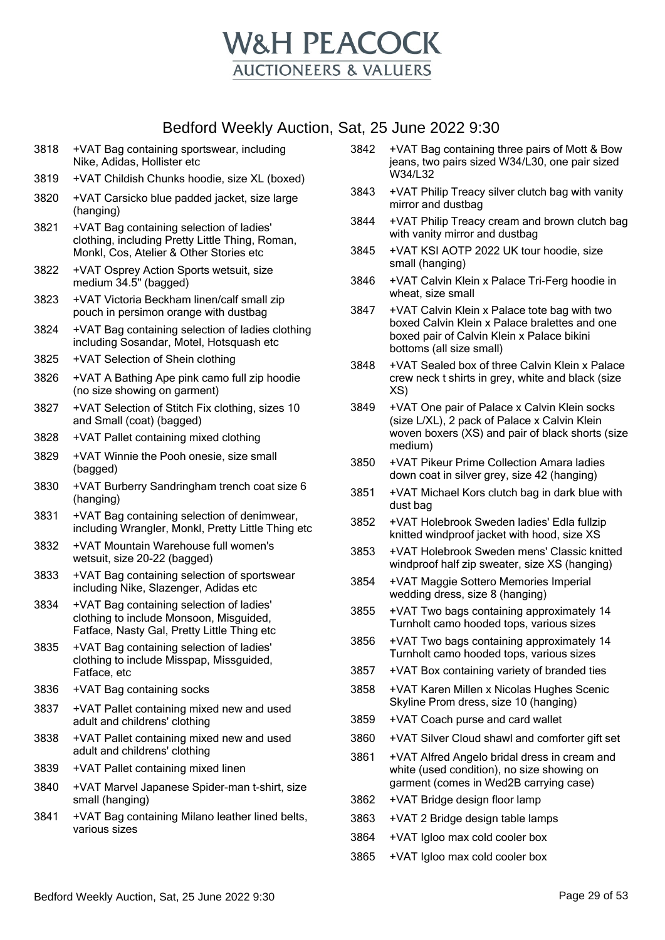

- 3818 +VAT Bag containing sportswear, including Nike, Adidas, Hollister etc
- 3819 +VAT Childish Chunks hoodie, size XL (boxed)
- 3820 +VAT Carsicko blue padded jacket, size large (hanging)
- 3821 +VAT Bag containing selection of ladies' clothing, including Pretty Little Thing, Roman, Monkl, Cos, Atelier & Other Stories etc
- 3822 +VAT Osprey Action Sports wetsuit, size medium 34.5" (bagged)
- 3823 +VAT Victoria Beckham linen/calf small zip pouch in persimon orange with dustbag
- 3824 +VAT Bag containing selection of ladies clothing including Sosandar, Motel, Hotsquash etc
- 3825 +VAT Selection of Shein clothing
- 3826 +VAT A Bathing Ape pink camo full zip hoodie (no size showing on garment)
- 3827 +VAT Selection of Stitch Fix clothing, sizes 10 and Small (coat) (bagged)
- 3828 +VAT Pallet containing mixed clothing
- 3829 +VAT Winnie the Pooh onesie, size small (bagged)
- 3830 +VAT Burberry Sandringham trench coat size 6 (hanging)
- 3831 +VAT Bag containing selection of denimwear, including Wrangler, Monkl, Pretty Little Thing etc
- 3832 +VAT Mountain Warehouse full women's wetsuit, size 20-22 (bagged)
- 3833 +VAT Bag containing selection of sportswear including Nike, Slazenger, Adidas etc
- 3834 +VAT Bag containing selection of ladies' clothing to include Monsoon, Misguided, Fatface, Nasty Gal, Pretty Little Thing etc
- 3835 +VAT Bag containing selection of ladies' clothing to include Misspap, Missguided, Fatface, etc
- 3836 +VAT Bag containing socks
- 3837 +VAT Pallet containing mixed new and used adult and childrens' clothing
- 3838 +VAT Pallet containing mixed new and used adult and childrens' clothing
- 3839 +VAT Pallet containing mixed linen
- 3840 +VAT Marvel Japanese Spider-man t-shirt, size small (hanging)
- 3841 +VAT Bag containing Milano leather lined belts, various sizes
- 3842 +VAT Bag containing three pairs of Mott & Bow jeans, two pairs sized W34/L30, one pair sized W34/L32
- 3843 +VAT Philip Treacy silver clutch bag with vanity mirror and dustbag
- 3844 +VAT Philip Treacy cream and brown clutch bag with vanity mirror and dustbag
- 3845 +VAT KSI AOTP 2022 UK tour hoodie, size small (hanging)
- 3846 +VAT Calvin Klein x Palace Tri-Ferg hoodie in wheat, size small
- 3847 +VAT Calvin Klein x Palace tote bag with two boxed Calvin Klein x Palace bralettes and one boxed pair of Calvin Klein x Palace bikini bottoms (all size small)
- 3848 +VAT Sealed box of three Calvin Klein x Palace crew neck t shirts in grey, white and black (size XS)
- 3849 +VAT One pair of Palace x Calvin Klein socks (size L/XL), 2 pack of Palace x Calvin Klein woven boxers (XS) and pair of black shorts (size medium)
- 3850 +VAT Pikeur Prime Collection Amara ladies down coat in silver grey, size 42 (hanging)
- 3851 +VAT Michael Kors clutch bag in dark blue with dust bag
- 3852 +VAT Holebrook Sweden ladies' Edla fullzip knitted windproof jacket with hood, size XS
- 3853 +VAT Holebrook Sweden mens' Classic knitted windproof half zip sweater, size XS (hanging)
- 3854 +VAT Maggie Sottero Memories Imperial wedding dress, size 8 (hanging)
- 3855 +VAT Two bags containing approximately 14 Turnholt camo hooded tops, various sizes
- 3856 +VAT Two bags containing approximately 14 Turnholt camo hooded tops, various sizes
- 3857 +VAT Box containing variety of branded ties
- 3858 +VAT Karen Millen x Nicolas Hughes Scenic Skyline Prom dress, size 10 (hanging)
- 3859 +VAT Coach purse and card wallet
- 3860 +VAT Silver Cloud shawl and comforter gift set
- 3861 +VAT Alfred Angelo bridal dress in cream and white (used condition), no size showing on garment (comes in Wed2B carrying case)
- 3862 +VAT Bridge design floor lamp
- 3863 +VAT 2 Bridge design table lamps
- 3864 +VAT Igloo max cold cooler box
- 3865 +VAT Igloo max cold cooler box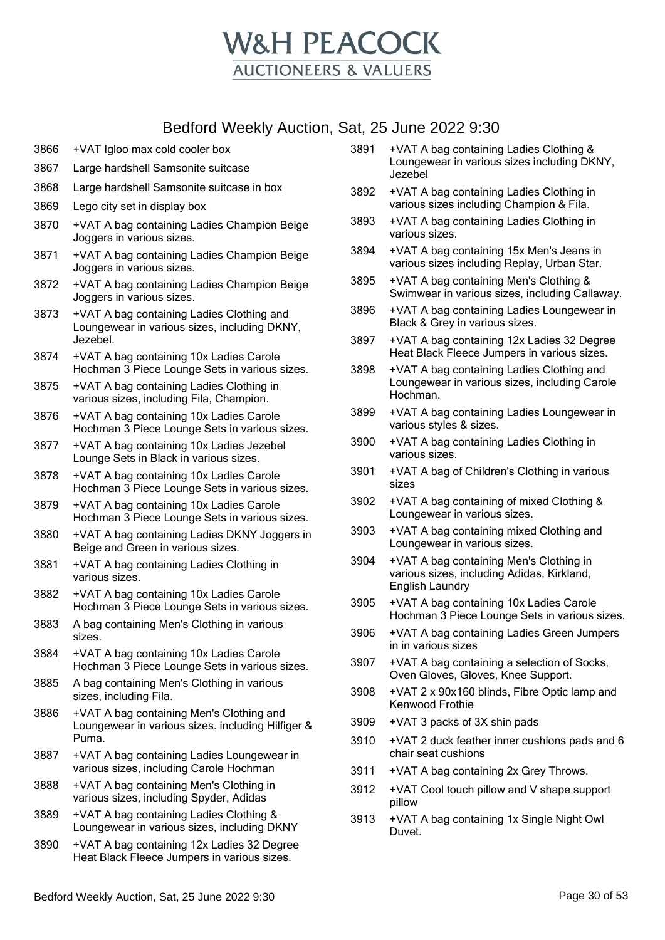

- 3866 +VAT Igloo max cold cooler box
- 3867 Large hardshell Samsonite suitcase
- 3868 Large hardshell Samsonite suitcase in box
- 3869 Lego city set in display box
- 3870 +VAT A bag containing Ladies Champion Beige Joggers in various sizes.
- 3871 +VAT A bag containing Ladies Champion Beige Joggers in various sizes.
- 3872 +VAT A bag containing Ladies Champion Beige Joggers in various sizes.
- 3873 +VAT A bag containing Ladies Clothing and Loungewear in various sizes, including DKNY, Jezebel.
- 3874 +VAT A bag containing 10x Ladies Carole Hochman 3 Piece Lounge Sets in various sizes.
- 3875 +VAT A bag containing Ladies Clothing in various sizes, including Fila, Champion.
- 3876 +VAT A bag containing 10x Ladies Carole Hochman 3 Piece Lounge Sets in various sizes.
- 3877 +VAT A bag containing 10x Ladies Jezebel Lounge Sets in Black in various sizes.
- 3878 +VAT A bag containing 10x Ladies Carole Hochman 3 Piece Lounge Sets in various sizes.
- 3879 +VAT A bag containing 10x Ladies Carole Hochman 3 Piece Lounge Sets in various sizes.
- 3880 +VAT A bag containing Ladies DKNY Joggers in Beige and Green in various sizes.
- 3881 +VAT A bag containing Ladies Clothing in various sizes.
- 3882 +VAT A bag containing 10x Ladies Carole Hochman 3 Piece Lounge Sets in various sizes.
- 3883 A bag containing Men's Clothing in various sizes.
- 3884 +VAT A bag containing 10x Ladies Carole Hochman 3 Piece Lounge Sets in various sizes.
- 3885 A bag containing Men's Clothing in various sizes, including Fila.
- 3886 +VAT A bag containing Men's Clothing and Loungewear in various sizes. including Hilfiger & Puma.
- 3887 +VAT A bag containing Ladies Loungewear in various sizes, including Carole Hochman
- 3888 +VAT A bag containing Men's Clothing in various sizes, including Spyder, Adidas
- 3889 +VAT A bag containing Ladies Clothing & Loungewear in various sizes, including DKNY
- 3890 +VAT A bag containing 12x Ladies 32 Degree Heat Black Fleece Jumpers in various sizes.
- 3891 +VAT A bag containing Ladies Clothing & Loungewear in various sizes including DKNY, Jezebel
- 3892 +VAT A bag containing Ladies Clothing in various sizes including Champion & Fila.
- 3893 +VAT A bag containing Ladies Clothing in various sizes.
- 3894 +VAT A bag containing 15x Men's Jeans in various sizes including Replay, Urban Star.
- 3895 +VAT A bag containing Men's Clothing & Swimwear in various sizes, including Callaway.
- 3896 +VAT A bag containing Ladies Loungewear in Black & Grey in various sizes.
- 3897 +VAT A bag containing 12x Ladies 32 Degree Heat Black Fleece Jumpers in various sizes.
- 3898 +VAT A bag containing Ladies Clothing and Loungewear in various sizes, including Carole Hochman.
- 3899 +VAT A bag containing Ladies Loungewear in various styles & sizes.
- 3900 +VAT A bag containing Ladies Clothing in various sizes.
- 3901 +VAT A bag of Children's Clothing in various sizes
- 3902 +VAT A bag containing of mixed Clothing & Loungewear in various sizes.
- 3903 +VAT A bag containing mixed Clothing and Loungewear in various sizes.
- 3904 +VAT A bag containing Men's Clothing in various sizes, including Adidas, Kirkland, English Laundry
- 3905 +VAT A bag containing 10x Ladies Carole Hochman 3 Piece Lounge Sets in various sizes.
- 3906 +VAT A bag containing Ladies Green Jumpers in in various sizes
- 3907 +VAT A bag containing a selection of Socks, Oven Gloves, Gloves, Knee Support.
- 3908 +VAT 2 x 90x160 blinds, Fibre Optic lamp and Kenwood Frothie
- 3909 +VAT 3 packs of 3X shin pads
- 3910 +VAT 2 duck feather inner cushions pads and 6 chair seat cushions
- 3911 +VAT A bag containing 2x Grey Throws.
- 3912 +VAT Cool touch pillow and V shape support pillow
- 3913 +VAT A bag containing 1x Single Night Owl Duvet.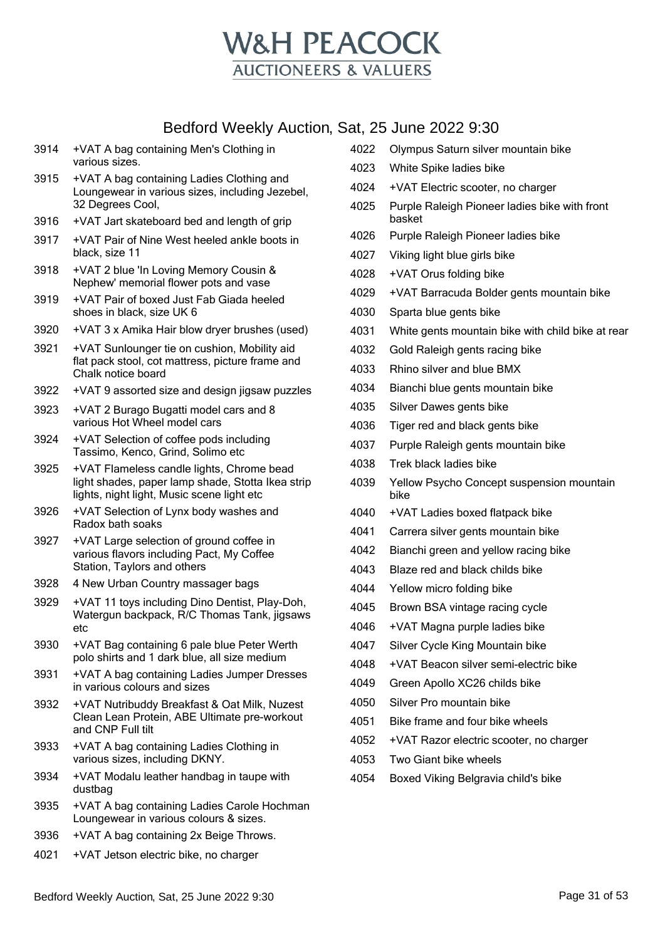

- +VAT A bag containing Men's Clothing in various sizes.
- +VAT A bag containing Ladies Clothing and Loungewear in various sizes, including Jezebel, 32 Degrees Cool,
- +VAT Jart skateboard bed and length of grip
- +VAT Pair of Nine West heeled ankle boots in black, size 11
- +VAT 2 blue 'In Loving Memory Cousin & Nephew' memorial flower pots and vase
- +VAT Pair of boxed Just Fab Giada heeled shoes in black, size UK 6
- +VAT 3 x Amika Hair blow dryer brushes (used)
- +VAT Sunlounger tie on cushion, Mobility aid flat pack stool, cot mattress, picture frame and Chalk notice board
- +VAT 9 assorted size and design jigsaw puzzles
- +VAT 2 Burago Bugatti model cars and 8 various Hot Wheel model cars
- +VAT Selection of coffee pods including Tassimo, Kenco, Grind, Solimo etc
- +VAT Flameless candle lights, Chrome bead light shades, paper lamp shade, Stotta Ikea strip lights, night light, Music scene light etc
- +VAT Selection of Lynx body washes and Radox bath soaks
- +VAT Large selection of ground coffee in various flavors including Pact, My Coffee Station, Taylors and others
- 4 New Urban Country massager bags
- +VAT 11 toys including Dino Dentist, Play-Doh, Watergun backpack, R/C Thomas Tank, jigsaws etc
- +VAT Bag containing 6 pale blue Peter Werth polo shirts and 1 dark blue, all size medium
- +VAT A bag containing Ladies Jumper Dresses in various colours and sizes
- +VAT Nutribuddy Breakfast & Oat Milk, Nuzest Clean Lean Protein, ABE Ultimate pre-workout and CNP Full tilt
- +VAT A bag containing Ladies Clothing in various sizes, including DKNY.
- +VAT Modalu leather handbag in taupe with dustbag
- +VAT A bag containing Ladies Carole Hochman Loungewear in various colours & sizes.
- +VAT A bag containing 2x Beige Throws.
- +VAT Jetson electric bike, no charger
- Olympus Saturn silver mountain bike
- White Spike ladies bike
- +VAT Electric scooter, no charger
- Purple Raleigh Pioneer ladies bike with front basket
- Purple Raleigh Pioneer ladies bike
- Viking light blue girls bike
- +VAT Orus folding bike
- +VAT Barracuda Bolder gents mountain bike
- Sparta blue gents bike
- White gents mountain bike with child bike at rear
- Gold Raleigh gents racing bike
- Rhino silver and blue BMX
- Bianchi blue gents mountain bike
- Silver Dawes gents bike
- Tiger red and black gents bike
- Purple Raleigh gents mountain bike
- Trek black ladies bike
- Yellow Psycho Concept suspension mountain bike
- +VAT Ladies boxed flatpack bike
- Carrera silver gents mountain bike
- Bianchi green and yellow racing bike
- Blaze red and black childs bike
- Yellow micro folding bike
- Brown BSA vintage racing cycle
- +VAT Magna purple ladies bike
- Silver Cycle King Mountain bike
- +VAT Beacon silver semi-electric bike
- Green Apollo XC26 childs bike
- Silver Pro mountain bike
- Bike frame and four bike wheels
- +VAT Razor electric scooter, no charger
- Two Giant bike wheels
- Boxed Viking Belgravia child's bike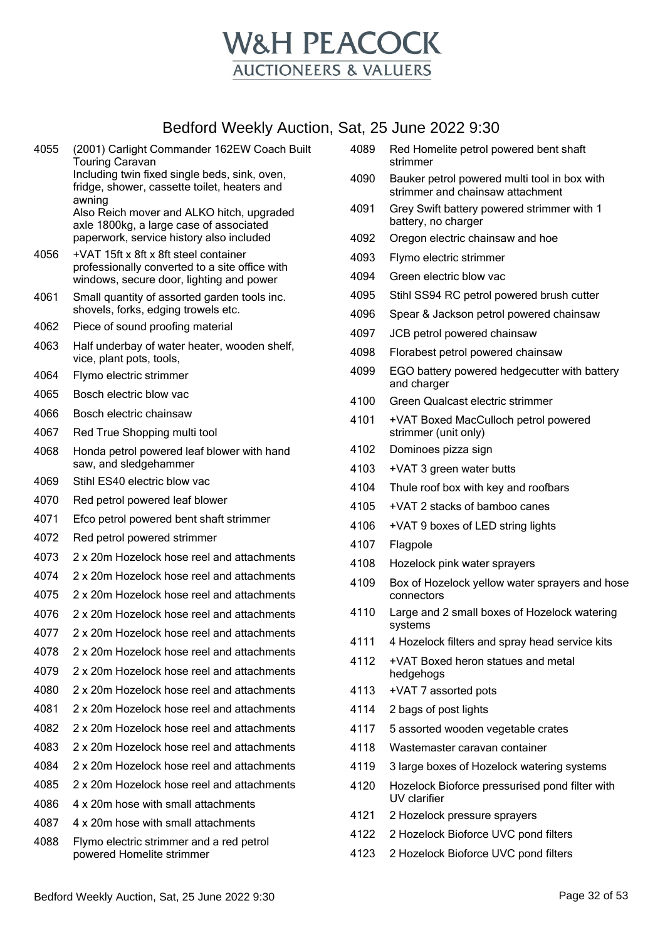

| 4055 | (2001) Carlight Commander 162EW Coach Built<br><b>Touring Caravan</b><br>Including twin fixed single beds, sink, oven,<br>fridge, shower, cassette toilet, heaters and<br>awning<br>Also Reich mover and ALKO hitch, upgraded<br>axle 1800kg, a large case of associated<br>paperwork, service history also included |
|------|----------------------------------------------------------------------------------------------------------------------------------------------------------------------------------------------------------------------------------------------------------------------------------------------------------------------|
| 4056 | +VAT 15ft x 8ft x 8ft steel container<br>professionally converted to a site office with<br>windows, secure door, lighting and power                                                                                                                                                                                  |
| 4061 | Small quantity of assorted garden tools inc.<br>shovels, forks, edging trowels etc.                                                                                                                                                                                                                                  |
| 4062 | Piece of sound proofing material                                                                                                                                                                                                                                                                                     |
| 4063 | Half underbay of water heater, wooden shelf,<br>vice, plant pots, tools,                                                                                                                                                                                                                                             |
| 4064 | Flymo electric strimmer                                                                                                                                                                                                                                                                                              |
| 4065 | Bosch electric blow vac                                                                                                                                                                                                                                                                                              |
| 4066 | Bosch electric chainsaw                                                                                                                                                                                                                                                                                              |
| 4067 | Red True Shopping multi tool                                                                                                                                                                                                                                                                                         |
| 4068 | Honda petrol powered leaf blower with hand<br>saw, and sledgehammer                                                                                                                                                                                                                                                  |
| 4069 | Stihl ES40 electric blow vac                                                                                                                                                                                                                                                                                         |
| 4070 | Red petrol powered leaf blower                                                                                                                                                                                                                                                                                       |
| 4071 | Efco petrol powered bent shaft strimmer                                                                                                                                                                                                                                                                              |
| 4072 | Red petrol powered strimmer                                                                                                                                                                                                                                                                                          |
| 4073 | 2 x 20m Hozelock hose reel and attachments                                                                                                                                                                                                                                                                           |
| 4074 | 2 x 20m Hozelock hose reel and attachments                                                                                                                                                                                                                                                                           |
| 4075 | 2 x 20m Hozelock hose reel and attachments                                                                                                                                                                                                                                                                           |
| 4076 | 2 x 20m Hozelock hose reel and attachments                                                                                                                                                                                                                                                                           |
| 4077 | 2 x 20m Hozelock hose reel and attachments                                                                                                                                                                                                                                                                           |
| 4078 | 2 x 20m Hozelock hose reel and attachments                                                                                                                                                                                                                                                                           |
| 4079 | 2 x 20m Hozelock hose reel and attachments                                                                                                                                                                                                                                                                           |
| 4080 | 2 x 20m Hozelock hose reel and attachments                                                                                                                                                                                                                                                                           |
| 4081 | 2 x 20m Hozelock hose reel and attachments                                                                                                                                                                                                                                                                           |
| 4082 | 2 x 20m Hozelock hose reel and attachments                                                                                                                                                                                                                                                                           |
| 4083 | 2 x 20m Hozelock hose reel and attachments                                                                                                                                                                                                                                                                           |
| 4084 | 2 x 20m Hozelock hose reel and attachments                                                                                                                                                                                                                                                                           |
| 4085 | 2 x 20m Hozelock hose reel and attachments                                                                                                                                                                                                                                                                           |
| 4086 | 4 x 20m hose with small attachments                                                                                                                                                                                                                                                                                  |
| 4087 | 4 x 20m hose with small attachments                                                                                                                                                                                                                                                                                  |
| 4088 | Flymo electric strimmer and a red petrol<br>powered Homelite strimmer                                                                                                                                                                                                                                                |

|      | strimmer                                                                         |
|------|----------------------------------------------------------------------------------|
| 4090 | Bauker petrol powered multi tool in box with<br>strimmer and chainsaw attachment |
| 4091 | Grey Swift battery powered strimmer with 1<br>battery, no charger                |
| 4092 | Oregon electric chainsaw and hoe                                                 |
| 4093 | Flymo electric strimmer                                                          |
| 4094 | Green electric blow vac                                                          |
| 4095 | Stihl SS94 RC petrol powered brush cutter                                        |
| 4096 | Spear & Jackson petrol powered chainsaw                                          |
| 4097 | JCB petrol powered chainsaw                                                      |
| 4098 | Florabest petrol powered chainsaw                                                |
| 4099 | EGO battery powered hedgecutter with battery<br>and charger                      |
| 4100 | Green Qualcast electric strimmer                                                 |
| 4101 | +VAT Boxed MacCulloch petrol powered<br>strimmer (unit only)                     |
| 4102 | Dominoes pizza sign                                                              |

Red Homelite petrol powered bent shaft

- +VAT 3 green water butts
- Thule roof box with key and roofbars
- +VAT 2 stacks of bamboo canes
- +VAT 9 boxes of LED string lights
- Flagpole
- Hozelock pink water sprayers
- Box of Hozelock yellow water sprayers and hose connectors
- Large and 2 small boxes of Hozelock watering systems
- 4 Hozelock filters and spray head service kits
- +VAT Boxed heron statues and metal hedgehogs
- +VAT 7 assorted pots
- 2 bags of post lights
- 5 assorted wooden vegetable crates
- Wastemaster caravan container
- 3 large boxes of Hozelock watering systems
- Hozelock Bioforce pressurised pond filter with UV clarifier
- 2 Hozelock pressure sprayers
- 2 Hozelock Bioforce UVC pond filters
- 2 Hozelock Bioforce UVC pond filters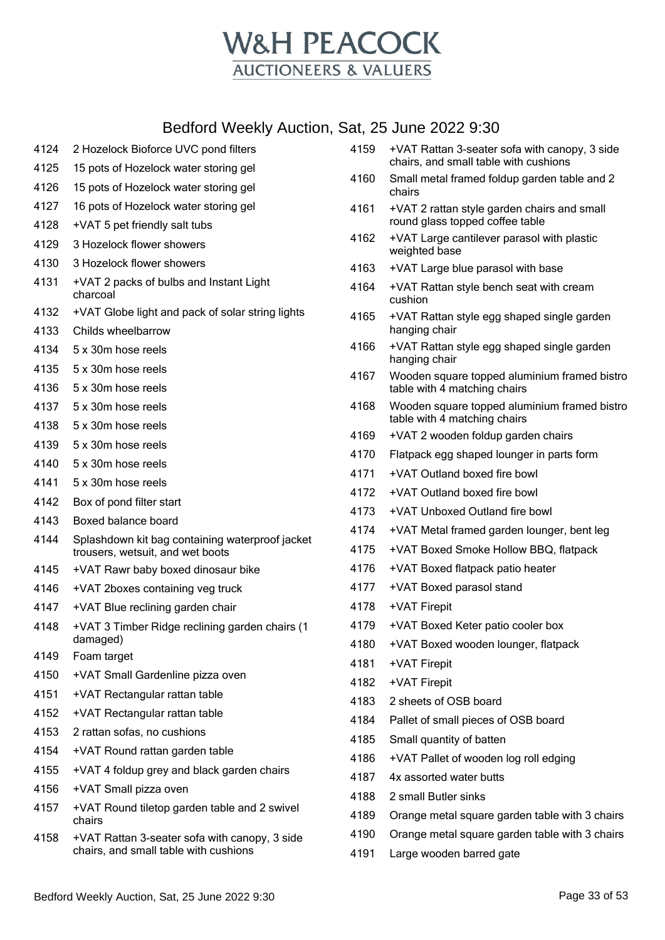

- 2 Hozelock Bioforce UVC pond filters 15 pots of Hozelock water storing gel 15 pots of Hozelock water storing gel 16 pots of Hozelock water storing gel +VAT 5 pet friendly salt tubs 3 Hozelock flower showers 3 Hozelock flower showers +VAT 2 packs of bulbs and Instant Light charcoal +VAT Globe light and pack of solar string lights Childs wheelbarrow 5 x 30m hose reels 5 x 30m hose reels 5 x 30m hose reels 5 x 30m hose reels 5 x 30m hose reels 5 x 30m hose reels 5 x 30m hose reels 5 x 30m hose reels Box of pond filter start Boxed balance board Splashdown kit bag containing waterproof jacket trousers, wetsuit, and wet boots +VAT Rawr baby boxed dinosaur bike +VAT 2boxes containing veg truck +VAT Blue reclining garden chair +VAT 3 Timber Ridge reclining garden chairs (1 damaged) Foam target +VAT Small Gardenline pizza oven +VAT Rectangular rattan table +VAT Rectangular rattan table 2 rattan sofas, no cushions +VAT Round rattan garden table +VAT 4 foldup grey and black garden chairs +VAT Small pizza oven +VAT Round tiletop garden table and 2 swivel chairs +VAT Rattan 3-seater sofa with canopy, 3 side chairs, and small table with cushions
- +VAT Rattan 3-seater sofa with canopy, 3 side chairs, and small table with cushions
- Small metal framed foldup garden table and 2 chairs
- +VAT 2 rattan style garden chairs and small round glass topped coffee table
- +VAT Large cantilever parasol with plastic weighted base
- +VAT Large blue parasol with base
- +VAT Rattan style bench seat with cream cushion
- +VAT Rattan style egg shaped single garden hanging chair
- +VAT Rattan style egg shaped single garden hanging chair
- Wooden square topped aluminium framed bistro table with 4 matching chairs
- Wooden square topped aluminium framed bistro table with 4 matching chairs
- +VAT 2 wooden foldup garden chairs
- Flatpack egg shaped lounger in parts form
- +VAT Outland boxed fire bowl
- +VAT Outland boxed fire bowl
- +VAT Unboxed Outland fire bowl
- +VAT Metal framed garden lounger, bent leg
- +VAT Boxed Smoke Hollow BBQ, flatpack
- +VAT Boxed flatpack patio heater
- +VAT Boxed parasol stand
- +VAT Firepit
- +VAT Boxed Keter patio cooler box
- +VAT Boxed wooden lounger, flatpack
- +VAT Firepit
- +VAT Firepit
- 2 sheets of OSB board
- Pallet of small pieces of OSB board
- Small quantity of batten
- +VAT Pallet of wooden log roll edging
- 4x assorted water butts
- 2 small Butler sinks
- Orange metal square garden table with 3 chairs
- Orange metal square garden table with 3 chairs
- Large wooden barred gate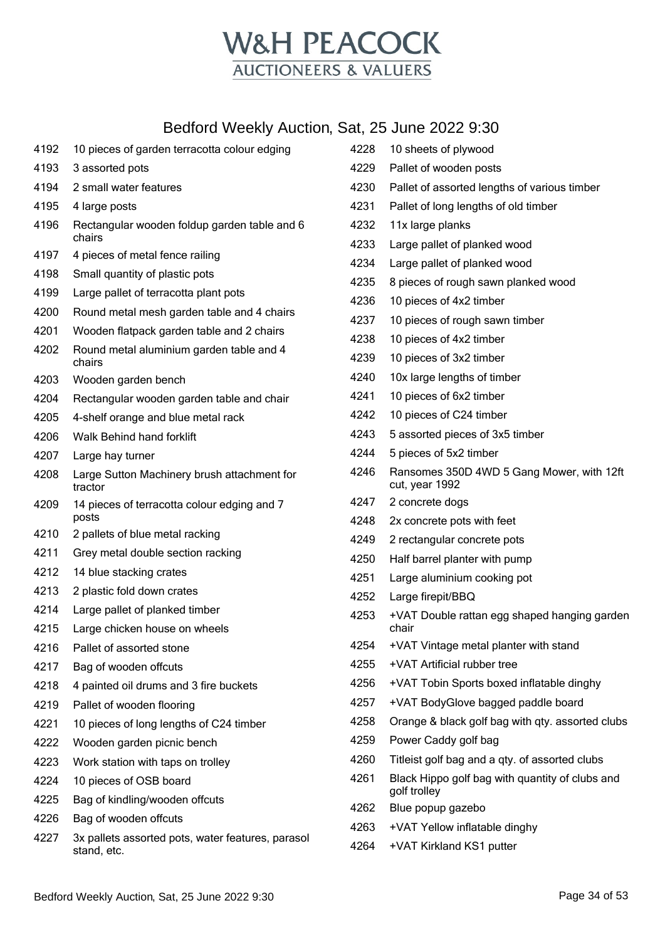

| 4192 | 10 pieces of garden terracotta colour edging                     | 4228 | 10 sheets of plywood                                            |
|------|------------------------------------------------------------------|------|-----------------------------------------------------------------|
| 4193 | 3 assorted pots                                                  | 4229 | Pallet of wooden posts                                          |
| 4194 | 2 small water features                                           | 4230 | Pallet of assorted lengths of various timber                    |
| 4195 | 4 large posts                                                    | 4231 | Pallet of long lengths of old timber                            |
| 4196 | Rectangular wooden foldup garden table and 6                     | 4232 | 11x large planks                                                |
|      | chairs                                                           | 4233 | Large pallet of planked wood                                    |
| 4197 | 4 pieces of metal fence railing                                  | 4234 | Large pallet of planked wood                                    |
| 4198 | Small quantity of plastic pots                                   | 4235 | 8 pieces of rough sawn planked wood                             |
| 4199 | Large pallet of terracotta plant pots                            | 4236 | 10 pieces of 4x2 timber                                         |
| 4200 | Round metal mesh garden table and 4 chairs                       | 4237 | 10 pieces of rough sawn timber                                  |
| 4201 | Wooden flatpack garden table and 2 chairs                        | 4238 | 10 pieces of 4x2 timber                                         |
| 4202 | Round metal aluminium garden table and 4<br>chairs               | 4239 | 10 pieces of 3x2 timber                                         |
| 4203 | Wooden garden bench                                              | 4240 | 10x large lengths of timber                                     |
| 4204 | Rectangular wooden garden table and chair                        | 4241 | 10 pieces of 6x2 timber                                         |
| 4205 | 4-shelf orange and blue metal rack                               | 4242 | 10 pieces of C24 timber                                         |
| 4206 | Walk Behind hand forklift                                        | 4243 | 5 assorted pieces of 3x5 timber                                 |
| 4207 | Large hay turner                                                 | 4244 | 5 pieces of 5x2 timber                                          |
| 4208 | Large Sutton Machinery brush attachment for<br>tractor           | 4246 | Ransomes 350D 4WD 5 Gang Mower, with 12ft<br>cut, year 1992     |
| 4209 | 14 pieces of terracotta colour edging and 7                      | 4247 | 2 concrete dogs                                                 |
|      | posts                                                            | 4248 | 2x concrete pots with feet                                      |
| 4210 | 2 pallets of blue metal racking                                  | 4249 | 2 rectangular concrete pots                                     |
| 4211 | Grey metal double section racking                                | 4250 | Half barrel planter with pump                                   |
| 4212 | 14 blue stacking crates                                          | 4251 | Large aluminium cooking pot                                     |
| 4213 | 2 plastic fold down crates                                       | 4252 | Large firepit/BBQ                                               |
| 4214 | Large pallet of planked timber                                   | 4253 | +VAT Double rattan egg shaped hanging garden                    |
| 4215 | Large chicken house on wheels                                    |      | chair                                                           |
| 4216 | Pallet of assorted stone                                         | 4254 | +VAT Vintage metal planter with stand                           |
| 4217 | Bag of wooden offcuts                                            | 4255 | +VAT Artificial rubber tree                                     |
| 4218 | 4 painted oil drums and 3 fire buckets                           | 4256 | +VAT Tobin Sports boxed inflatable dinghy                       |
| 4219 | Pallet of wooden flooring                                        | 4257 | +VAT BodyGlove bagged paddle board                              |
| 4221 | 10 pieces of long lengths of C24 timber                          | 4258 | Orange & black golf bag with qty. assorted clubs                |
| 4222 | Wooden garden picnic bench                                       | 4259 | Power Caddy golf bag                                            |
| 4223 | Work station with taps on trolley                                | 4260 | Titleist golf bag and a qty. of assorted clubs                  |
| 4224 | 10 pieces of OSB board                                           | 4261 | Black Hippo golf bag with quantity of clubs and<br>golf trolley |
| 4225 | Bag of kindling/wooden offcuts                                   | 4262 | Blue popup gazebo                                               |
| 4226 | Bag of wooden offcuts                                            | 4263 | +VAT Yellow inflatable dinghy                                   |
| 4227 | 3x pallets assorted pots, water features, parasol<br>stand, etc. | 4264 | +VAT Kirkland KS1 putter                                        |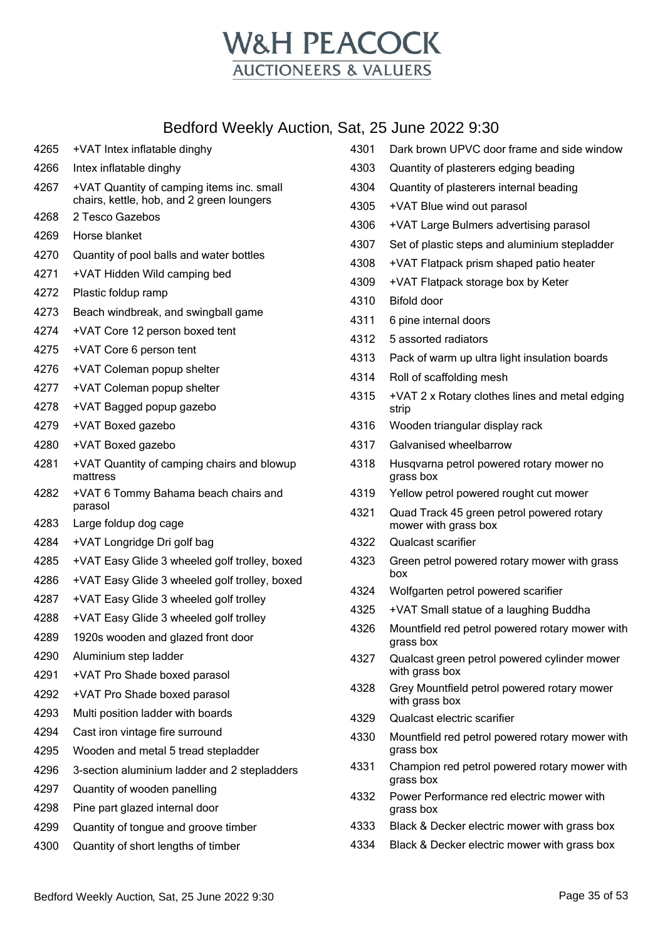

| 4265 | +VAT Intex inflatable dinghy                                                           | 4301 | Dark bro                       |
|------|----------------------------------------------------------------------------------------|------|--------------------------------|
| 4266 | Intex inflatable dinghy                                                                | 4303 | Quantity                       |
| 4267 | +VAT Quantity of camping items inc. small<br>chairs, kettle, hob, and 2 green loungers | 4304 | Quantity                       |
| 4268 | 2 Tesco Gazebos                                                                        | 4305 | +VAT BI                        |
| 4269 | Horse blanket                                                                          | 4306 | +VAT La                        |
| 4270 | Quantity of pool balls and water bottles                                               | 4307 | Set of pl                      |
| 4271 | +VAT Hidden Wild camping bed                                                           | 4308 | +VAT FI                        |
| 4272 | Plastic foldup ramp                                                                    | 4309 | +VAT FI                        |
| 4273 | Beach windbreak, and swingball game                                                    | 4310 | Bifold do                      |
| 4274 | +VAT Core 12 person boxed tent                                                         | 4311 | 6 pine in                      |
| 4275 | +VAT Core 6 person tent                                                                | 4312 | 5 assort                       |
| 4276 | +VAT Coleman popup shelter                                                             | 4313 | Pack of                        |
| 4277 | +VAT Coleman popup shelter                                                             | 4314 | Roll of s                      |
| 4278 | +VAT Bagged popup gazebo                                                               | 4315 | $+VAT2$<br>strip               |
| 4279 | +VAT Boxed gazebo                                                                      | 4316 | Wooden                         |
| 4280 | +VAT Boxed gazebo                                                                      | 4317 | Galvanis                       |
| 4281 | +VAT Quantity of camping chairs and blowup<br>mattress                                 | 4318 | Husqvar<br>grass bc            |
| 4282 | +VAT 6 Tommy Bahama beach chairs and<br>parasol                                        | 4319 | Yellow p                       |
| 4283 | Large foldup dog cage                                                                  | 4321 | Quad Tr<br>mower v             |
| 4284 | +VAT Longridge Dri golf bag                                                            | 4322 | Qualcas                        |
| 4285 | +VAT Easy Glide 3 wheeled golf trolley, boxed                                          | 4323 | Green p                        |
| 4286 | +VAT Easy Glide 3 wheeled golf trolley, boxed                                          |      | box                            |
| 4287 | +VAT Easy Glide 3 wheeled golf trolley                                                 | 4324 | Wolfgart                       |
| 4288 | +VAT Easy Glide 3 wheeled golf trolley                                                 | 4325 | +VAT SI                        |
| 4289 | 1920s wooden and glazed front door                                                     | 4326 | Mountfie<br>grass bo           |
| 4290 | Aluminium step ladder                                                                  | 4327 | Qualcas                        |
| 4291 | +VAT Pro Shade boxed parasol                                                           |      | with gras                      |
| 4292 | +VAT Pro Shade boxed parasol                                                           | 4328 | Grey Mc<br>with gras           |
| 4293 | Multi position ladder with boards                                                      | 4329 | Qualcas                        |
| 4294 | Cast iron vintage fire surround                                                        | 4330 | Mountfie                       |
| 4295 | Wooden and metal 5 tread stepladder                                                    |      | grass bc                       |
| 4296 | 3-section aluminium ladder and 2 stepladders                                           | 4331 | Champio                        |
| 4297 | Quantity of wooden panelling                                                           | 4332 | grass bc<br>Power <sub>P</sub> |
| 4298 | Pine part glazed internal door                                                         |      | grass bc                       |
| 4299 | Quantity of tongue and groove timber                                                   | 4333 | Black &                        |
| 4300 | Quantity of short lengths of timber                                                    | 4334 | Black &                        |
|      |                                                                                        |      |                                |

|      | ai, zu uuri <del>c</del> zuzz biju                                |
|------|-------------------------------------------------------------------|
| 4301 | Dark brown UPVC door frame and side window                        |
| 4303 | Quantity of plasterers edging beading                             |
| 4304 | Quantity of plasterers internal beading                           |
| 4305 | +VAT Blue wind out parasol                                        |
| 4306 | +VAT Large Bulmers advertising parasol                            |
| 4307 | Set of plastic steps and aluminium stepladder                     |
| 4308 | +VAT Flatpack prism shaped patio heater                           |
| 4309 | +VAT Flatpack storage box by Keter                                |
| 4310 | Bifold door                                                       |
| 4311 | 6 pine internal doors                                             |
| 4312 | 5 assorted radiators                                              |
| 4313 | Pack of warm up ultra light insulation boards                     |
| 4314 | Roll of scaffolding mesh                                          |
| 4315 | +VAT 2 x Rotary clothes lines and metal edging<br>strip           |
| 4316 | Wooden triangular display rack                                    |
| 4317 | Galvanised wheelbarrow                                            |
| 4318 | Husqvarna petrol powered rotary mower no<br>grass box             |
| 4319 | Yellow petrol powered rought cut mower                            |
| 4321 | Quad Track 45 green petrol powered rotary<br>mower with grass box |
| 4322 | Qualcast scarifier                                                |
| 4323 | Green petrol powered rotary mower with grass<br>box               |
| 4324 | Wolfgarten petrol powered scarifier                               |
| 4325 | +VAT Small statue of a laughing Buddha                            |
| 4326 | Mountfield red petrol powered rotary mower with<br>grass box      |
| 4327 | Qualcast green petrol powered cylinder mower<br>with grass box    |
| 4328 | Grey Mountfield petrol powered rotary mower<br>with grass box     |
| 4329 | Qualcast electric scarifier                                       |
| 4330 | Mountfield red petrol powered rotary mower with<br>grass box      |
| 4331 | Champion red petrol powered rotary mower with<br>grass box        |
| 4332 | Power Performance red electric mower with<br>grass box            |
| 4333 | Black & Decker electric mower with grass box                      |
| 4334 | Black & Decker electric mower with grass box                      |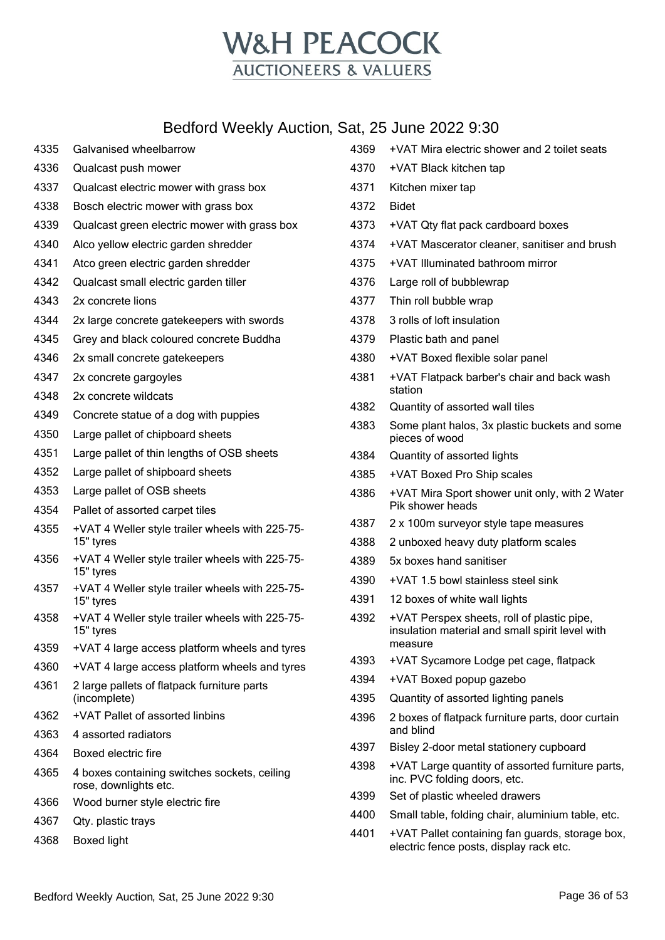

- Galvanised wheelbarrow Qualcast push mower Qualcast electric mower with grass box Bosch electric mower with grass box Qualcast green electric mower with grass box Alco yellow electric garden shredder Atco green electric garden shredder Qualcast small electric garden tiller 2x concrete lions 2x large concrete gatekeepers with swords Grey and black coloured concrete Buddha 2x small concrete gatekeepers 2x concrete gargoyles 2x concrete wildcats Concrete statue of a dog with puppies Large pallet of chipboard sheets Large pallet of thin lengths of OSB sheets Large pallet of shipboard sheets Large pallet of OSB sheets Pallet of assorted carpet tiles +VAT 4 Weller style trailer wheels with 225-75- 15" tyres +VAT 4 Weller style trailer wheels with 225-75- 15" tyres +VAT 4 Weller style trailer wheels with 225-75- 15" tyres +VAT 4 Weller style trailer wheels with 225-75- 15" tyres +VAT 4 large access platform wheels and tyres +VAT 4 large access platform wheels and tyres 2 large pallets of flatpack furniture parts (incomplete) +VAT Pallet of assorted linbins 4 assorted radiators Boxed electric fire 4 boxes containing switches sockets, ceiling rose, downlights etc. Wood burner style electric fire Qty. plastic trays Boxed light
- +VAT Mira electric shower and 2 toilet seats +VAT Black kitchen tap Kitchen mixer tap Bidet +VAT Qty flat pack cardboard boxes +VAT Mascerator cleaner, sanitiser and brush +VAT Illuminated bathroom mirror Large roll of bubblewrap Thin roll bubble wrap 3 rolls of loft insulation Plastic bath and panel +VAT Boxed flexible solar panel +VAT Flatpack barber's chair and back wash station Quantity of assorted wall tiles Some plant halos, 3x plastic buckets and some pieces of wood Quantity of assorted lights +VAT Boxed Pro Ship scales +VAT Mira Sport shower unit only, with 2 Water Pik shower heads 2 x 100m surveyor style tape measures 2 unboxed heavy duty platform scales 5x boxes hand sanitiser +VAT 1.5 bowl stainless steel sink 12 boxes of white wall lights +VAT Perspex sheets, roll of plastic pipe, insulation material and small spirit level with measure +VAT Sycamore Lodge pet cage, flatpack +VAT Boxed popup gazebo Quantity of assorted lighting panels 2 boxes of flatpack furniture parts, door curtain and blind Bisley 2-door metal stationery cupboard +VAT Large quantity of assorted furniture parts, inc. PVC folding doors, etc. Set of plastic wheeled drawers Small table, folding chair, aluminium table, etc. +VAT Pallet containing fan guards, storage box, electric fence posts, display rack etc.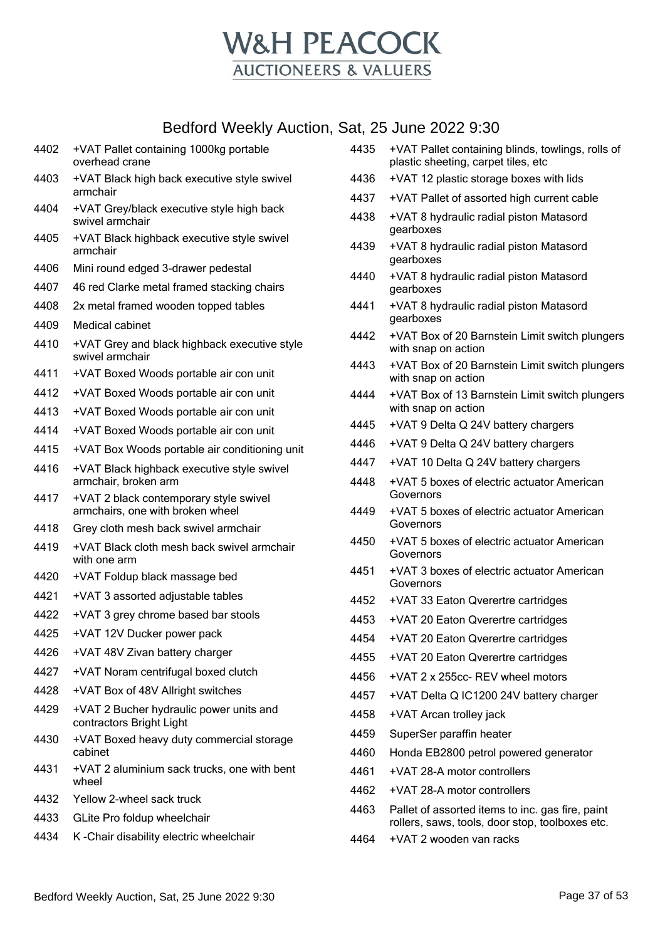

| 4402 | +VAT Pallet containing 1000kg portable<br>overhead crane                   |
|------|----------------------------------------------------------------------------|
| 4403 | +VAT Black high back executive style swivel<br>armchair                    |
| 4404 | +VAT Grey/black executive style high back<br>swivel armchair               |
| 4405 | +VAT Black highback executive style swivel<br>armchair                     |
| 4406 | Mini round edged 3-drawer pedestal                                         |
| 4407 | 46 red Clarke metal framed stacking chairs                                 |
| 4408 | 2x metal framed wooden topped tables                                       |
| 4409 | Medical cabinet                                                            |
| 4410 | +VAT Grey and black highback executive style<br>swivel armchair            |
| 4411 | +VAT Boxed Woods portable air con unit                                     |
| 4412 | +VAT Boxed Woods portable air con unit                                     |
| 4413 | +VAT Boxed Woods portable air con unit                                     |
| 4414 | +VAT Boxed Woods portable air con unit                                     |
| 4415 | +VAT Box Woods portable air conditioning unit                              |
| 4416 | +VAT Black highback executive style swivel<br>armchair, broken arm         |
| 4417 | +VAT 2 black contemporary style swivel<br>armchairs, one with broken wheel |
| 4418 | Grey cloth mesh back swivel armchair                                       |
| 4419 | +VAT Black cloth mesh back swivel armchair<br>with one arm                 |
| 4420 | +VAT Foldup black massage bed                                              |
| 4421 | +VAT 3 assorted adjustable tables                                          |
| 4422 | +VAT 3 grey chrome based bar stools                                        |
| 4425 | +VAT 12V Ducker power pack                                                 |
| 4426 | +VAT 48V Zivan battery charger                                             |
| 4427 | +VAT Noram centrifugal boxed clutch                                        |
| 4428 | +VAT Box of 48V Allright switches                                          |
| 4429 | +VAT 2 Bucher hydraulic power units and<br>contractors Bright Light        |
| 4430 | +VAT Boxed heavy duty commercial storage<br>cabinet                        |
| 4431 | +VAT 2 aluminium sack trucks, one with bent<br>wheel                       |
| 4432 | Yellow 2-wheel sack truck                                                  |
| 4433 | GLite Pro foldup wheelchair                                                |
| 4434 | K-Chair disability electric wheelchair                                     |

- +VAT Pallet containing blinds, towlings, rolls of plastic sheeting, carpet tiles, etc
- +VAT 12 plastic storage boxes with lids
- +VAT Pallet of assorted high current cable
- +VAT 8 hydraulic radial piston Matasord gearboxes
- +VAT 8 hydraulic radial piston Matasord gearboxes
- +VAT 8 hydraulic radial piston Matasord gearboxes
- +VAT 8 hydraulic radial piston Matasord gearboxes
- +VAT Box of 20 Barnstein Limit switch plungers with snap on action
- +VAT Box of 20 Barnstein Limit switch plungers with snap on action
- +VAT Box of 13 Barnstein Limit switch plungers with snap on action
- +VAT 9 Delta Q 24V battery chargers
- +VAT 9 Delta Q 24V battery chargers
- +VAT 10 Delta Q 24V battery chargers
- +VAT 5 boxes of electric actuator American Governors
- +VAT 5 boxes of electric actuator American Governors
- +VAT 5 boxes of electric actuator American Governors
- +VAT 3 boxes of electric actuator American **Governors**
- +VAT 33 Eaton Qverertre cartridges
- +VAT 20 Eaton Qverertre cartridges
- +VAT 20 Eaton Qverertre cartridges
- +VAT 20 Eaton Qverertre cartridges
- +VAT 2 x 255cc- REV wheel motors
- +VAT Delta Q IC1200 24V battery charger
- +VAT Arcan trolley jack
- SuperSer paraffin heater
- Honda EB2800 petrol powered generator
- +VAT 28-A motor controllers
- +VAT 28-A motor controllers
- Pallet of assorted items to inc. gas fire, paint rollers, saws, tools, door stop, toolboxes etc.
- +VAT 2 wooden van racks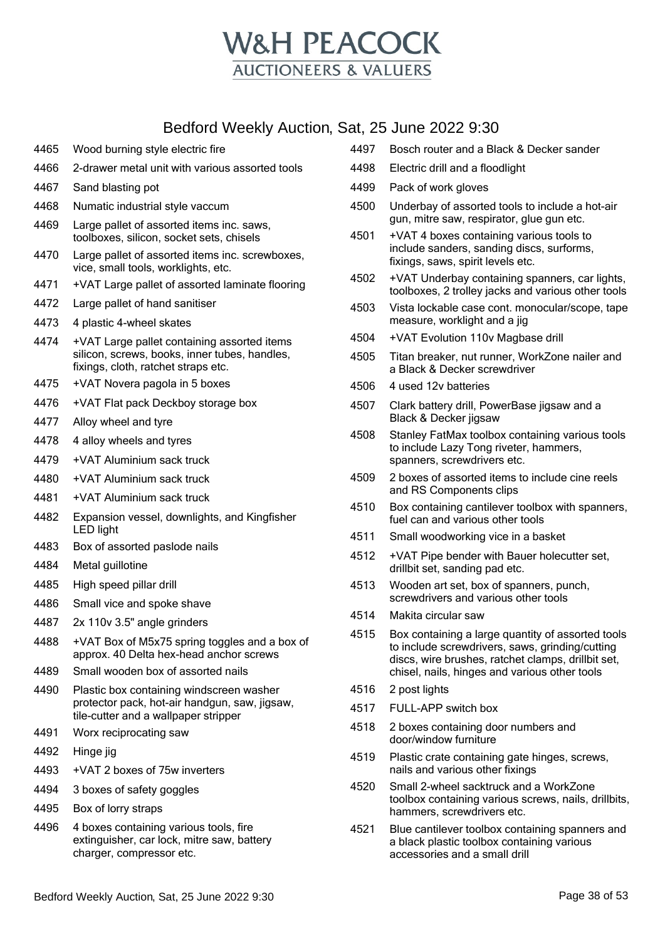

 Numatic industrial style vaccum Large pallet of assorted items inc. saws, toolboxes, silicon, socket sets, chisels Large pallet of assorted items inc. screwboxes, vice, small tools, worklights, etc. +VAT Large pallet of assorted laminate flooring Large pallet of hand sanitiser 4 plastic 4-wheel skates +VAT Large pallet containing assorted items silicon, screws, books, inner tubes, handles, fixings, cloth, ratchet straps etc. +VAT Novera pagola in 5 boxes +VAT Flat pack Deckboy storage box Alloy wheel and tyre 4 alloy wheels and tyres +VAT Aluminium sack truck +VAT Aluminium sack truck +VAT Aluminium sack truck Expansion vessel, downlights, and Kingfisher LED light Box of assorted paslode nails Metal guillotine High speed pillar drill Small vice and spoke shave 2x 110v 3.5" angle grinders +VAT Box of M5x75 spring toggles and a box of approx. 40 Delta hex-head anchor screws

Wood burning style electric fire

Sand blasting pot

2-drawer metal unit with various assorted tools

- Small wooden box of assorted nails
- Plastic box containing windscreen washer protector pack, hot-air handgun, saw, jigsaw, tile-cutter and a wallpaper stripper
- Worx reciprocating saw
- Hinge jig
- +VAT 2 boxes of 75w inverters
- 3 boxes of safety goggles
- Box of lorry straps
- 4 boxes containing various tools, fire extinguisher, car lock, mitre saw, battery charger, compressor etc.
- Bosch router and a Black & Decker sander
- Electric drill and a floodlight
- Pack of work gloves
- Underbay of assorted tools to include a hot-air gun, mitre saw, respirator, glue gun etc.
- +VAT 4 boxes containing various tools to include sanders, sanding discs, surforms, fixings, saws, spirit levels etc.
- +VAT Underbay containing spanners, car lights, toolboxes, 2 trolley jacks and various other tools
- Vista lockable case cont. monocular/scope, tape measure, worklight and a jig
- +VAT Evolution 110v Magbase drill
- Titan breaker, nut runner, WorkZone nailer and a Black & Decker screwdriver
- 4 used 12v batteries
- Clark battery drill, PowerBase jigsaw and a Black & Decker jigsaw
- Stanley FatMax toolbox containing various tools to include Lazy Tong riveter, hammers, spanners, screwdrivers etc.
- 2 boxes of assorted items to include cine reels and RS Components clips
- Box containing cantilever toolbox with spanners, fuel can and various other tools
- Small woodworking vice in a basket
- +VAT Pipe bender with Bauer holecutter set, drillbit set, sanding pad etc.
- Wooden art set, box of spanners, punch, screwdrivers and various other tools
- Makita circular saw
- Box containing a large quantity of assorted tools to include screwdrivers, saws, grinding/cutting discs, wire brushes, ratchet clamps, drillbit set, chisel, nails, hinges and various other tools
- 2 post lights
- FULL-APP switch box
- 2 boxes containing door numbers and door/window furniture
- Plastic crate containing gate hinges, screws, nails and various other fixings
- Small 2-wheel sacktruck and a WorkZone toolbox containing various screws, nails, drillbits, hammers, screwdrivers etc.
- Blue cantilever toolbox containing spanners and a black plastic toolbox containing various accessories and a small drill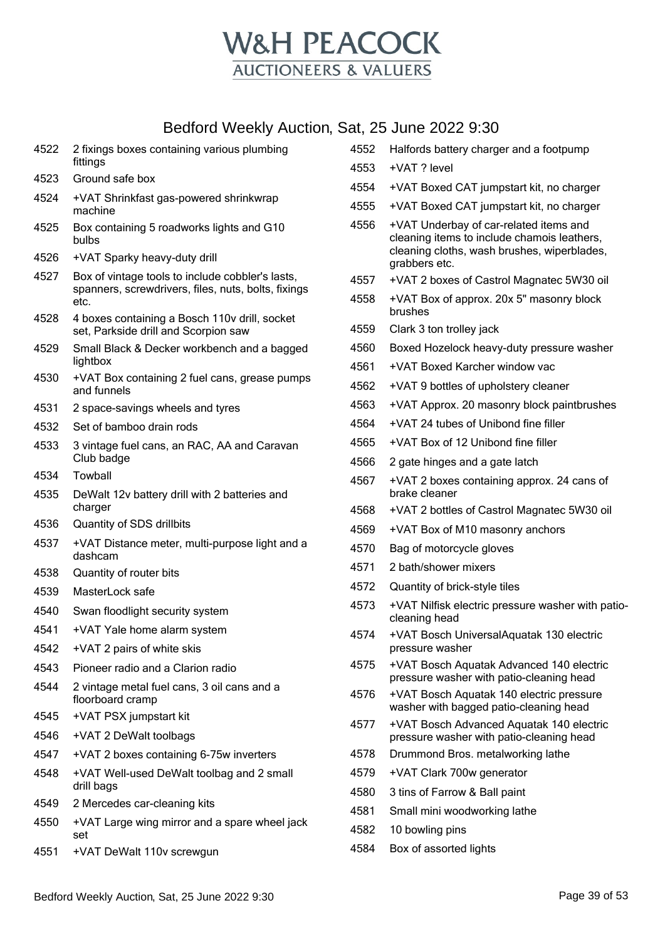

| 4522         | 2 fixings boxes containing various plumbing<br>fittings                            | 4552 | Halfords battery charger and a footpump                                                                                              |
|--------------|------------------------------------------------------------------------------------|------|--------------------------------------------------------------------------------------------------------------------------------------|
| 4523         | Ground safe box                                                                    | 4553 | +VAT ? level                                                                                                                         |
| 4524         | +VAT Shrinkfast gas-powered shrinkwrap                                             | 4554 | +VAT Boxed CAT jumpstart kit, no charger                                                                                             |
|              | machine                                                                            | 4555 | +VAT Boxed CAT jumpstart kit, no charger                                                                                             |
| 4525<br>4526 | Box containing 5 roadworks lights and G10<br>bulbs<br>+VAT Sparky heavy-duty drill | 4556 | +VAT Underbay of car-related items and<br>cleaning items to include chamois leathers,<br>cleaning cloths, wash brushes, wiperblades, |
| 4527         | Box of vintage tools to include cobbler's lasts,                                   | 4557 | grabbers etc.<br>+VAT 2 boxes of Castrol Magnatec 5W30 oil                                                                           |
|              | spanners, screwdrivers, files, nuts, bolts, fixings<br>etc.                        | 4558 | +VAT Box of approx. 20x 5" masonry block                                                                                             |
| 4528         | 4 boxes containing a Bosch 110v drill, socket                                      | 4559 | brushes                                                                                                                              |
|              | set, Parkside drill and Scorpion saw                                               | 4560 | Clark 3 ton trolley jack                                                                                                             |
| 4529         | Small Black & Decker workbench and a bagged<br>lightbox                            |      | Boxed Hozelock heavy-duty pressure washer                                                                                            |
| 4530         | +VAT Box containing 2 fuel cans, grease pumps                                      | 4561 | +VAT Boxed Karcher window vac                                                                                                        |
|              | and funnels                                                                        | 4562 | +VAT 9 bottles of upholstery cleaner                                                                                                 |
| 4531         | 2 space-savings wheels and tyres                                                   | 4563 | +VAT Approx. 20 masonry block paintbrushes                                                                                           |
| 4532         | Set of bamboo drain rods                                                           | 4564 | +VAT 24 tubes of Unibond fine filler                                                                                                 |
| 4533         | 3 vintage fuel cans, an RAC, AA and Caravan<br>Club badge                          | 4565 | +VAT Box of 12 Unibond fine filler                                                                                                   |
| 4534         | Towball                                                                            | 4566 | 2 gate hinges and a gate latch                                                                                                       |
| 4535         | DeWalt 12v battery drill with 2 batteries and                                      | 4567 | +VAT 2 boxes containing approx. 24 cans of<br>brake cleaner                                                                          |
|              | charger                                                                            | 4568 | +VAT 2 bottles of Castrol Magnatec 5W30 oil                                                                                          |
| 4536         | Quantity of SDS drillbits                                                          | 4569 | +VAT Box of M10 masonry anchors                                                                                                      |
| 4537         | +VAT Distance meter, multi-purpose light and a<br>dashcam                          | 4570 | Bag of motorcycle gloves                                                                                                             |
| 4538         | Quantity of router bits                                                            | 4571 | 2 bath/shower mixers                                                                                                                 |
| 4539         | MasterLock safe                                                                    | 4572 | Quantity of brick-style tiles                                                                                                        |
| 4540         | Swan floodlight security system                                                    | 4573 | +VAT Nilfisk electric pressure washer with patio-<br>cleaning head                                                                   |
| 4541         | +VAT Yale home alarm system                                                        | 4574 | +VAT Bosch UniversalAquatak 130 electric                                                                                             |
| 4542         | +VAT 2 pairs of white skis                                                         |      | pressure washer                                                                                                                      |
| 4543         | Pioneer radio and a Clarion radio                                                  | 4575 | +VAT Bosch Aquatak Advanced 140 electric<br>pressure washer with patio-cleaning head                                                 |
| 4544         | 2 vintage metal fuel cans, 3 oil cans and a<br>floorboard cramp                    | 4576 | +VAT Bosch Aquatak 140 electric pressure<br>washer with bagged patio-cleaning head                                                   |
| 4545         | +VAT PSX jumpstart kit                                                             | 4577 | +VAT Bosch Advanced Aquatak 140 electric                                                                                             |
| 4546         | +VAT 2 DeWalt toolbags                                                             |      | pressure washer with patio-cleaning head                                                                                             |
| 4547         | +VAT 2 boxes containing 6-75w inverters                                            | 4578 | Drummond Bros. metalworking lathe                                                                                                    |
| 4548         | +VAT Well-used DeWalt toolbag and 2 small                                          | 4579 | +VAT Clark 700w generator                                                                                                            |
|              | drill bags                                                                         | 4580 | 3 tins of Farrow & Ball paint                                                                                                        |
| 4549         | 2 Mercedes car-cleaning kits                                                       | 4581 | Small mini woodworking lathe                                                                                                         |
| 4550         | +VAT Large wing mirror and a spare wheel jack<br>set                               | 4582 | 10 bowling pins                                                                                                                      |
| 4551         | +VAT DeWalt 110v screwgun                                                          | 4584 | Box of assorted lights                                                                                                               |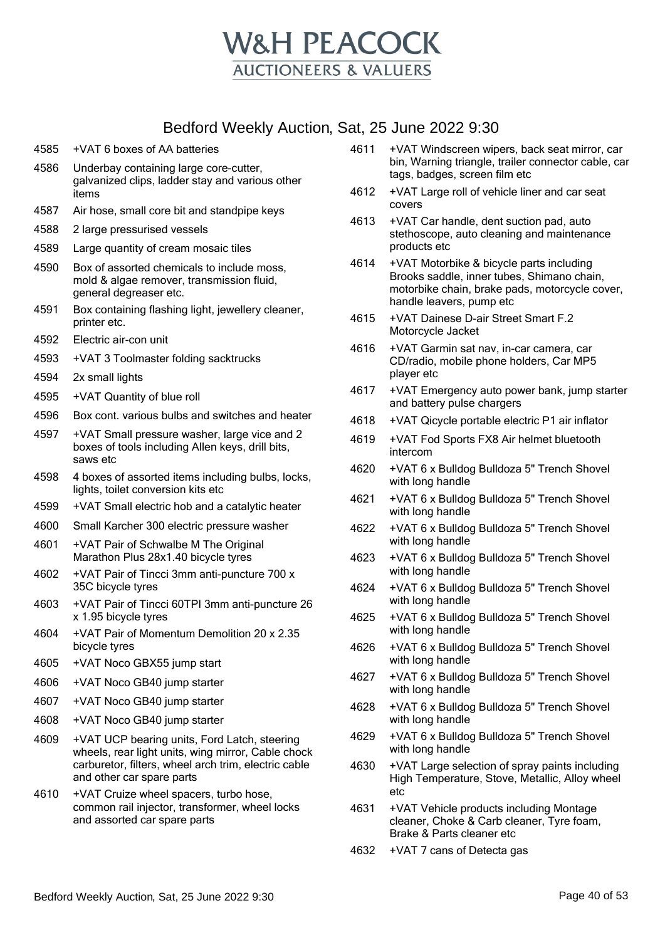

- 4585 +VAT 6 boxes of AA batteries
- 4586 Underbay containing large core-cutter, galvanized clips, ladder stay and various other items
- 4587 Air hose, small core bit and standpipe keys
- 4588 2 large pressurised vessels
- 4589 Large quantity of cream mosaic tiles
- 4590 Box of assorted chemicals to include moss, mold & algae remover, transmission fluid, general degreaser etc.
- 4591 Box containing flashing light, jewellery cleaner, printer etc.
- 4592 Electric air-con unit
- 4593 +VAT 3 Toolmaster folding sacktrucks
- 4594 2x small lights
- 4595 +VAT Quantity of blue roll
- 4596 Box cont. various bulbs and switches and heater
- 4597 +VAT Small pressure washer, large vice and 2 boxes of tools including Allen keys, drill bits, saws etc
- 4598 4 boxes of assorted items including bulbs, locks, lights, toilet conversion kits etc
- 4599 +VAT Small electric hob and a catalytic heater
- 4600 Small Karcher 300 electric pressure washer
- 4601 +VAT Pair of Schwalbe M The Original Marathon Plus 28x1.40 bicycle tyres
- 4602 +VAT Pair of Tincci 3mm anti-puncture 700 x 35C bicycle tyres
- 4603 +VAT Pair of Tincci 60TPI 3mm anti-puncture 26 x 1.95 bicycle tyres
- 4604 +VAT Pair of Momentum Demolition 20 x 2.35 bicycle tyres
- 4605 +VAT Noco GBX55 jump start
- 4606 +VAT Noco GB40 jump starter
- 4607 +VAT Noco GB40 jump starter
- 4608 +VAT Noco GB40 jump starter
- 4609 +VAT UCP bearing units, Ford Latch, steering wheels, rear light units, wing mirror, Cable chock carburetor, filters, wheel arch trim, electric cable and other car spare parts
- 4610 +VAT Cruize wheel spacers, turbo hose, common rail injector, transformer, wheel locks and assorted car spare parts
- 4611 +VAT Windscreen wipers, back seat mirror, car bin, Warning triangle, trailer connector cable, car tags, badges, screen film etc
- 4612 +VAT Large roll of vehicle liner and car seat covers
- 4613 +VAT Car handle, dent suction pad, auto stethoscope, auto cleaning and maintenance products etc
- 4614 +VAT Motorbike & bicycle parts including Brooks saddle, inner tubes, Shimano chain, motorbike chain, brake pads, motorcycle cover, handle leavers, pump etc
- 4615 +VAT Dainese D-air Street Smart F.2 Motorcycle Jacket
- 4616 +VAT Garmin sat nav, in-car camera, car CD/radio, mobile phone holders, Car MP5 player etc
- 4617 +VAT Emergency auto power bank, jump starter and battery pulse chargers
- 4618 +VAT Qicycle portable electric P1 air inflator
- 4619 +VAT Fod Sports FX8 Air helmet bluetooth intercom
- 4620 +VAT 6 x Bulldog Bulldoza 5" Trench Shovel with long handle
- 4621 +VAT 6 x Bulldog Bulldoza 5" Trench Shovel with long handle
- 4622 +VAT 6 x Bulldog Bulldoza 5" Trench Shovel with long handle
- 4623 +VAT 6 x Bulldog Bulldoza 5" Trench Shovel with long handle
- 4624 +VAT 6 x Bulldog Bulldoza 5" Trench Shovel with long handle
- 4625 +VAT 6 x Bulldog Bulldoza 5" Trench Shovel with long handle
- 4626 +VAT 6 x Bulldog Bulldoza 5" Trench Shovel with long handle
- 4627 +VAT 6 x Bulldog Bulldoza 5" Trench Shovel with long handle
- 4628 +VAT 6 x Bulldog Bulldoza 5" Trench Shovel with long handle
- 4629 +VAT 6 x Bulldog Bulldoza 5" Trench Shovel with long handle
- 4630 +VAT Large selection of spray paints including High Temperature, Stove, Metallic, Alloy wheel etc
- 4631 +VAT Vehicle products including Montage cleaner, Choke & Carb cleaner, Tyre foam, Brake & Parts cleaner etc
- 4632 +VAT 7 cans of Detecta gas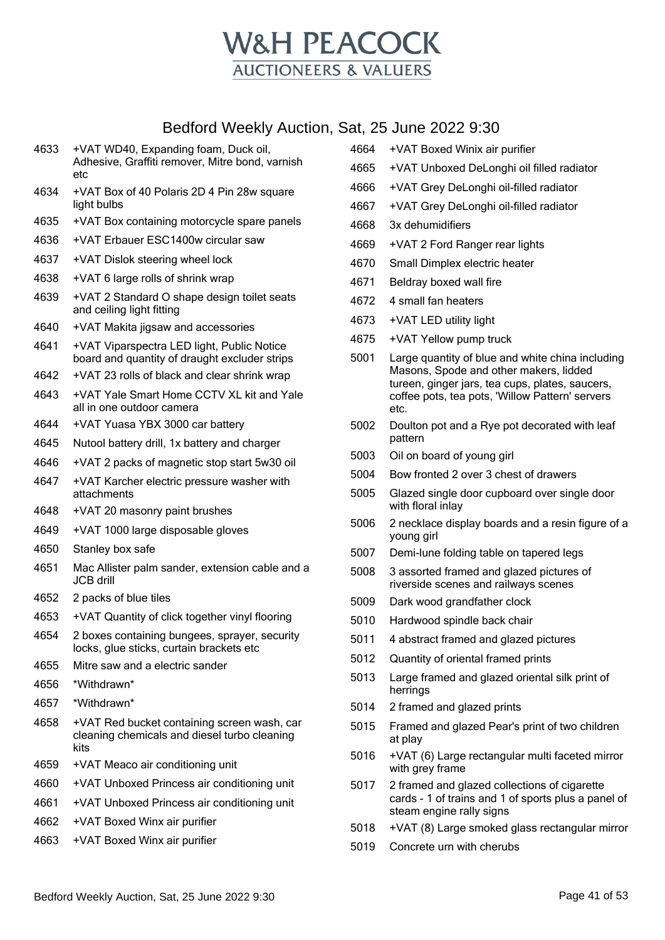

- +VAT WD40, Expanding foam, Duck oil, Adhesive, Graffiti remover, Mitre bond, varnish etc
- +VAT Box of 40 Polaris 2D 4 Pin 28w square light bulbs
- +VAT Box containing motorcycle spare panels
- +VAT Erbauer ESC1400w circular saw
- +VAT Dislok steering wheel lock
- +VAT 6 large rolls of shrink wrap
- +VAT 2 Standard O shape design toilet seats and ceiling light fitting
- +VAT Makita jigsaw and accessories
- +VAT Viparspectra LED light, Public Notice board and quantity of draught excluder strips
- +VAT 23 rolls of black and clear shrink wrap
- +VAT Yale Smart Home CCTV XL kit and Yale all in one outdoor camera
- +VAT Yuasa YBX 3000 car battery
- Nutool battery drill, 1x battery and charger
- +VAT 2 packs of magnetic stop start 5w30 oil
- +VAT Karcher electric pressure washer with attachments
- +VAT 20 masonry paint brushes
- +VAT 1000 large disposable gloves
- Stanley box safe
- Mac Allister palm sander, extension cable and a JCB drill
- 2 packs of blue tiles
- +VAT Quantity of click together vinyl flooring
- 2 boxes containing bungees, sprayer, security locks, glue sticks, curtain brackets etc
- Mitre saw and a electric sander
- \*Withdrawn\*
- \*Withdrawn\*
- +VAT Red bucket containing screen wash, car cleaning chemicals and diesel turbo cleaning kits
- +VAT Meaco air conditioning unit
- +VAT Unboxed Princess air conditioning unit
- +VAT Unboxed Princess air conditioning unit
- +VAT Boxed Winx air purifier
- +VAT Boxed Winx air purifier
- +VAT Boxed Winix air purifier
- +VAT Unboxed DeLonghi oil filled radiator
- +VAT Grey DeLonghi oil-filled radiator
- +VAT Grey DeLonghi oil-filled radiator
- 3x dehumidifiers
- +VAT 2 Ford Ranger rear lights
- Small Dimplex electric heater
- Beldray boxed wall fire
- 4 small fan heaters
- +VAT LED utility light
- +VAT Yellow pump truck
- Large quantity of blue and white china including Masons, Spode and other makers, lidded tureen, ginger jars, tea cups, plates, saucers, coffee pots, tea pots, 'Willow Pattern' servers etc.
- Doulton pot and a Rye pot decorated with leaf pattern
- Oil on board of young girl
- Bow fronted 2 over 3 chest of drawers
- Glazed single door cupboard over single door with floral inlay
- 2 necklace display boards and a resin figure of a young girl
- Demi-lune folding table on tapered legs
- 3 assorted framed and glazed pictures of riverside scenes and railways scenes
- Dark wood grandfather clock
- Hardwood spindle back chair
- 4 abstract framed and glazed pictures
- Quantity of oriental framed prints
- Large framed and glazed oriental silk print of herrings
- 2 framed and glazed prints
- Framed and glazed Pear's print of two children at play
- +VAT (6) Large rectangular multi faceted mirror with grey frame
- 2 framed and glazed collections of cigarette cards - 1 of trains and 1 of sports plus a panel of steam engine rally signs
- +VAT (8) Large smoked glass rectangular mirror
- Concrete urn with cherubs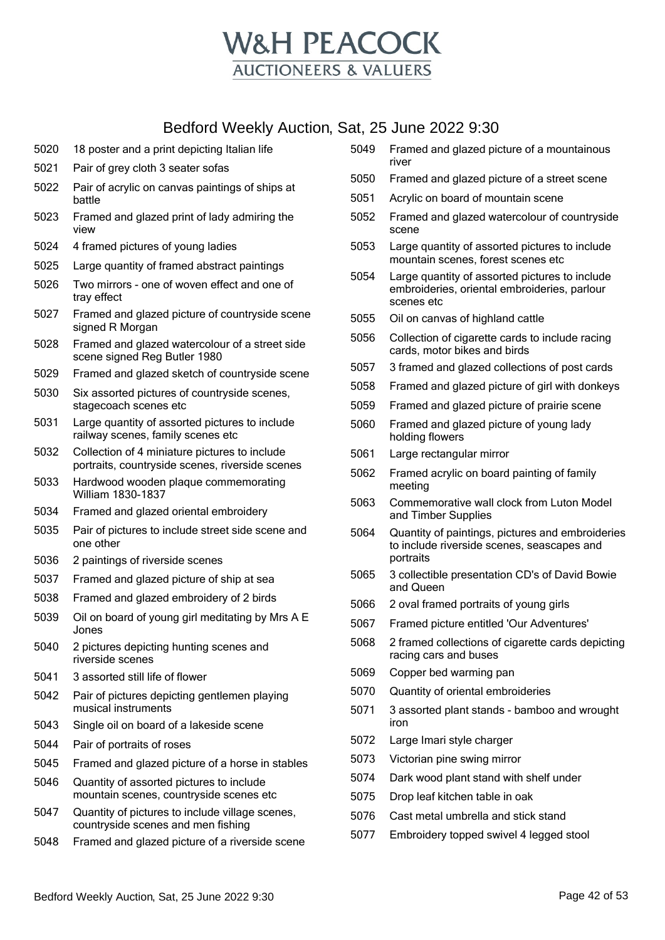

 Pair of grey cloth 3 seater sofas Pair of acrylic on canvas paintings of ships at battle Framed and glazed print of lady admiring the view 4 framed pictures of young ladies Large quantity of framed abstract paintings Two mirrors - one of woven effect and one of tray effect Framed and glazed picture of countryside scene signed R Morgan Framed and glazed watercolour of a street side scene signed Reg Butler 1980 Framed and glazed sketch of countryside scene Six assorted pictures of countryside scenes, stagecoach scenes etc Large quantity of assorted pictures to include railway scenes, family scenes etc Collection of 4 miniature pictures to include portraits, countryside scenes, riverside scenes Hardwood wooden plaque commemorating William 1830-1837 Framed and glazed oriental embroidery Pair of pictures to include street side scene and one other 2 paintings of riverside scenes Framed and glazed picture of ship at sea Framed and glazed embroidery of 2 birds Oil on board of young girl meditating by Mrs A E Jones 2 pictures depicting hunting scenes and riverside scenes 3 assorted still life of flower Pair of pictures depicting gentlemen playing musical instruments Single oil on board of a lakeside scene Pair of portraits of roses Framed and glazed picture of a horse in stables Quantity of assorted pictures to include mountain scenes, countryside scenes etc Quantity of pictures to include village scenes, countryside scenes and men fishing Framed and glazed picture of a riverside scene Bedford Weekly Auction, Sat, 25 June 2022 9:30 Page 42 of 53

18 poster and a print depicting Italian life

- Framed and glazed picture of a mountainous river
- Framed and glazed picture of a street scene
- Acrylic on board of mountain scene
- Framed and glazed watercolour of countryside scene
- Large quantity of assorted pictures to include mountain scenes, forest scenes etc
- Large quantity of assorted pictures to include embroideries, oriental embroideries, parlour scenes etc
- Oil on canvas of highland cattle
- Collection of cigarette cards to include racing cards, motor bikes and birds
- 3 framed and glazed collections of post cards
- Framed and glazed picture of girl with donkeys
- Framed and glazed picture of prairie scene
- Framed and glazed picture of young lady holding flowers
- Large rectangular mirror
- Framed acrylic on board painting of family meeting
- Commemorative wall clock from Luton Model and Timber Supplies
- Quantity of paintings, pictures and embroideries to include riverside scenes, seascapes and portraits
- 3 collectible presentation CD's of David Bowie and Queen
- 2 oval framed portraits of young girls
- Framed picture entitled 'Our Adventures'
- 2 framed collections of cigarette cards depicting racing cars and buses
- Copper bed warming pan
- Quantity of oriental embroideries
- 3 assorted plant stands bamboo and wrought iron
- Large Imari style charger
- Victorian pine swing mirror
- Dark wood plant stand with shelf under
- Drop leaf kitchen table in oak
- Cast metal umbrella and stick stand
- Embroidery topped swivel 4 legged stool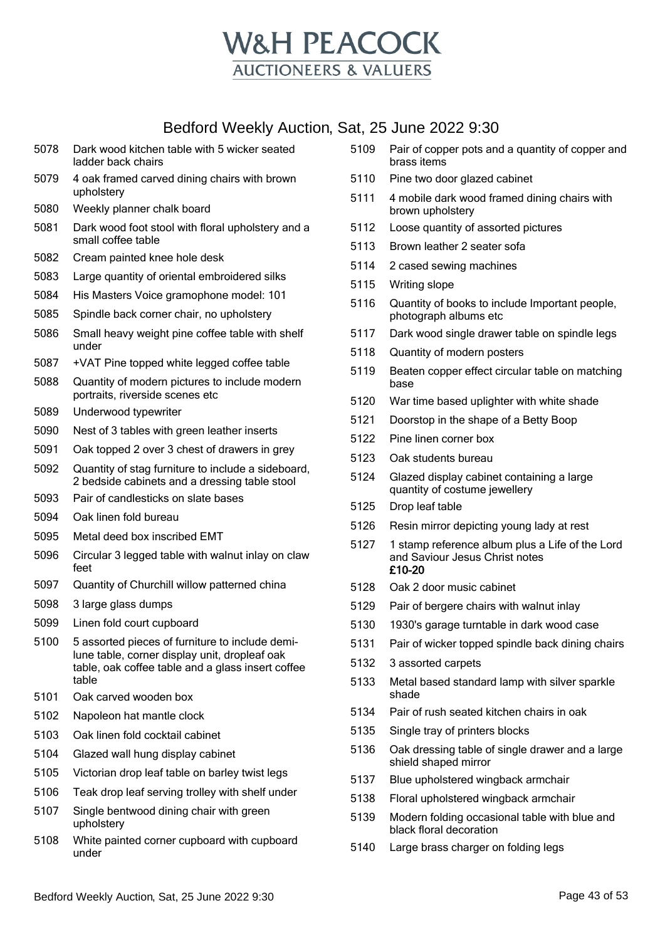

- Dark wood kitchen table with 5 wicker seated ladder back chairs
- 4 oak framed carved dining chairs with brown upholstery
- Weekly planner chalk board
- Dark wood foot stool with floral upholstery and a small coffee table
- Cream painted knee hole desk
- Large quantity of oriental embroidered silks
- His Masters Voice gramophone model: 101
- Spindle back corner chair, no upholstery
- Small heavy weight pine coffee table with shelf under
- +VAT Pine topped white legged coffee table
- Quantity of modern pictures to include modern portraits, riverside scenes etc
- Underwood typewriter
- Nest of 3 tables with green leather inserts
- Oak topped 2 over 3 chest of drawers in grey
- Quantity of stag furniture to include a sideboard, 2 bedside cabinets and a dressing table stool
- Pair of candlesticks on slate bases
- Oak linen fold bureau
- Metal deed box inscribed EMT
- Circular 3 legged table with walnut inlay on claw feet
- Quantity of Churchill willow patterned china
- 3 large glass dumps
- Linen fold court cupboard
- 5 assorted pieces of furniture to include demilune table, corner display unit, dropleaf oak table, oak coffee table and a glass insert coffee table
- Oak carved wooden box
- Napoleon hat mantle clock
- Oak linen fold cocktail cabinet
- Glazed wall hung display cabinet
- Victorian drop leaf table on barley twist legs
- Teak drop leaf serving trolley with shelf under
- Single bentwood dining chair with green upholstery
- White painted corner cupboard with cupboard under
- Pair of copper pots and a quantity of copper and brass items
- Pine two door glazed cabinet
- 4 mobile dark wood framed dining chairs with brown upholstery
- Loose quantity of assorted pictures
- Brown leather 2 seater sofa
- 2 cased sewing machines
- Writing slope
- Quantity of books to include Important people, photograph albums etc
- Dark wood single drawer table on spindle legs
- Quantity of modern posters
- Beaten copper effect circular table on matching base
- War time based uplighter with white shade
- Doorstop in the shape of a Betty Boop
- Pine linen corner box
- Oak students bureau
- Glazed display cabinet containing a large quantity of costume jewellery
- Drop leaf table
- Resin mirror depicting young lady at rest
- 1 stamp reference album plus a Life of the Lord and Saviour Jesus Christ notes £10-20
- Oak 2 door music cabinet
- Pair of bergere chairs with walnut inlay
- 1930's garage turntable in dark wood case
- Pair of wicker topped spindle back dining chairs
- 3 assorted carpets
- Metal based standard lamp with silver sparkle shade
- Pair of rush seated kitchen chairs in oak
- Single tray of printers blocks
- Oak dressing table of single drawer and a large shield shaped mirror
- Blue upholstered wingback armchair
- Floral upholstered wingback armchair
- Modern folding occasional table with blue and black floral decoration
- Large brass charger on folding legs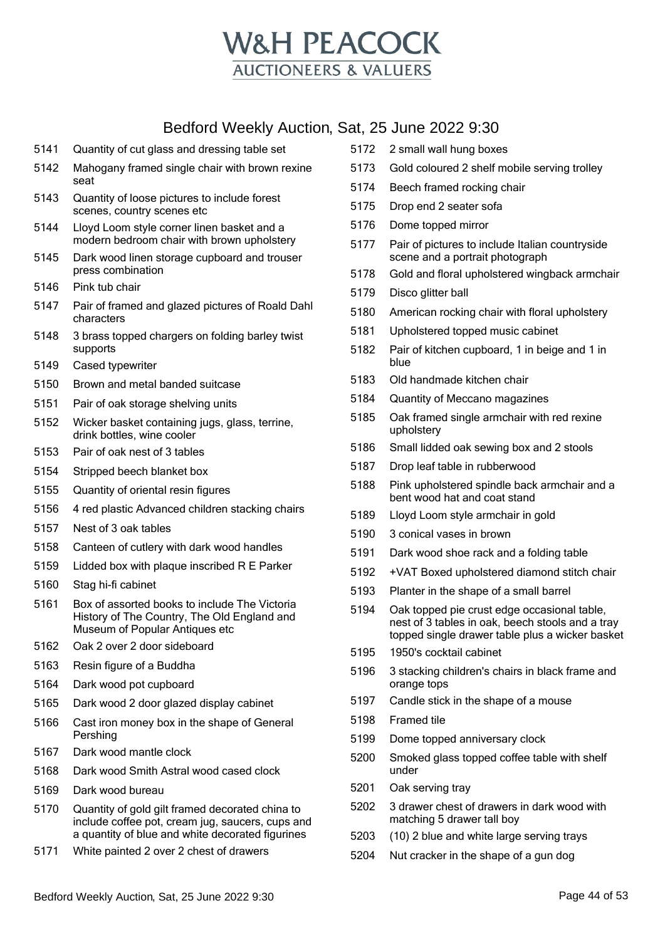

- Quantity of cut glass and dressing table set
- Mahogany framed single chair with brown rexine seat
- Quantity of loose pictures to include forest scenes, country scenes etc
- Lloyd Loom style corner linen basket and a modern bedroom chair with brown upholstery
- Dark wood linen storage cupboard and trouser press combination
- Pink tub chair
- Pair of framed and glazed pictures of Roald Dahl characters
- 3 brass topped chargers on folding barley twist supports
- Cased typewriter
- Brown and metal banded suitcase
- Pair of oak storage shelving units
- Wicker basket containing jugs, glass, terrine, drink bottles, wine cooler
- Pair of oak nest of 3 tables
- Stripped beech blanket box
- Quantity of oriental resin figures
- 4 red plastic Advanced children stacking chairs
- Nest of 3 oak tables
- Canteen of cutlery with dark wood handles
- Lidded box with plaque inscribed R E Parker
- Stag hi-fi cabinet
- Box of assorted books to include The Victoria History of The Country, The Old England and Museum of Popular Antiques etc
- Oak 2 over 2 door sideboard
- Resin figure of a Buddha
- Dark wood pot cupboard
- Dark wood 2 door glazed display cabinet
- Cast iron money box in the shape of General Pershing
- Dark wood mantle clock
- Dark wood Smith Astral wood cased clock
- Dark wood bureau
- Quantity of gold gilt framed decorated china to include coffee pot, cream jug, saucers, cups and a quantity of blue and white decorated figurines
- White painted 2 over 2 chest of drawers
- 2 small wall hung boxes
- Gold coloured 2 shelf mobile serving trolley
- Beech framed rocking chair
- Drop end 2 seater sofa
- Dome topped mirror
- Pair of pictures to include Italian countryside scene and a portrait photograph
- Gold and floral upholstered wingback armchair
- Disco glitter ball
- American rocking chair with floral upholstery
- Upholstered topped music cabinet
- Pair of kitchen cupboard, 1 in beige and 1 in blue
- Old handmade kitchen chair
- Quantity of Meccano magazines
- Oak framed single armchair with red rexine upholstery
- Small lidded oak sewing box and 2 stools
- Drop leaf table in rubberwood
- Pink upholstered spindle back armchair and a bent wood hat and coat stand
- Lloyd Loom style armchair in gold
- 3 conical vases in brown
- Dark wood shoe rack and a folding table
- +VAT Boxed upholstered diamond stitch chair
- Planter in the shape of a small barrel
- Oak topped pie crust edge occasional table, nest of 3 tables in oak, beech stools and a tray topped single drawer table plus a wicker basket
- 1950's cocktail cabinet
- 3 stacking children's chairs in black frame and orange tops
- Candle stick in the shape of a mouse
- Framed tile
- Dome topped anniversary clock
- Smoked glass topped coffee table with shelf under
- Oak serving tray
- 3 drawer chest of drawers in dark wood with matching 5 drawer tall boy
- (10) 2 blue and white large serving trays
- Nut cracker in the shape of a gun dog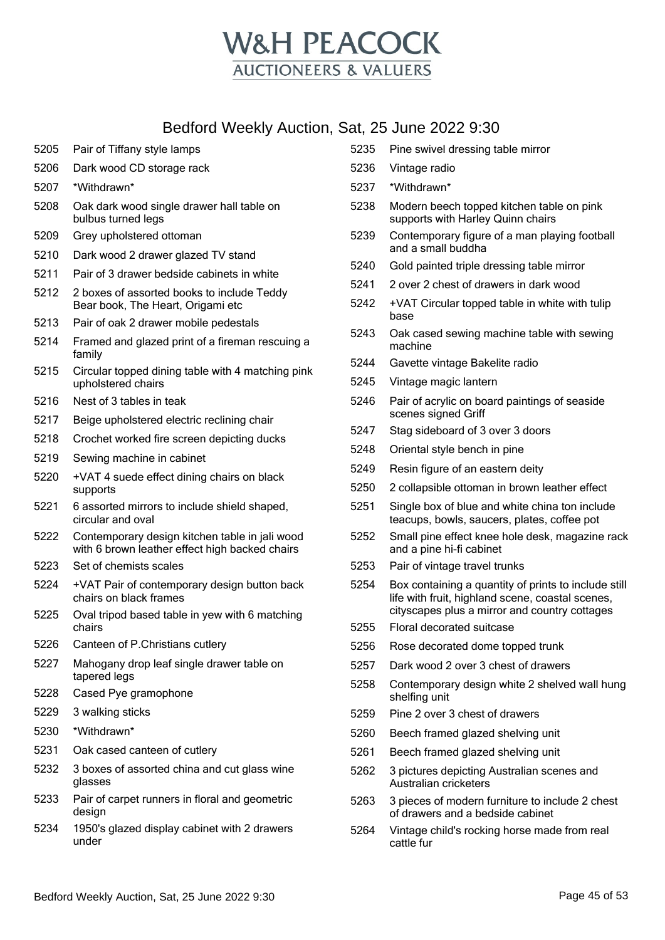

- Pair of Tiffany style lamps
- Dark wood CD storage rack
- \*Withdrawn\*
- Oak dark wood single drawer hall table on bulbus turned legs
- Grey upholstered ottoman
- Dark wood 2 drawer glazed TV stand
- Pair of 3 drawer bedside cabinets in white
- 2 boxes of assorted books to include Teddy Bear book, The Heart, Origami etc
- Pair of oak 2 drawer mobile pedestals
- Framed and glazed print of a fireman rescuing a family
- Circular topped dining table with 4 matching pink upholstered chairs
- Nest of 3 tables in teak
- Beige upholstered electric reclining chair
- Crochet worked fire screen depicting ducks
- Sewing machine in cabinet
- +VAT 4 suede effect dining chairs on black supports
- 6 assorted mirrors to include shield shaped, circular and oval
- Contemporary design kitchen table in jali wood with 6 brown leather effect high backed chairs
- Set of chemists scales
- +VAT Pair of contemporary design button back chairs on black frames
- Oval tripod based table in yew with 6 matching chairs
- Canteen of P.Christians cutlery
- Mahogany drop leaf single drawer table on tapered legs
- Cased Pye gramophone
- 3 walking sticks
- \*Withdrawn\*
- Oak cased canteen of cutlery
- 3 boxes of assorted china and cut glass wine glasses
- Pair of carpet runners in floral and geometric design
- 1950's glazed display cabinet with 2 drawers under
- Pine swivel dressing table mirror
- Vintage radio
- \*Withdrawn\*
- Modern beech topped kitchen table on pink supports with Harley Quinn chairs
- Contemporary figure of a man playing football and a small buddha
- Gold painted triple dressing table mirror
- 2 over 2 chest of drawers in dark wood
- +VAT Circular topped table in white with tulip base
- Oak cased sewing machine table with sewing machine
- Gavette vintage Bakelite radio
- Vintage magic lantern
- Pair of acrylic on board paintings of seaside scenes signed Griff
- Stag sideboard of 3 over 3 doors
- Oriental style bench in pine
- Resin figure of an eastern deity
- 2 collapsible ottoman in brown leather effect
- Single box of blue and white china ton include teacups, bowls, saucers, plates, coffee pot
- Small pine effect knee hole desk, magazine rack and a pine hi-fi cabinet
- Pair of vintage travel trunks
- Box containing a quantity of prints to include still life with fruit, highland scene, coastal scenes, cityscapes plus a mirror and country cottages
- Floral decorated suitcase
- Rose decorated dome topped trunk
- Dark wood 2 over 3 chest of drawers
- Contemporary design white 2 shelved wall hung shelfing unit
- Pine 2 over 3 chest of drawers
- Beech framed glazed shelving unit
- Beech framed glazed shelving unit
- 3 pictures depicting Australian scenes and Australian cricketers
- 3 pieces of modern furniture to include 2 chest of drawers and a bedside cabinet
- Vintage child's rocking horse made from real cattle fur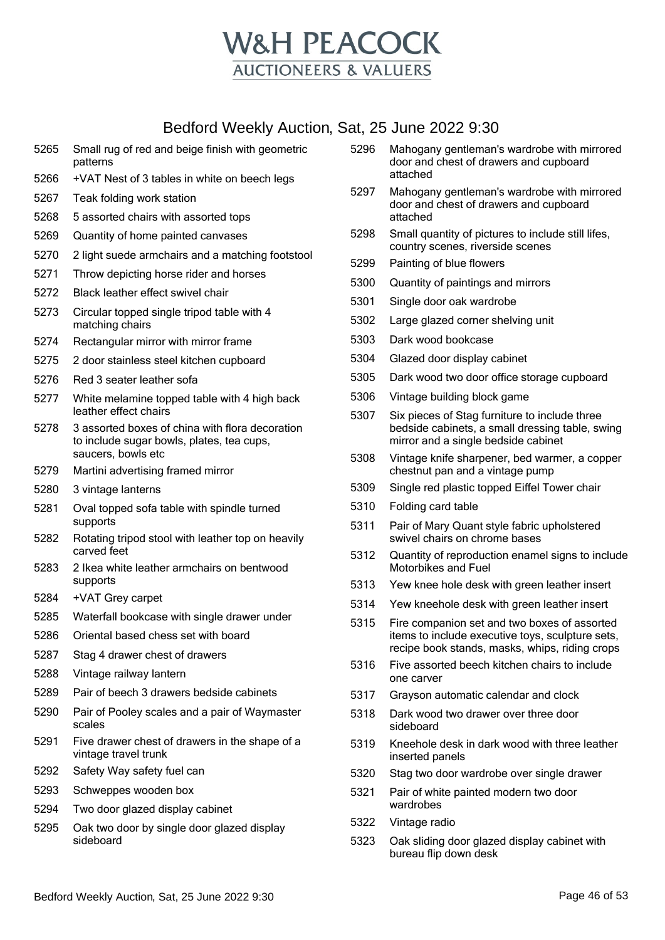

- Small rug of red and beige finish with geometric patterns +VAT Nest of 3 tables in white on beech legs Teak folding work station 5 assorted chairs with assorted tops Quantity of home painted canvases 2 light suede armchairs and a matching footstool Throw depicting horse rider and horses Black leather effect swivel chair Circular topped single tripod table with 4 matching chairs Rectangular mirror with mirror frame 2 door stainless steel kitchen cupboard Red 3 seater leather sofa White melamine topped table with 4 high back leather effect chairs 3 assorted boxes of china with flora decoration to include sugar bowls, plates, tea cups, saucers, bowls etc Martini advertising framed mirror 3 vintage lanterns Oval topped sofa table with spindle turned supports Rotating tripod stool with leather top on heavily carved feet 2 Ikea white leather armchairs on bentwood supports +VAT Grey carpet Waterfall bookcase with single drawer under Oriental based chess set with board Stag 4 drawer chest of drawers Vintage railway lantern Pair of beech 3 drawers bedside cabinets Pair of Pooley scales and a pair of Waymaster scales Five drawer chest of drawers in the shape of a vintage travel trunk Safety Way safety fuel can Schweppes wooden box Two door glazed display cabinet Oak two door by single door glazed display sideboard
- Mahogany gentleman's wardrobe with mirrored door and chest of drawers and cupboard attached
- Mahogany gentleman's wardrobe with mirrored door and chest of drawers and cupboard attached
- Small quantity of pictures to include still lifes, country scenes, riverside scenes
- Painting of blue flowers
- Quantity of paintings and mirrors
- Single door oak wardrobe
- Large glazed corner shelving unit
- Dark wood bookcase
- Glazed door display cabinet
- Dark wood two door office storage cupboard
- Vintage building block game
- Six pieces of Stag furniture to include three bedside cabinets, a small dressing table, swing mirror and a single bedside cabinet
- Vintage knife sharpener, bed warmer, a copper chestnut pan and a vintage pump
- Single red plastic topped Eiffel Tower chair
- Folding card table
- Pair of Mary Quant style fabric upholstered swivel chairs on chrome bases
- Quantity of reproduction enamel signs to include Motorbikes and Fuel
- Yew knee hole desk with green leather insert
- Yew kneehole desk with green leather insert
- Fire companion set and two boxes of assorted items to include executive toys, sculpture sets, recipe book stands, masks, whips, riding crops
- Five assorted beech kitchen chairs to include one carver
- Grayson automatic calendar and clock
- Dark wood two drawer over three door sideboard
- Kneehole desk in dark wood with three leather inserted panels
- Stag two door wardrobe over single drawer
- Pair of white painted modern two door wardrobes
- Vintage radio
- Oak sliding door glazed display cabinet with bureau flip down desk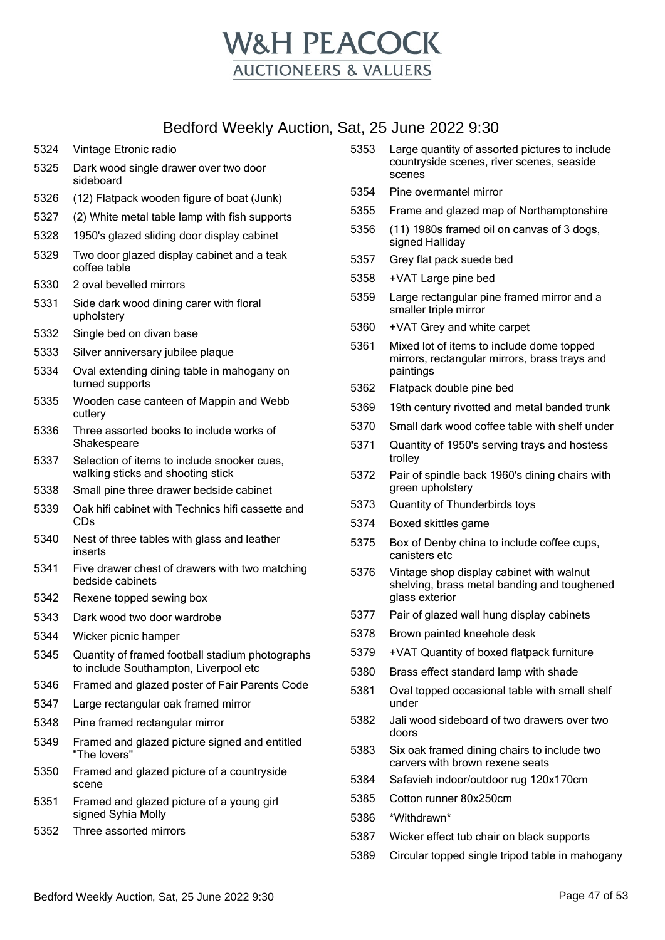

- Vintage Etronic radio
- Dark wood single drawer over two door sideboard
- (12) Flatpack wooden figure of boat (Junk)
- (2) White metal table lamp with fish supports
- 1950's glazed sliding door display cabinet
- Two door glazed display cabinet and a teak coffee table
- 2 oval bevelled mirrors
- Side dark wood dining carer with floral upholstery
- Single bed on divan base
- Silver anniversary jubilee plaque
- Oval extending dining table in mahogany on turned supports
- Wooden case canteen of Mappin and Webb cutlery
- Three assorted books to include works of Shakespeare
- Selection of items to include snooker cues, walking sticks and shooting stick
- Small pine three drawer bedside cabinet
- Oak hifi cabinet with Technics hifi cassette and CDs
- Nest of three tables with glass and leather inserts
- Five drawer chest of drawers with two matching bedside cabinets
- Rexene topped sewing box
- Dark wood two door wardrobe
- Wicker picnic hamper
- Quantity of framed football stadium photographs to include Southampton, Liverpool etc
- Framed and glazed poster of Fair Parents Code
- Large rectangular oak framed mirror
- Pine framed rectangular mirror
- Framed and glazed picture signed and entitled "The lovers"
- Framed and glazed picture of a countryside scene
- Framed and glazed picture of a young girl signed Syhia Molly
- Three assorted mirrors
- Large quantity of assorted pictures to include countryside scenes, river scenes, seaside scenes
- Pine overmantel mirror
- Frame and glazed map of Northamptonshire
- (11) 1980s framed oil on canvas of 3 dogs, signed Halliday
- Grey flat pack suede bed
- +VAT Large pine bed
- Large rectangular pine framed mirror and a smaller triple mirror
- +VAT Grey and white carpet
- Mixed lot of items to include dome topped mirrors, rectangular mirrors, brass trays and paintings
- Flatpack double pine bed
- 19th century rivotted and metal banded trunk
- Small dark wood coffee table with shelf under
- Quantity of 1950's serving trays and hostess trolley
- Pair of spindle back 1960's dining chairs with green upholstery
- Quantity of Thunderbirds toys
- Boxed skittles game
- Box of Denby china to include coffee cups, canisters etc
- Vintage shop display cabinet with walnut shelving, brass metal banding and toughened glass exterior
- Pair of glazed wall hung display cabinets
- Brown painted kneehole desk
- +VAT Quantity of boxed flatpack furniture
- Brass effect standard lamp with shade
- Oval topped occasional table with small shelf under
- Jali wood sideboard of two drawers over two doors
- Six oak framed dining chairs to include two carvers with brown rexene seats
- Safavieh indoor/outdoor rug 120x170cm
- Cotton runner 80x250cm
- \*Withdrawn\*
- Wicker effect tub chair on black supports
- Circular topped single tripod table in mahogany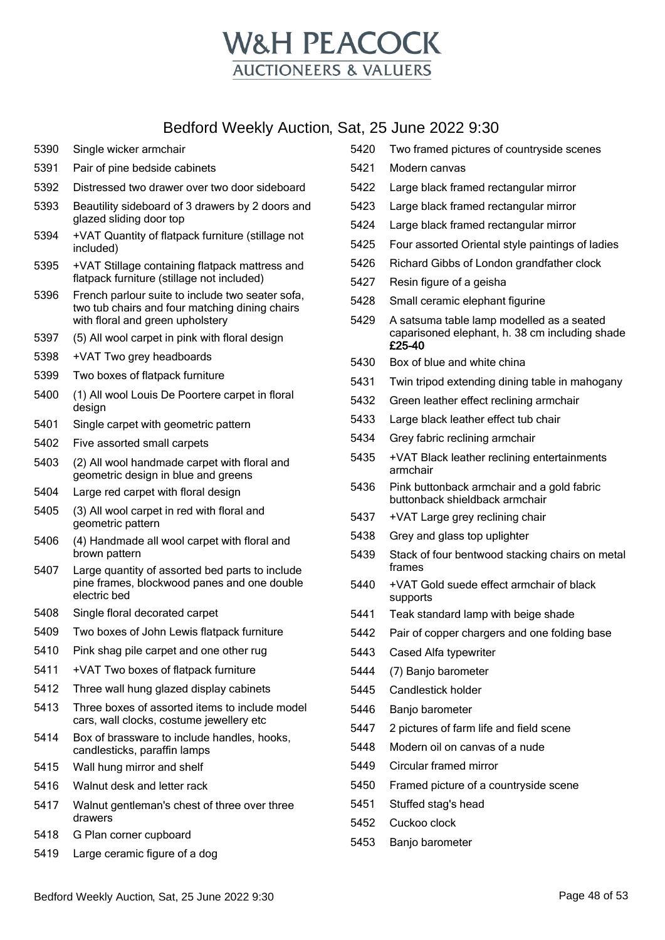

- Single wicker armchair
- Pair of pine bedside cabinets
- Distressed two drawer over two door sideboard
- Beautility sideboard of 3 drawers by 2 doors and glazed sliding door top
- +VAT Quantity of flatpack furniture (stillage not included)
- +VAT Stillage containing flatpack mattress and flatpack furniture (stillage not included)
- French parlour suite to include two seater sofa, two tub chairs and four matching dining chairs with floral and green upholstery
- (5) All wool carpet in pink with floral design
- +VAT Two grey headboards
- Two boxes of flatpack furniture
- (1) All wool Louis De Poortere carpet in floral design
- Single carpet with geometric pattern
- Five assorted small carpets
- (2) All wool handmade carpet with floral and geometric design in blue and greens
- Large red carpet with floral design
- (3) All wool carpet in red with floral and geometric pattern
- (4) Handmade all wool carpet with floral and brown pattern
- Large quantity of assorted bed parts to include pine frames, blockwood panes and one double electric bed
- Single floral decorated carpet
- Two boxes of John Lewis flatpack furniture
- Pink shag pile carpet and one other rug
- +VAT Two boxes of flatpack furniture
- Three wall hung glazed display cabinets
- Three boxes of assorted items to include model cars, wall clocks, costume jewellery etc
- Box of brassware to include handles, hooks, candlesticks, paraffin lamps
- Wall hung mirror and shelf
- Walnut desk and letter rack
- Walnut gentleman's chest of three over three drawers
- G Plan corner cupboard
- Large ceramic figure of a dog
- Two framed pictures of countryside scenes
- Modern canvas
- Large black framed rectangular mirror
- Large black framed rectangular mirror
- Large black framed rectangular mirror
- Four assorted Oriental style paintings of ladies
- Richard Gibbs of London grandfather clock
- Resin figure of a geisha
- Small ceramic elephant figurine
- A satsuma table lamp modelled as a seated caparisoned elephant, h. 38 cm including shade £25-40
- Box of blue and white china
- Twin tripod extending dining table in mahogany
- Green leather effect reclining armchair
- Large black leather effect tub chair
- Grey fabric reclining armchair
- +VAT Black leather reclining entertainments armchair
- Pink buttonback armchair and a gold fabric buttonback shieldback armchair
- +VAT Large grey reclining chair
- Grey and glass top uplighter
- Stack of four bentwood stacking chairs on metal frames
- +VAT Gold suede effect armchair of black supports
- Teak standard lamp with beige shade
- Pair of copper chargers and one folding base
- Cased Alfa typewriter
- (7) Banjo barometer
- Candlestick holder
- Banjo barometer
- 2 pictures of farm life and field scene
- Modern oil on canvas of a nude
- Circular framed mirror
- Framed picture of a countryside scene
- Stuffed stag's head
- Cuckoo clock
- Banjo barometer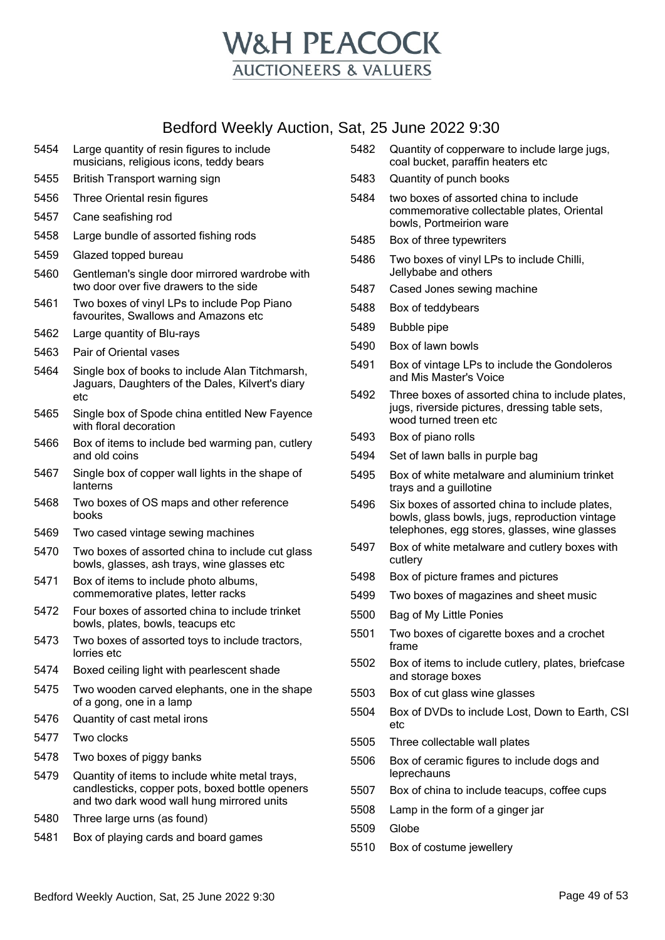

- Large quantity of resin figures to include musicians, religious icons, teddy bears
- British Transport warning sign
- Three Oriental resin figures
- Cane seafishing rod
- Large bundle of assorted fishing rods
- Glazed topped bureau
- Gentleman's single door mirrored wardrobe with two door over five drawers to the side
- Two boxes of vinyl LPs to include Pop Piano favourites, Swallows and Amazons etc
- Large quantity of Blu-rays
- Pair of Oriental vases
- Single box of books to include Alan Titchmarsh, Jaguars, Daughters of the Dales, Kilvert's diary etc
- Single box of Spode china entitled New Fayence with floral decoration
- Box of items to include bed warming pan, cutlery and old coins
- Single box of copper wall lights in the shape of lanterns
- Two boxes of OS maps and other reference books
- Two cased vintage sewing machines
- Two boxes of assorted china to include cut glass bowls, glasses, ash trays, wine glasses etc
- Box of items to include photo albums, commemorative plates, letter racks
- Four boxes of assorted china to include trinket bowls, plates, bowls, teacups etc
- Two boxes of assorted toys to include tractors, lorries etc
- Boxed ceiling light with pearlescent shade
- Two wooden carved elephants, one in the shape of a gong, one in a lamp
- Quantity of cast metal irons
- Two clocks
- Two boxes of piggy banks
- Quantity of items to include white metal trays, candlesticks, copper pots, boxed bottle openers and two dark wood wall hung mirrored units
- Three large urns (as found)
- Box of playing cards and board games
- Quantity of copperware to include large jugs, coal bucket, paraffin heaters etc
- Quantity of punch books
- two boxes of assorted china to include commemorative collectable plates, Oriental bowls, Portmeirion ware
- Box of three typewriters
- Two boxes of vinyl LPs to include Chilli, Jellybabe and others
- Cased Jones sewing machine
- Box of teddybears
- Bubble pipe
- Box of lawn bowls
- Box of vintage LPs to include the Gondoleros and Mis Master's Voice
- Three boxes of assorted china to include plates, jugs, riverside pictures, dressing table sets, wood turned treen etc
- Box of piano rolls
- Set of lawn balls in purple bag
- Box of white metalware and aluminium trinket trays and a guillotine
- Six boxes of assorted china to include plates, bowls, glass bowls, jugs, reproduction vintage telephones, egg stores, glasses, wine glasses
- Box of white metalware and cutlery boxes with cutlery
- Box of picture frames and pictures
- Two boxes of magazines and sheet music
- Bag of My Little Ponies
- Two boxes of cigarette boxes and a crochet frame
- Box of items to include cutlery, plates, briefcase and storage boxes
- Box of cut glass wine glasses
- Box of DVDs to include Lost, Down to Earth, CSI etc
- Three collectable wall plates
- Box of ceramic figures to include dogs and leprechauns
- Box of china to include teacups, coffee cups
- Lamp in the form of a ginger jar
- Globe
- Box of costume jewellery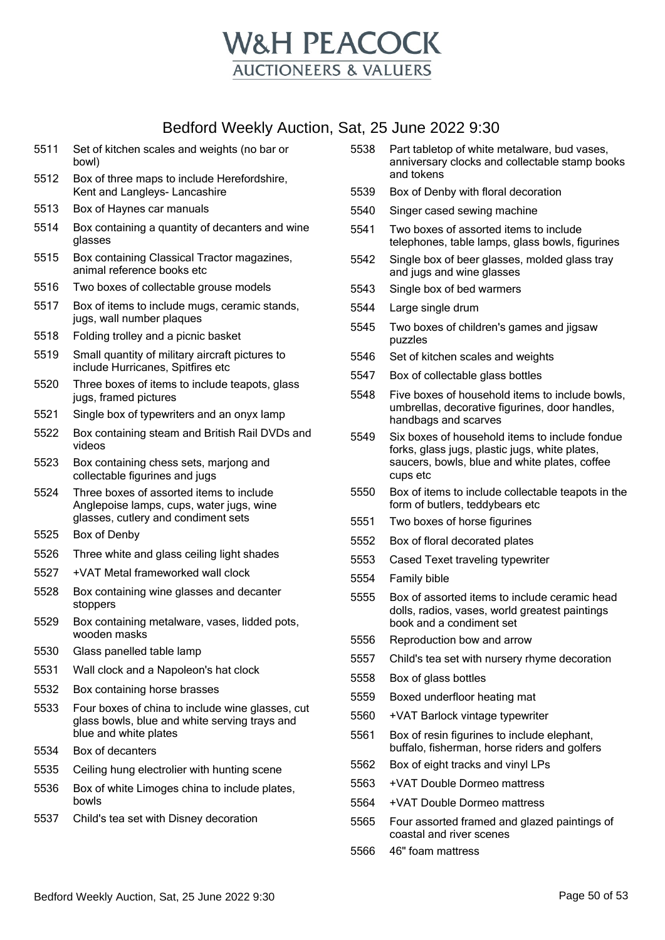

- Set of kitchen scales and weights (no bar or bowl) Box of three maps to include Herefordshire,
- Kent and Langleys- Lancashire
- Box of Haynes car manuals
- Box containing a quantity of decanters and wine glasses
- Box containing Classical Tractor magazines, animal reference books etc
- Two boxes of collectable grouse models
- Box of items to include mugs, ceramic stands, jugs, wall number plaques
- Folding trolley and a picnic basket
- Small quantity of military aircraft pictures to include Hurricanes, Spitfires etc
- Three boxes of items to include teapots, glass jugs, framed pictures
- Single box of typewriters and an onyx lamp
- Box containing steam and British Rail DVDs and videos
- Box containing chess sets, marjong and collectable figurines and jugs
- Three boxes of assorted items to include Anglepoise lamps, cups, water jugs, wine glasses, cutlery and condiment sets
- Box of Denby
- Three white and glass ceiling light shades
- +VAT Metal frameworked wall clock
- Box containing wine glasses and decanter stoppers
- Box containing metalware, vases, lidded pots, wooden masks
- Glass panelled table lamp
- Wall clock and a Napoleon's hat clock
- Box containing horse brasses
- Four boxes of china to include wine glasses, cut glass bowls, blue and white serving trays and blue and white plates
- Box of decanters
- Ceiling hung electrolier with hunting scene
- Box of white Limoges china to include plates, bowls
- Child's tea set with Disney decoration
- Part tabletop of white metalware, bud vases, anniversary clocks and collectable stamp books and tokens
- Box of Denby with floral decoration
- Singer cased sewing machine
- Two boxes of assorted items to include telephones, table lamps, glass bowls, figurines
- Single box of beer glasses, molded glass tray and jugs and wine glasses
- Single box of bed warmers
- Large single drum
- Two boxes of children's games and jigsaw puzzles
- Set of kitchen scales and weights
- Box of collectable glass bottles
- Five boxes of household items to include bowls, umbrellas, decorative figurines, door handles, handbags and scarves
- Six boxes of household items to include fondue forks, glass jugs, plastic jugs, white plates, saucers, bowls, blue and white plates, coffee cups etc
- Box of items to include collectable teapots in the form of butlers, teddybears etc
- Two boxes of horse figurines
- Box of floral decorated plates
- Cased Texet traveling typewriter
- Family bible
- Box of assorted items to include ceramic head dolls, radios, vases, world greatest paintings book and a condiment set
- Reproduction bow and arrow
- Child's tea set with nursery rhyme decoration
- Box of glass bottles
- Boxed underfloor heating mat
- +VAT Barlock vintage typewriter
- Box of resin figurines to include elephant, buffalo, fisherman, horse riders and golfers
- Box of eight tracks and vinyl LPs
- +VAT Double Dormeo mattress
- +VAT Double Dormeo mattress
- Four assorted framed and glazed paintings of coastal and river scenes
- 46" foam mattress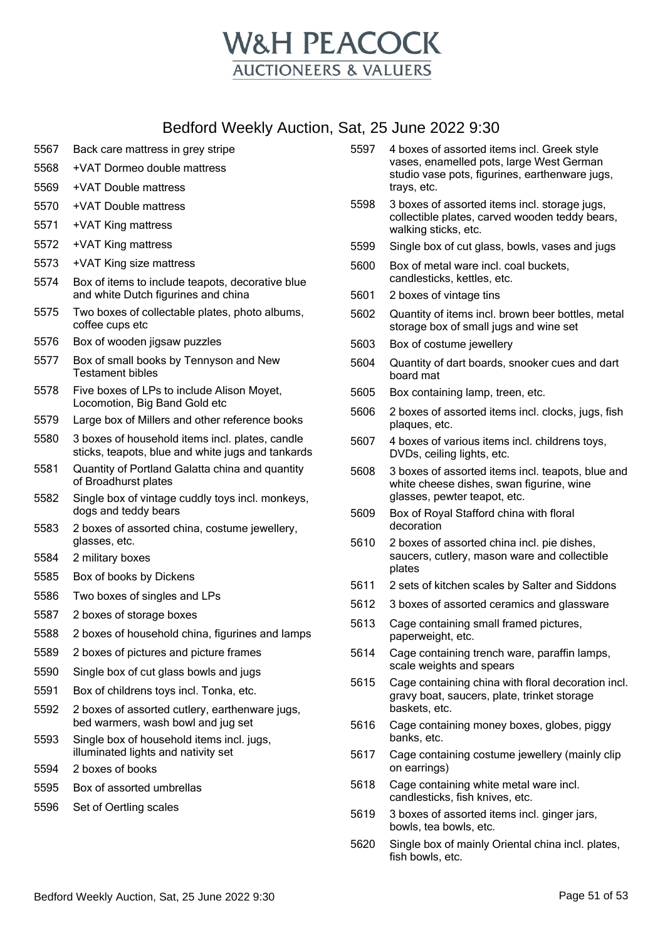

- 5567 Back care mattress in grey stripe
- 5568 +VAT Dormeo double mattress
- 5569 +VAT Double mattress
- 5570 +VAT Double mattress
- 5571 +VAT King mattress
- 5572 +VAT King mattress
- 5573 +VAT King size mattress
- 5574 Box of items to include teapots, decorative blue and white Dutch figurines and china
- 5575 Two boxes of collectable plates, photo albums, coffee cups etc
- 5576 Box of wooden jigsaw puzzles
- 5577 Box of small books by Tennyson and New Testament bibles
- 5578 Five boxes of LPs to include Alison Moyet, Locomotion, Big Band Gold etc
- 5579 Large box of Millers and other reference books
- 5580 3 boxes of household items incl. plates, candle sticks, teapots, blue and white jugs and tankards
- 5581 Quantity of Portland Galatta china and quantity of Broadhurst plates
- 5582 Single box of vintage cuddly toys incl. monkeys, dogs and teddy bears
- 5583 2 boxes of assorted china, costume jewellery, glasses, etc.
- 5584 2 military boxes
- 5585 Box of books by Dickens
- 5586 Two boxes of singles and LPs
- 5587 2 boxes of storage boxes
- 5588 2 boxes of household china, figurines and lamps
- 5589 2 boxes of pictures and picture frames
- 5590 Single box of cut glass bowls and jugs
- 5591 Box of childrens toys incl. Tonka, etc.
- 5592 2 boxes of assorted cutlery, earthenware jugs, bed warmers, wash bowl and jug set
- 5593 Single box of household items incl. jugs, illuminated lights and nativity set
- 5594 2 boxes of books
- 5595 Box of assorted umbrellas
- 5596 Set of Oertling scales
- 5597 4 boxes of assorted items incl. Greek style vases, enamelled pots, large West German studio vase pots, figurines, earthenware jugs, trays, etc.
- 5598 3 boxes of assorted items incl. storage jugs, collectible plates, carved wooden teddy bears, walking sticks, etc.
- 5599 Single box of cut glass, bowls, vases and jugs
- 5600 Box of metal ware incl. coal buckets, candlesticks, kettles, etc.
- 5601 2 boxes of vintage tins
- 5602 Quantity of items incl. brown beer bottles, metal storage box of small jugs and wine set
- 5603 Box of costume jewellery
- 5604 Quantity of dart boards, snooker cues and dart board mat
- 5605 Box containing lamp, treen, etc.
- 5606 2 boxes of assorted items incl. clocks, jugs, fish plaques, etc.
- 5607 4 boxes of various items incl. childrens toys, DVDs, ceiling lights, etc.
- 5608 3 boxes of assorted items incl. teapots, blue and white cheese dishes, swan figurine, wine glasses, pewter teapot, etc.
- 5609 Box of Royal Stafford china with floral decoration
- 5610 2 boxes of assorted china incl. pie dishes, saucers, cutlery, mason ware and collectible plates
- 5611 2 sets of kitchen scales by Salter and Siddons
- 5612 3 boxes of assorted ceramics and glassware
- 5613 Cage containing small framed pictures, paperweight, etc.
- 5614 Cage containing trench ware, paraffin lamps, scale weights and spears
- 5615 Cage containing china with floral decoration incl. gravy boat, saucers, plate, trinket storage baskets, etc.
- 5616 Cage containing money boxes, globes, piggy banks, etc.
- 5617 Cage containing costume jewellery (mainly clip on earrings)
- 5618 Cage containing white metal ware incl. candlesticks, fish knives, etc.
- 5619 3 boxes of assorted items incl. ginger jars, bowls, tea bowls, etc.
- 5620 Single box of mainly Oriental china incl. plates, fish bowls, etc.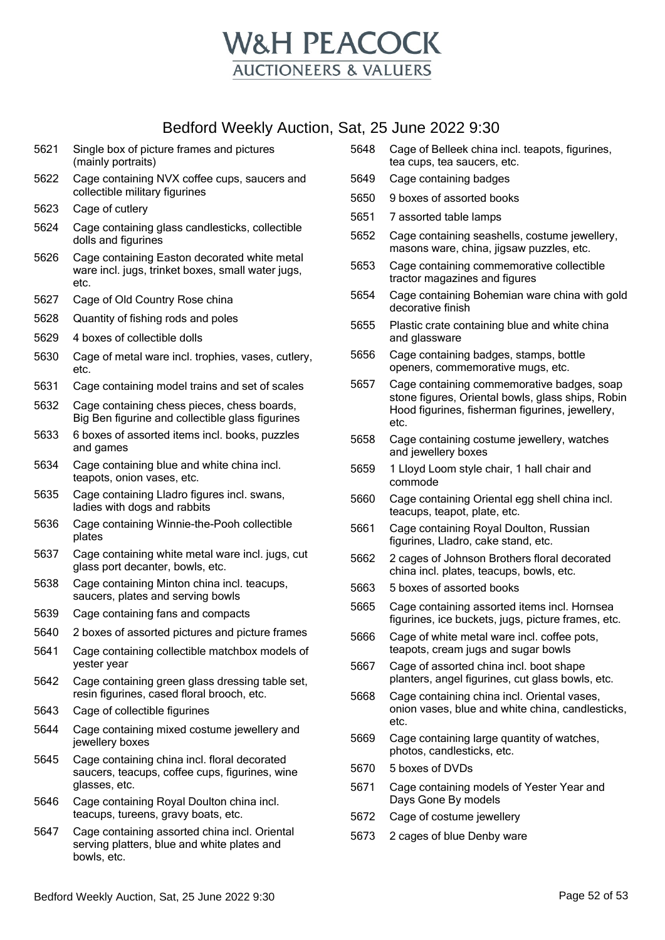

- 5621 Single box of picture frames and pictures (mainly portraits)
- 5622 Cage containing NVX coffee cups, saucers and collectible military figurines
- 5623 Cage of cutlery
- 5624 Cage containing glass candlesticks, collectible dolls and figurines
- 5626 Cage containing Easton decorated white metal ware incl. jugs, trinket boxes, small water jugs, etc.
- 5627 Cage of Old Country Rose china
- 5628 Quantity of fishing rods and poles
- 5629 4 boxes of collectible dolls
- 5630 Cage of metal ware incl. trophies, vases, cutlery, etc.
- 5631 Cage containing model trains and set of scales
- 5632 Cage containing chess pieces, chess boards, Big Ben figurine and collectible glass figurines
- 5633 6 boxes of assorted items incl. books, puzzles and games
- 5634 Cage containing blue and white china incl. teapots, onion vases, etc.
- 5635 Cage containing Lladro figures incl. swans, ladies with dogs and rabbits
- 5636 Cage containing Winnie-the-Pooh collectible plates
- 5637 Cage containing white metal ware incl. jugs, cut glass port decanter, bowls, etc.
- 5638 Cage containing Minton china incl. teacups, saucers, plates and serving bowls
- 5639 Cage containing fans and compacts
- 5640 2 boxes of assorted pictures and picture frames
- 5641 Cage containing collectible matchbox models of yester year
- 5642 Cage containing green glass dressing table set, resin figurines, cased floral brooch, etc.
- 5643 Cage of collectible figurines
- 5644 Cage containing mixed costume jewellery and jewellery boxes
- 5645 Cage containing china incl. floral decorated saucers, teacups, coffee cups, figurines, wine glasses, etc.
- 5646 Cage containing Royal Doulton china incl. teacups, tureens, gravy boats, etc.
- 5647 Cage containing assorted china incl. Oriental serving platters, blue and white plates and bowls, etc.
- 5648 Cage of Belleek china incl. teapots, figurines, tea cups, tea saucers, etc.
- 5649 Cage containing badges
- 5650 9 boxes of assorted books
- 5651 7 assorted table lamps
- 5652 Cage containing seashells, costume jewellery, masons ware, china, jigsaw puzzles, etc.
- 5653 Cage containing commemorative collectible tractor magazines and figures
- 5654 Cage containing Bohemian ware china with gold decorative finish
- 5655 Plastic crate containing blue and white china and glassware
- 5656 Cage containing badges, stamps, bottle openers, commemorative mugs, etc.
- 5657 Cage containing commemorative badges, soap stone figures, Oriental bowls, glass ships, Robin Hood figurines, fisherman figurines, jewellery, etc.
- 5658 Cage containing costume jewellery, watches and jewellery boxes
- 5659 1 Lloyd Loom style chair, 1 hall chair and commode
- 5660 Cage containing Oriental egg shell china incl. teacups, teapot, plate, etc.
- 5661 Cage containing Royal Doulton, Russian figurines, Lladro, cake stand, etc.
- 5662 2 cages of Johnson Brothers floral decorated china incl. plates, teacups, bowls, etc.
- 5663 5 boxes of assorted books
- 5665 Cage containing assorted items incl. Hornsea figurines, ice buckets, jugs, picture frames, etc.
- 5666 Cage of white metal ware incl. coffee pots, teapots, cream jugs and sugar bowls
- 5667 Cage of assorted china incl. boot shape planters, angel figurines, cut glass bowls, etc.
- 5668 Cage containing china incl. Oriental vases, onion vases, blue and white china, candlesticks, etc.
- 5669 Cage containing large quantity of watches, photos, candlesticks, etc.
- 5670 5 boxes of DVDs
- 5671 Cage containing models of Yester Year and Days Gone By models
- 5672 Cage of costume jewellery
- 5673 2 cages of blue Denby ware